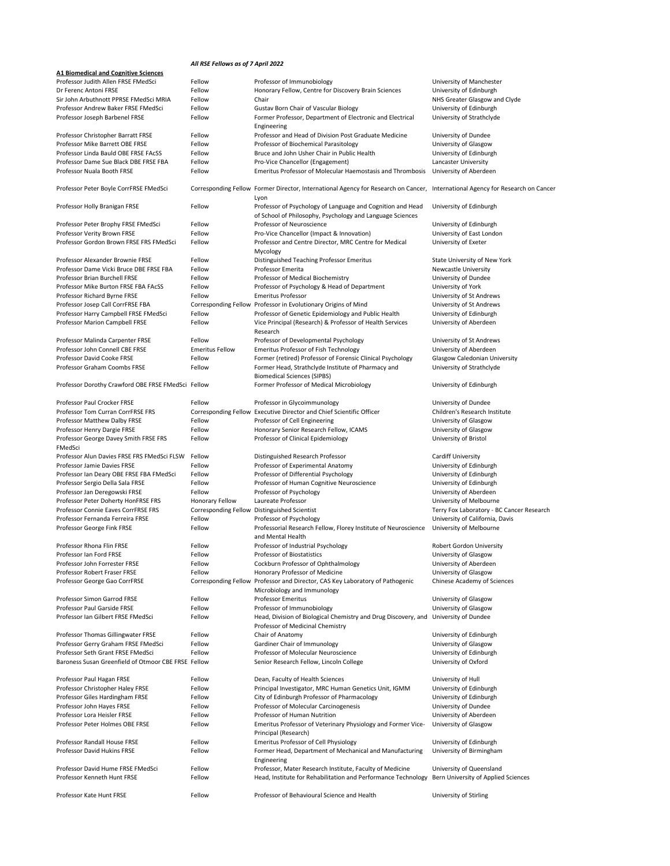## *All RSE Fellows as of 7 April 2022*

| Professor Judith Allen FRSE FMedSci                 | Fellow                      | Professor of Immunobiology                                                                                                     | University of Manchester                  |
|-----------------------------------------------------|-----------------------------|--------------------------------------------------------------------------------------------------------------------------------|-------------------------------------------|
| Dr Ferenc Antoni FRSE                               | Fellow                      | Honorary Fellow, Centre for Discovery Brain Sciences                                                                           | University of Edinburgh                   |
| Sir John Arbuthnott PPRSE FMedSci MRIA              | Fellow                      | Chair                                                                                                                          | NHS Greater Glasgow and Clyde             |
| Professor Andrew Baker FRSE FMedSci                 | Fellow                      | <b>Gustav Born Chair of Vascular Biology</b>                                                                                   | University of Edinburgh                   |
| Professor Joseph Barbenel FRSE                      | Fellow                      | Former Professor, Department of Electronic and Electrical                                                                      | University of Strathclyde                 |
|                                                     |                             | Engineering                                                                                                                    |                                           |
| Professor Christopher Barratt FRSE                  | Fellow                      | Professor and Head of Division Post Graduate Medicine                                                                          | University of Dundee                      |
| Professor Mike Barrett OBE FRSE                     | Fellow                      | Professor of Biochemical Parasitology                                                                                          | University of Glasgow                     |
| Professor Linda Bauld OBE FRSE FACSS                | Fellow                      | Bruce and John Usher Chair in Public Health                                                                                    | University of Edinburgh                   |
| Professor Dame Sue Black DBE FRSE FBA               | Fellow                      | Pro-Vice Chancellor (Engagement)                                                                                               | <b>Lancaster University</b>               |
| Professor Nuala Booth FRSE                          | Fellow                      | <b>Emeritus Professor of Molecular Haemostasis and Thrombosis</b>                                                              | University of Aberdeen                    |
|                                                     |                             |                                                                                                                                |                                           |
| Professor Peter Boyle CorrFRSE FMedSci              |                             | Corresponding Fellow Former Director, International Agency for Research on Cancer, International Agency for Research on Cancer |                                           |
|                                                     |                             |                                                                                                                                |                                           |
|                                                     |                             | Lyon                                                                                                                           |                                           |
| Professor Holly Branigan FRSE                       | Fellow                      | Professor of Psychology of Language and Cognition and Head                                                                     | University of Edinburgh                   |
|                                                     |                             | of School of Philosophy, Psychology and Language Sciences                                                                      |                                           |
| Professor Peter Brophy FRSE FMedSci                 | Fellow                      | Professor of Neuroscience                                                                                                      | University of Edinburgh                   |
| Professor Verity Brown FRSE                         | Fellow                      | Pro-Vice Chancellor (Impact & Innovation)                                                                                      | University of East London                 |
| Professor Gordon Brown FRSE FRS FMedSci             | Fellow                      | Professor and Centre Director, MRC Centre for Medical                                                                          | University of Exeter                      |
|                                                     |                             | Mycology                                                                                                                       |                                           |
| Professor Alexander Brownie FRSE                    | Fellow                      | Distinguished Teaching Professor Emeritus                                                                                      | <b>State University of New York</b>       |
| Professor Dame Vicki Bruce DBE FRSE FBA             | Fellow                      | Professor Emerita                                                                                                              | <b>Newcastle University</b>               |
| <b>Professor Brian Burchell FRSE</b>                | Fellow                      | Professor of Medical Biochemistry                                                                                              | University of Dundee                      |
| Professor Mike Burton FRSE FBA FACSS                | Fellow                      | Professor of Psychology & Head of Department                                                                                   | University of York                        |
| Professor Richard Byrne FRSE                        | Fellow                      | <b>Emeritus Professor</b>                                                                                                      | University of St Andrews                  |
| Professor Josep Call CorrFRSE FBA                   |                             | Corresponding Fellow Professor in Evolutionary Origins of Mind                                                                 | University of St Andrews                  |
| Professor Harry Campbell FRSE FMedSci               | Fellow                      | Professor of Genetic Epidemiology and Public Health                                                                            | University of Edinburgh                   |
|                                                     |                             |                                                                                                                                |                                           |
| <b>Professor Marion Campbell FRSE</b>               | Fellow                      | Vice Principal (Research) & Professor of Health Services                                                                       | University of Aberdeen                    |
|                                                     |                             | Research                                                                                                                       |                                           |
| Professor Malinda Carpenter FRSE                    | Fellow                      | Professor of Developmental Psychology                                                                                          | University of St Andrews                  |
| Professor John Connell CBE FRSE                     | <b>Emeritus Fellow</b>      | <b>Emeritus Professor of Fish Technology</b>                                                                                   | University of Aberdeen                    |
| <b>Professor David Cooke FRSE</b>                   | Fellow                      | Former (retired) Professor of Forensic Clinical Psychology                                                                     | <b>Glasgow Caledonian University</b>      |
| <b>Professor Graham Coombs FRSE</b>                 | Fellow                      | Former Head, Strathclyde Institute of Pharmacy and                                                                             | University of Strathclyde                 |
|                                                     |                             | <b>Biomedical Sciences (SIPBS)</b>                                                                                             |                                           |
| Professor Dorothy Crawford OBE FRSE FMedSci Fellow  |                             | Former Professor of Medical Microbiology                                                                                       | University of Edinburgh                   |
|                                                     |                             |                                                                                                                                |                                           |
| <b>Professor Paul Crocker FRSE</b>                  | Fellow                      | Professor in Glycoimmunology                                                                                                   | University of Dundee                      |
| <b>Professor Tom Curran CorrFRSE FRS</b>            |                             | Corresponding Fellow Executive Director and Chief Scientific Officer                                                           | Children's Research Institute             |
| Professor Matthew Dalby FRSE                        | Fellow                      | Professor of Cell Engineering                                                                                                  | University of Glasgow                     |
| Professor Henry Dargie FRSE                         | Fellow                      | Honorary Senior Research Fellow, ICAMS                                                                                         | University of Glasgow                     |
| Professor George Davey Smith FRSE FRS               | Fellow                      | Professor of Clinical Epidemiology                                                                                             | University of Bristol                     |
|                                                     |                             |                                                                                                                                |                                           |
| FMedSci                                             |                             |                                                                                                                                |                                           |
| Professor Alun Davies FRSE FRS FMedSci FLSW         | Fellow                      | Distinguished Research Professor                                                                                               | <b>Cardiff University</b>                 |
| Professor Jamie Davies FRSE                         | Fellow                      | Professor of Experimental Anatomy                                                                                              | University of Edinburgh                   |
| Professor Ian Deary OBE FRSE FBA FMedSci            | Fellow                      | Professor of Differential Psychology                                                                                           | University of Edinburgh                   |
|                                                     |                             | Professor of Human Cognitive Neuroscience                                                                                      | University of Edinburgh                   |
| Professor Sergio Della Sala FRSE                    | Fellow                      |                                                                                                                                |                                           |
| Professor Jan Deregowski FRSE                       | Fellow                      | Professor of Psychology                                                                                                        | University of Aberdeen                    |
| Professor Peter Doherty HonFRSE FRS                 | Honorary Fellow             | Laureate Professor                                                                                                             | University of Melbourne                   |
| <b>Professor Connie Eaves CorrFRSE FRS</b>          | <b>Corresponding Fellow</b> | <b>Distinguished Scientist</b>                                                                                                 | Terry Fox Laboratory - BC Cancer Research |
| Professor Fernanda Ferreira FRSE                    | Fellow                      | Professor of Psychology                                                                                                        | University of California, Davis           |
| Professor George Fink FRSE                          | Fellow                      | Professorial Research Fellow, Florey Institute of Neuroscience                                                                 | University of Melbourne                   |
|                                                     |                             | and Mental Health                                                                                                              |                                           |
|                                                     |                             |                                                                                                                                |                                           |
| Professor Rhona Flin FRSE                           | Fellow                      | Professor of Industrial Psychology<br><b>Professor of Biostatistics</b>                                                        | <b>Robert Gordon University</b>           |
| Professor Ian Ford FRSE                             | Fellow                      |                                                                                                                                | University of Glasgow                     |
| Professor John Forrester FRSE                       | Fellow                      | Cockburn Professor of Ophthalmology                                                                                            | University of Aberdeen                    |
| Professor Robert Fraser FRSE                        | Fellow                      | Honorary Professor of Medicine                                                                                                 | University of Glasgow                     |
| Professor George Gao CorrFRSE                       |                             | Corresponding Fellow Professor and Director, CAS Key Laboratory of Pathogenic                                                  | Chinese Academy of Sciences               |
|                                                     |                             | Microbiology and Immunology                                                                                                    |                                           |
| <b>Professor Simon Garrod FRSE</b>                  | Fellow                      | <b>Professor Emeritus</b>                                                                                                      | University of Glasgow                     |
| <b>Professor Paul Garside FRSE</b>                  | Fellow                      | Professor of Immunobiology                                                                                                     | University of Glasgow                     |
| Professor Ian Gilbert FRSE FMedSci                  | Fellow                      | Head, Division of Biological Chemistry and Drug Discovery, and University of Dundee                                            |                                           |
|                                                     |                             | Professor of Medicinal Chemistry                                                                                               |                                           |
| <b>Professor Thomas Gillingwater FRSE</b>           | Fellow                      | Chair of Anatomy                                                                                                               | University of Edinburgh                   |
| Professor Gerry Graham FRSE FMedSci                 | Fellow                      | <b>Gardiner Chair of Immunology</b>                                                                                            | University of Glasgow                     |
| Professor Seth Grant FRSE FMedSci                   | Fellow                      | Professor of Molecular Neuroscience                                                                                            | University of Edinburgh                   |
| Baroness Susan Greenfield of Otmoor CBE FRSE Fellow |                             | Senior Research Fellow, Lincoln College                                                                                        | University of Oxford                      |
|                                                     |                             |                                                                                                                                |                                           |
| Professor Paul Hagan FRSE                           | Fellow                      | Dean, Faculty of Health Sciences                                                                                               | University of Hull                        |
| Professor Christopher Haley FRSE                    | Fellow                      | Principal Investigator, MRC Human Genetics Unit, IGMM                                                                          | University of Edinburgh                   |
|                                                     |                             |                                                                                                                                |                                           |
| Professor Giles Hardingham FRSE                     | Fellow                      | City of Edinburgh Professor of Pharmacology                                                                                    | University of Edinburgh                   |
| Professor John Hayes FRSE                           | Fellow                      | Professor of Molecular Carcinogenesis                                                                                          | University of Dundee                      |
| Professor Lora Heisler FRSE                         | Fellow                      | Professor of Human Nutrition                                                                                                   | University of Aberdeen                    |
| Professor Peter Holmes OBE FRSE                     | Fellow                      | Emeritus Professor of Veterinary Physiology and Former Vice-                                                                   | University of Glasgow                     |
|                                                     |                             | Principal (Research)                                                                                                           |                                           |
| <b>Professor Randall House FRSE</b>                 | Fellow                      | <b>Emeritus Professor of Cell Physiology</b>                                                                                   | University of Edinburgh                   |
| <b>Professor David Hukins FRSE</b>                  | Fellow                      | Former Head, Department of Mechanical and Manufacturing                                                                        | University of Birmingham                  |
|                                                     |                             | Engineering                                                                                                                    |                                           |
| Professor David Hume FRSE FMedSci                   | Fellow                      | Professor, Mater Research Institute, Faculty of Medicine                                                                       | University of Queensland                  |
| Professor Kenneth Hunt FRSE                         | Fellow                      | Head, Institute for Rehabilitation and Performance Technology                                                                  | Bern University of Applied Sciences       |
| Professor Kate Hunt FRSE                            | Fellow                      | Professor of Behavioural Science and Health                                                                                    | University of Stirling                    |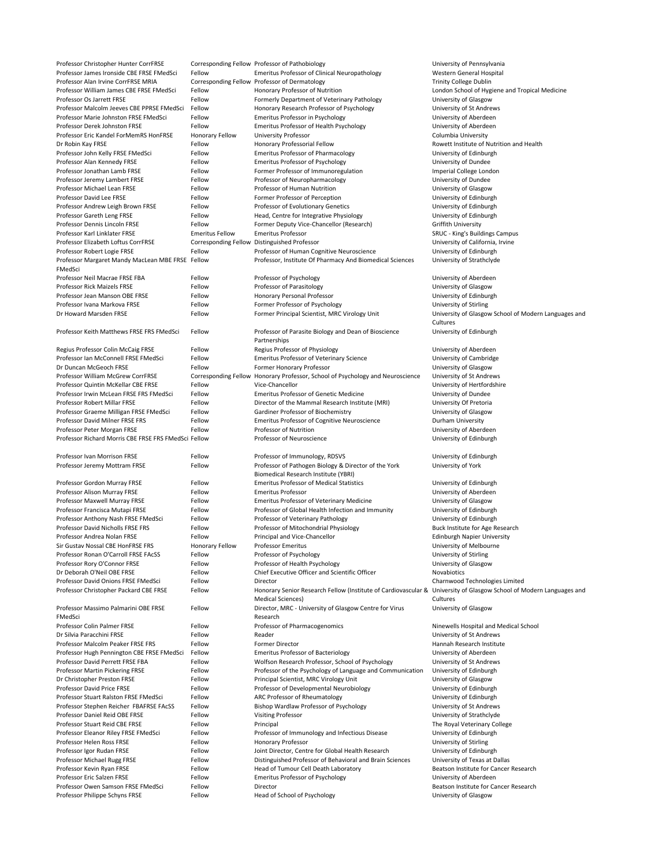Professor Christopher Hunter CorrFRSE Corresponding Fellow Professor of Pathobiology University of Pennsylvania Professor James Ironside CBE FRSE FMedSci Fellow Emeritus Professor of Clinical Neuropathology Western General Hospital Professor Alan Irvine CorrFRSE MRIA Corresponding Fellow Professor of Dermatology Trinity College Dublin Professor William James CBE FRSE FMedSci Fellow Honorary Professor of Nutrition London School of Hygiene and Tropical Medicine Professor Os Jarrett FRSE Fellow Fellow Formerly Department of Veterinary Pathology University of Glasgow Professor Malcolm Jeeves CBE PPRSE FMedSci Fellow Honorary Research Professor of Psychology University of St Andrews Professor Marie Johnston FRSE FMedSci Fellow Emeritus Professor in Psychology Feromethic Chiversity of Aberdeen Professor Derek Johnston FRSE Fellow Emeritus Professor of Health Psychology Ferofessor Of Health Psychology Professor Eric Kandel ForMemRS HonFRSE Honorary Fellow University Professor Columbia University Columbia University Dr Robin Kay FRSE **Example 20 Fellow** Honorary Professorial Fellow **Rowett Institute of Nutrition and Health** Professor John Kelly FRSE FMedSci Fellow Emeritus Professor of Pharmacology Fellow Emeritus Professor of Pharmacology Professor Alan Kennedy FRSE Fellow Emeritus Professor of Psychology Fellow Emeritus Professor of Psychology Professor Jonathan Lamb FRSE Fellow Fellow Former Professor of Immunoregulation Imperial College London Professor Jeremy Lambert FRSE Fellow Fellow Professor of Neuropharmacology Ferofessor Jeremy Lambert FRSE Professor Michael Lean FRSE Fellow Fellow Professor of Human Nutrition Professor Chassen University of Glasgow Professor David Lee FRSE Fellow Fellow Former Professor of Perception Former Professor of Penness Contains Fellow Professor Andrew Leigh Brown FRSE Fellow Professor of Evolutionary Genetics Ferofessor Andrew Leigh Brown FRSE Professor Gareth Leng FRSE Fellow Fellow Head, Centre for Integrative Physiology Fellow Buniversity of Edinburgh Professor Dennis Lincoln FRSE Fellow Fellow Former Deputy Vice-Chancellor (Research) Griffith University Professor Karl Linklater FRSE **Emeritus Fellow** Emeritus Professor **Emeritus Professor** SRUC - King's Buildings Campus Professor Elizabeth Loftus CorrFRSE Corresponding Fellow Distinguished Professor Corresponding Fellow Distinguished Professor Professor Robert Logie FRSE Fellow Fellow Professor of Human Cognitive Neuroscience University of Edinburgh Professor Margaret Mandy MacLean MBE FRSE FMedSci Professor, Institute Of Pharmacy And Biomedical Sciences University of Strathclyde Professor Neil Macrae FRSE FBA Fellow Professor of Psychology Fellow Professor of Psychology Diviversity of Aberdeen Professor Rick Maizels FRSE FRSE FELLOW Professor of Parasitology Fellow Professor of Parasitology Professor Muniversity of Glasgow Professor Jean Manson OBE FRSE FERSE FELLOW Honorary Personal Professor Fersonal Professor Fellow Fellow Fellow Professor Ivana Markova FRSE Fellow Former Professor of Psychology Former Professor of Psychology Dniversity of Stirling Dr Howard Marsden FRSE Fellow Fellow Former Principal Scientist, MRC Virology Unit University of Glasgow School of Modern Languages and **Cultures** Professor Keith Matthews FRSE FRS FMedSci Fellow Professor of Parasite Biology and Dean of Bioscience Partnerships University of Edinburgh Regius Professor Colin McCaig FRSE Fellow Regius Professor of Physiology **Regius Professor Colin McCaig FRSE** Fellow Professor Ian McConnell FRSE FMedSci Fellow Emeritus Professor of Veterinary Science University of Cambridge Dr Duncan McGeoch FRSE Fellow Fellow Former Honorary Professor Former Honorary Professor University of Glasgow Professor William McGrew CorrFRSE Corresponding Fellow Honorary Professor, School of Psychology and Neuroscience University of St Andrews Professor Quintin McKellar CBE FRSE Fellow Vice-Chancellor University of Hertfordshire Professor Irwin McLean FRSE FRS FMedSci Fellow Emeritus Professor of Genetic Medicine University of Dundee Professor Robert Millar FRSE Fellow Fellow Director of the Mammal Research Institute (MRI) University Of Pretoria Professor Graeme Milligan FRSE FMedSci Fellow Gardiner Professor of Biochemistry Ferofessor Graeme Milligan FRSE FMedSci Fellow Gardiner Professor of Biochemistry Professor David Milner FRSE FRS Fellow Emeritus Professor of Cognitive Neuroscience Durham University Professor Peter Morgan FRSE Fellow Fellow Professor of Nutrition Changes and Muslim University of Aberdeen Professor Richard Morris CBE FRSE FRS FMedSci Fellow Professor of Neuroscience Versity of Edinburgh Professor Ivan Morrison FRSE Fellow Fellow Professor of Immunology, RDSVS Professor University of Edinburgh Professor Jeremy Mottram FRSE Fellow Fellow Professor of Pathogen Biology & Director of the York Biomedical Research Institute (YBRI) University of York Professor Gordon Murray FRSE Fellow Emeritus Professor of Medical Statistics Feliniversity of Edinburgh Professor Alison Murray FRSE Fellow Emeritus Professor Emeritus Professor and Emeritus Professor Buniversity of Aberdeen Professor Maxwell Murray FRSE Fellow Emeritus Professor of Veterinary Medicine University of Glasgow Professor Francisca Mutapi FRSE Fellow Fellow Professor of Global Health Infection and Immunity University of Edinburgh

| Professor Anthony Nash FRSE FMedSci             | Fellow                 | Professor of Veterinary Pathology                                                          | University of Edinburgh                                          |
|-------------------------------------------------|------------------------|--------------------------------------------------------------------------------------------|------------------------------------------------------------------|
| <b>Professor David Nicholls FRSE FRS</b>        | Fellow                 | Professor of Mitochondrial Physiology                                                      | Buck Institute for Age Research                                  |
| Professor Andrea Nolan FRSE                     | Fellow                 | Principal and Vice-Chancellor                                                              | <b>Edinburgh Napier University</b>                               |
| Sir Gustav Nossal CBE HonFRSE FRS               | <b>Honorary Fellow</b> | <b>Professor Emeritus</b>                                                                  | University of Melbourne                                          |
| Professor Ronan O'Carroll FRSE FAcSS            | Fellow                 | Professor of Psychology                                                                    | University of Stirling                                           |
| Professor Rory O'Connor FRSE                    | Fellow                 | Professor of Health Psychology                                                             | University of Glasgow                                            |
| Dr Deborah O'Neil OBE FRSE                      | Fellow                 | Chief Executive Officer and Scientific Officer                                             | <b>Novabiotics</b>                                               |
| Professor David Onions FRSE FMedSci             | Fellow                 | Director                                                                                   | Charnwood Technologies Limited                                   |
| Professor Christopher Packard CBE FRSE          | Fellow                 | Honorary Senior Research Fellow (Institute of Cardiovascular &<br><b>Medical Sciences)</b> | University of Glasgow School of Modern Languages and<br>Cultures |
| Professor Massimo Palmarini OBE FRSE<br>FMedSci | Fellow                 | Director, MRC - University of Glasgow Centre for Virus<br>Research                         | University of Glasgow                                            |
| Professor Colin Palmer FRSE                     | Fellow                 | Professor of Pharmacogenomics                                                              | Ninewells Hospital and Medical School                            |
| Dr Silvia Paracchini FRSE                       | Fellow                 | Reader                                                                                     | University of St Andrews                                         |
| Professor Malcolm Peaker FRSE FRS               | Fellow                 | <b>Former Director</b>                                                                     | Hannah Research Institute                                        |
| Professor Hugh Pennington CBE FRSE FMedSci      | Fellow                 | <b>Emeritus Professor of Bacteriology</b>                                                  | University of Aberdeen                                           |
| Professor David Perrett FRSE FBA                | Fellow                 | Wolfson Research Professor, School of Psychology                                           | University of St Andrews                                         |
| Professor Martin Pickering FRSE                 | Fellow                 | Professor of the Psychology of Language and Communication                                  | University of Edinburgh                                          |
| Dr Christopher Preston FRSE                     | Fellow                 | Principal Scientist, MRC Virology Unit                                                     | University of Glasgow                                            |
| <b>Professor David Price FRSE</b>               | Fellow                 | Professor of Developmental Neurobiology                                                    | University of Edinburgh                                          |
| Professor Stuart Ralston FRSE FMedSci           | Fellow                 | ARC Professor of Rheumatology                                                              | University of Edinburgh                                          |
| Professor Stephen Reicher FBAFRSE FAcSS         | Fellow                 | Bishop Wardlaw Professor of Psychology                                                     | University of St Andrews                                         |
| Professor Daniel Reid OBE FRSE                  | Fellow                 | <b>Visiting Professor</b>                                                                  | University of Strathclyde                                        |
| Professor Stuart Reid CBE FRSE                  | Fellow                 | Principal                                                                                  | The Royal Veterinary College                                     |
| Professor Eleanor Riley FRSE FMedSci            | Fellow                 | Professor of Immunology and Infectious Disease                                             | University of Edinburgh                                          |
| Professor Helen Ross FRSE                       | Fellow                 | <b>Honorary Professor</b>                                                                  | University of Stirling                                           |
| Professor Igor Rudan FRSE                       | Fellow                 | Joint Director, Centre for Global Health Research                                          | University of Edinburgh                                          |
| Professor Michael Rugg FRSE                     | Fellow                 | Distinguished Professor of Behavioral and Brain Sciences                                   | University of Texas at Dallas                                    |
| Professor Kevin Ryan FRSE                       | Fellow                 | Head of Tumour Cell Death Laboratory                                                       | Beatson Institute for Cancer Research                            |
| Professor Eric Salzen FRSE                      | Fellow                 | <b>Emeritus Professor of Psychology</b>                                                    | University of Aberdeen                                           |
| Professor Owen Samson FRSE FMedSci              | Fellow                 | Director                                                                                   | Beatson Institute for Cancer Research                            |
| Professor Philippe Schyns FRSE                  | Fellow                 | Head of School of Psychology                                                               | University of Glasgow                                            |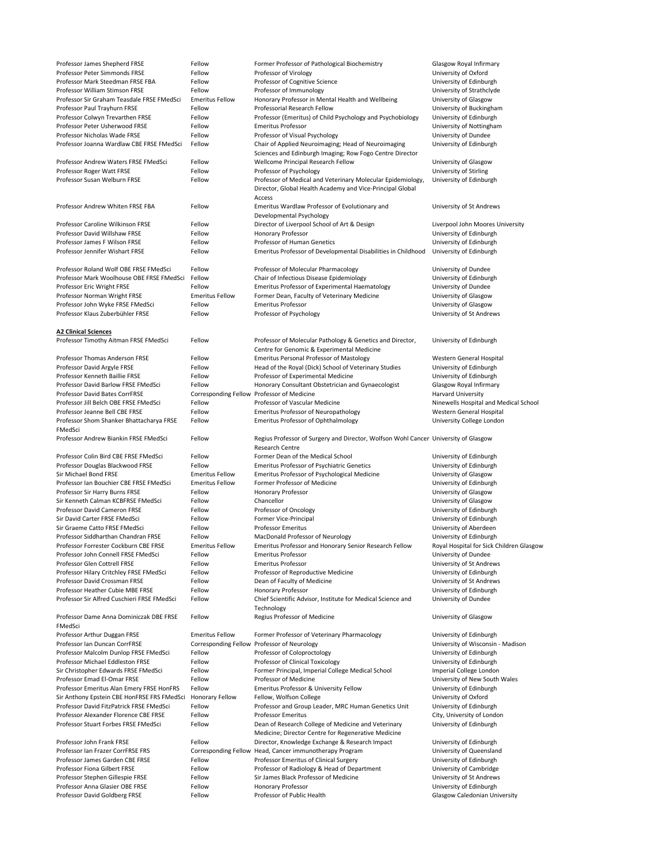| Professor James Shepherd FRSE                                    | Fellow                      | Former Professor of Pathological Biochemistry                                       | <b>Glasgow Royal Infirmary</b>                                  |
|------------------------------------------------------------------|-----------------------------|-------------------------------------------------------------------------------------|-----------------------------------------------------------------|
| Professor Peter Simmonds FRSE                                    | Fellow                      | Professor of Virology                                                               | University of Oxford                                            |
| Professor Mark Steedman FRSE FBA                                 | Fellow                      | Professor of Cognitive Science                                                      | University of Edinburgh                                         |
| Professor William Stimson FRSE                                   | Fellow                      | Professor of Immunology                                                             | University of Strathclyde                                       |
| Professor Sir Graham Teasdale FRSE FMedSci                       | <b>Emeritus Fellow</b>      | Honorary Professor in Mental Health and Wellbeing                                   | University of Glasgow                                           |
| Professor Paul Trayhurn FRSE                                     | Fellow                      | Professorial Research Fellow                                                        |                                                                 |
|                                                                  |                             |                                                                                     | University of Buckingham                                        |
| Professor Colwyn Trevarthen FRSE                                 | Fellow                      | Professor (Emeritus) of Child Psychology and Psychobiology                          | University of Edinburgh                                         |
| Professor Peter Usherwood FRSE                                   | Fellow                      | <b>Emeritus Professor</b>                                                           | University of Nottingham                                        |
| Professor Nicholas Wade FRSE                                     | Fellow                      | Professor of Visual Psychology                                                      | University of Dundee                                            |
| Professor Joanna Wardlaw CBE FRSE FMedSci                        | Fellow                      | Chair of Applied Neuroimaging; Head of Neuroimaging                                 | University of Edinburgh                                         |
|                                                                  |                             | Sciences and Edinburgh Imaging; Row Fogo Centre Director                            |                                                                 |
| Professor Andrew Waters FRSE FMedSci                             | Fellow                      | Wellcome Principal Research Fellow                                                  | University of Glasgow                                           |
| Professor Roger Watt FRSE                                        | Fellow                      | Professor of Psychology                                                             | University of Stirling                                          |
| Professor Susan Welburn FRSE                                     | Fellow                      | Professor of Medical and Veterinary Molecular Epidemiology,                         | University of Edinburgh                                         |
|                                                                  |                             | Director, Global Health Academy and Vice-Principal Global                           |                                                                 |
|                                                                  |                             | Access                                                                              |                                                                 |
| Professor Andrew Whiten FRSE FBA                                 | Fellow                      | Emeritus Wardlaw Professor of Evolutionary and                                      | University of St Andrews                                        |
|                                                                  |                             | Developmental Psychology                                                            |                                                                 |
| Professor Caroline Wilkinson FRSE                                |                             |                                                                                     |                                                                 |
|                                                                  | Fellow                      | Director of Liverpool School of Art & Design                                        | Liverpool John Moores University                                |
| Professor David Willshaw FRSE                                    | Fellow                      | <b>Honorary Professor</b>                                                           | University of Edinburgh                                         |
| Professor James F Wilson FRSE                                    | Fellow                      | <b>Professor of Human Genetics</b>                                                  | University of Edinburgh                                         |
| Professor Jennifer Wishart FRSE                                  | Fellow                      | Emeritus Professor of Developmental Disabilities in Childhood                       | University of Edinburgh                                         |
|                                                                  |                             |                                                                                     |                                                                 |
| Professor Roland Wolf OBE FRSE FMedSci                           | Fellow                      | Professor of Molecular Pharmacology                                                 | University of Dundee                                            |
| Professor Mark Woolhouse OBE FRSE FMedSci                        | Fellow                      | Chair of Infectious Disease Epidemiology                                            | University of Edinburgh                                         |
| Professor Eric Wright FRSE                                       | Fellow                      | <b>Emeritus Professor of Experimental Haematology</b>                               | University of Dundee                                            |
| Professor Norman Wright FRSE                                     | <b>Emeritus Fellow</b>      | Former Dean, Faculty of Veterinary Medicine                                         | University of Glasgow                                           |
| Professor John Wyke FRSE FMedSci                                 | Fellow                      | <b>Emeritus Professor</b>                                                           | University of Glasgow                                           |
| Professor Klaus Zuberbühler FRSE                                 | Fellow                      | Professor of Psychology                                                             | University of St Andrews                                        |
|                                                                  |                             |                                                                                     |                                                                 |
|                                                                  |                             |                                                                                     |                                                                 |
| <b>A2 Clinical Sciences</b>                                      |                             |                                                                                     |                                                                 |
| Professor Timothy Aitman FRSE FMedSci                            | Fellow                      | Professor of Molecular Pathology & Genetics and Director,                           | University of Edinburgh                                         |
|                                                                  |                             | Centre for Genomic & Experimental Medicine                                          |                                                                 |
| <b>Professor Thomas Anderson FRSE</b>                            | Fellow                      | <b>Emeritus Personal Professor of Mastology</b>                                     | Western General Hospital                                        |
| Professor David Argyle FRSE                                      | Fellow                      | Head of the Royal (Dick) School of Veterinary Studies                               | University of Edinburgh                                         |
| Professor Kenneth Baillie FRSE                                   | Fellow                      | Professor of Experimental Medicine                                                  | University of Edinburgh                                         |
| Professor David Barlow FRSE FMedSci                              | Fellow                      | Honorary Consultant Obstetrician and Gynaecologist                                  | <b>Glasgow Royal Infirmary</b>                                  |
| <b>Professor David Bates CorrFRSE</b>                            |                             | Corresponding Fellow Professor of Medicine                                          | <b>Harvard University</b>                                       |
| Professor Jill Belch OBE FRSE FMedSci                            | Fellow                      | Professor of Vascular Medicine                                                      | Ninewells Hospital and Medical School                           |
| Professor Jeanne Bell CBE FRSE                                   | Fellow                      | <b>Emeritus Professor of Neuropathology</b>                                         | Western General Hospital                                        |
| Professor Shom Shanker Bhattacharya FRSE                         | Fellow                      | <b>Emeritus Professor of Ophthalmology</b>                                          | University College London                                       |
| FMedSci                                                          |                             |                                                                                     |                                                                 |
|                                                                  |                             |                                                                                     |                                                                 |
|                                                                  |                             |                                                                                     |                                                                 |
| Professor Andrew Biankin FRSE FMedSci                            | Fellow                      | Regius Professor of Surgery and Director, Wolfson Wohl Cancer University of Glasgow |                                                                 |
|                                                                  |                             | <b>Research Centre</b>                                                              |                                                                 |
| Professor Colin Bird CBE FRSE FMedSci                            | Fellow                      | Former Dean of the Medical School                                                   | University of Edinburgh                                         |
| Professor Douglas Blackwood FRSE                                 | Fellow                      | <b>Emeritus Professor of Psychiatric Genetics</b>                                   | University of Edinburgh                                         |
| Sir Michael Bond FRSE                                            | <b>Emeritus Fellow</b>      | <b>Emeritus Professor of Psychological Medicine</b>                                 | University of Glasgow                                           |
| Professor Ian Bouchier CBE FRSE FMedSci                          | <b>Emeritus Fellow</b>      | Former Professor of Medicine                                                        | University of Edinburgh                                         |
| Professor Sir Harry Burns FRSE                                   | Fellow                      | <b>Honorary Professor</b>                                                           | University of Glasgow                                           |
| Sir Kenneth Calman KCBFRSE FMedSci                               | Fellow                      | Chancellor                                                                          | University of Glasgow                                           |
| <b>Professor David Cameron FRSE</b>                              | Fellow                      | Professor of Oncology                                                               | University of Edinburgh                                         |
| Sir David Carter FRSE FMedSci                                    | Fellow                      |                                                                                     |                                                                 |
|                                                                  |                             | <b>Former Vice-Principal</b>                                                        | University of Edinburgh                                         |
| Sir Graeme Catto FRSE FMedSci                                    | Fellow                      | <b>Professor Emeritus</b>                                                           | University of Aberdeen                                          |
| Professor Siddharthan Chandran FRSE                              | Fellow                      | MacDonald Professor of Neurology                                                    | University of Edinburgh                                         |
| Professor Forrester Cockburn CBE FRSE                            | <b>Emeritus Fellow</b>      | Emeritus Professor and Honorary Senior Research Fellow                              | Royal Hospital for Sick Children Glasgow                        |
| Professor John Connell FRSE FMedSci                              | Fellow                      | <b>Emeritus Professor</b>                                                           | University of Dundee                                            |
| Professor Glen Cottrell FRSE                                     | Fellow                      | <b>Emeritus Professor</b>                                                           | University of St Andrews                                        |
| Professor Hilary Critchley FRSE FMedSci                          | Fellow                      | Professor of Reproductive Medicine                                                  | University of Edinburgh                                         |
| Professor David Crossman FRSE                                    | Fellow                      | Dean of Faculty of Medicine                                                         | University of St Andrews                                        |
| Professor Heather Cubie MBE FRSE                                 | Fellow                      | <b>Honorary Professor</b>                                                           | University of Edinburgh                                         |
| Professor Sir Alfred Cuschieri FRSE FMedSci                      | Fellow                      | Chief Scientific Advisor, Institute for Medical Science and                         | University of Dundee                                            |
|                                                                  |                             | Technology                                                                          |                                                                 |
| Professor Dame Anna Dominiczak DBE FRSE                          | Fellow                      | Regius Professor of Medicine                                                        | University of Glasgow                                           |
| FMedSci                                                          |                             |                                                                                     |                                                                 |
| Professor Arthur Duggan FRSE                                     | <b>Emeritus Fellow</b>      |                                                                                     | University of Edinburgh                                         |
| Professor Ian Duncan CorrFRSE                                    |                             | Former Professor of Veterinary Pharmacology                                         |                                                                 |
|                                                                  | <b>Corresponding Fellow</b> | Professor of Neurology                                                              | University of Wisconsin - Madison                               |
| Professor Malcolm Dunlop FRSE FMedSci                            | Fellow                      | Professor of Coloproctology                                                         | University of Edinburgh                                         |
| Professor Michael Eddleston FRSE                                 | Fellow                      | Professor of Clinical Toxicology                                                    | University of Edinburgh                                         |
| Sir Christopher Edwards FRSE FMedSci                             | Fellow                      | Former Principal, Imperial College Medical School                                   | Imperial College London                                         |
| Professor Emad El-Omar FRSE                                      | Fellow                      | Professor of Medicine                                                               | University of New South Wales                                   |
| Professor Emeritus Alan Emery FRSE HonFRS                        | Fellow                      | <b>Emeritus Professor &amp; University Fellow</b>                                   | University of Edinburgh                                         |
| Sir Anthony Epstein CBE HonFRSE FRS FMedSci                      | <b>Honorary Fellow</b>      | Fellow, Wolfson College                                                             | University of Oxford                                            |
| Professor David FitzPatrick FRSE FMedSci                         | Fellow                      | Professor and Group Leader, MRC Human Genetics Unit                                 | University of Edinburgh                                         |
| Professor Alexander Florence CBE FRSE                            | Fellow                      | <b>Professor Emeritus</b>                                                           | City, University of London                                      |
| Professor Stuart Forbes FRSE FMedSci                             | Fellow                      | Dean of Research College of Medicine and Veterinary                                 | University of Edinburgh                                         |
|                                                                  |                             | Medicine; Director Centre for Regenerative Medicine                                 |                                                                 |
| Professor John Frank FRSE                                        | Fellow                      | Director, Knowledge Exchange & Research Impact                                      | University of Edinburgh                                         |
| Professor Ian Frazer CorrFRSE FRS                                | <b>Corresponding Fellow</b> | Head, Cancer immunotherapy Program                                                  | University of Queensland                                        |
| Professor James Garden CBE FRSE                                  | Fellow                      | Professor Emeritus of Clinical Surgery                                              | University of Edinburgh                                         |
| <b>Professor Fiona Gilbert FRSE</b>                              | Fellow                      | Professor of Radiology & Head of Department                                         | University of Cambridge                                         |
|                                                                  | Fellow                      | Sir James Black Professor of Medicine                                               |                                                                 |
| Professor Stephen Gillespie FRSE                                 |                             |                                                                                     | University of St Andrews                                        |
| Professor Anna Glasier OBE FRSE<br>Professor David Goldberg FRSE | Fellow<br>Fellow            | <b>Honorary Professor</b><br>Professor of Public Health                             | University of Edinburgh<br><b>Glasgow Caledonian University</b> |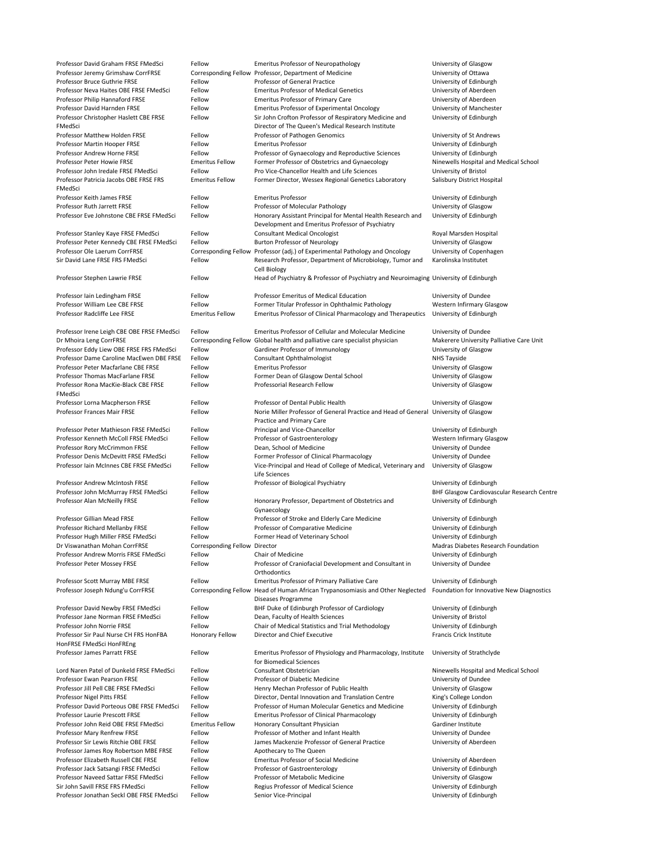| Professor David Graham FRSE FMedSci             | Fellow                               | <b>Emeritus Professor of Neuropathology</b>                                                                     | University of Glasgow                             |
|-------------------------------------------------|--------------------------------------|-----------------------------------------------------------------------------------------------------------------|---------------------------------------------------|
| Professor Jeremy Grimshaw CorrFRSE              |                                      | Corresponding Fellow Professor, Department of Medicine                                                          | University of Ottawa                              |
| <b>Professor Bruce Guthrie FRSE</b>             | Fellow                               | Professor of General Practice                                                                                   | University of Edinburgh                           |
| Professor Neva Haites OBE FRSE FMedSci          | Fellow                               | <b>Emeritus Professor of Medical Genetics</b>                                                                   | University of Aberdeen                            |
| Professor Philip Hannaford FRSE                 | Fellow                               | <b>Emeritus Professor of Primary Care</b>                                                                       | University of Aberdeen                            |
| Professor David Harnden FRSE                    | Fellow                               | <b>Emeritus Professor of Experimental Oncology</b>                                                              | University of Manchester                          |
| Professor Christopher Haslett CBE FRSE          | Fellow                               | Sir John Crofton Professor of Respiratory Medicine and                                                          | University of Edinburgh                           |
| FMedSci                                         |                                      | Director of The Queen's Medical Research Institute                                                              |                                                   |
| <b>Professor Matthew Holden FRSE</b>            | Fellow                               | Professor of Pathogen Genomics                                                                                  | University of St Andrews                          |
| Professor Martin Hooper FRSE                    | Fellow                               | <b>Emeritus Professor</b>                                                                                       | University of Edinburgh                           |
| Professor Andrew Horne FRSE                     | Fellow                               | Professor of Gynaecology and Reproductive Sciences                                                              | University of Edinburgh                           |
| <b>Professor Peter Howie FRSE</b>               | <b>Emeritus Fellow</b>               | Former Professor of Obstetrics and Gynaecology                                                                  | Ninewells Hospital and Medical School             |
| Professor John Iredale FRSE FMedSci             | Fellow                               | Pro Vice-Chancellor Health and Life Sciences                                                                    |                                                   |
|                                                 |                                      |                                                                                                                 | University of Bristol                             |
| Professor Patricia Jacobs OBE FRSE FRS          | <b>Emeritus Fellow</b>               | Former Director, Wessex Regional Genetics Laboratory                                                            | Salisbury District Hospital                       |
| FMedSci                                         |                                      |                                                                                                                 |                                                   |
| Professor Keith James FRSE                      | Fellow                               | <b>Emeritus Professor</b>                                                                                       | University of Edinburgh                           |
| Professor Ruth Jarrett FRSE                     | Fellow                               | Professor of Molecular Pathology                                                                                | University of Glasgow                             |
| Professor Eve Johnstone CBE FRSE FMedSci        | Fellow                               | Honorary Assistant Principal for Mental Health Research and<br>Development and Emeritus Professor of Psychiatry | University of Edinburgh                           |
| Professor Stanley Kaye FRSE FMedSci             | Fellow                               | <b>Consultant Medical Oncologist</b>                                                                            | Royal Marsden Hospital                            |
| Professor Peter Kennedy CBE FRSE FMedSci        | Fellow                               | <b>Burton Professor of Neurology</b>                                                                            | University of Glasgow                             |
| Professor Ole Laerum CorrFRSE                   |                                      | Corresponding Fellow Professor (adj.) of Experimental Pathology and Oncology                                    | University of Copenhagen                          |
| Sir David Lane FRSE FRS FMedSci                 | Fellow                               | Research Professor, Department of Microbiology, Tumor and                                                       | Karolinska Institutet                             |
|                                                 |                                      | Cell Biology                                                                                                    |                                                   |
| Professor Stephen Lawrie FRSE                   | Fellow                               | Head of Psychiatry & Professor of Psychiatry and Neuroimaging University of Edinburgh                           |                                                   |
|                                                 |                                      |                                                                                                                 |                                                   |
| Professor Iain Ledingham FRSE                   | Fellow                               | <b>Professor Emeritus of Medical Education</b>                                                                  | University of Dundee                              |
| Professor William Lee CBE FRSE                  | Fellow                               | Former Titular Professor in Ophthalmic Pathology                                                                | <b>Western Infirmary Glasgow</b>                  |
| Professor Radcliffe Lee FRSE                    | <b>Emeritus Fellow</b>               | Emeritus Professor of Clinical Pharmacology and Therapeutics University of Edinburgh                            |                                                   |
|                                                 |                                      |                                                                                                                 |                                                   |
| Professor Irene Leigh CBE OBE FRSE FMedSci      | Fellow                               | <b>Emeritus Professor of Cellular and Molecular Medicine</b>                                                    | University of Dundee                              |
| Dr Mhoira Leng CorrFRSE                         |                                      | Corresponding Fellow Global health and palliative care specialist physician                                     | Makerere University Palliative Care Unit          |
| Professor Eddy Liew OBE FRSE FRS FMedSci        | Fellow                               | Gardiner Professor of Immunology                                                                                | University of Glasgow                             |
| Professor Dame Caroline MacEwen DBE FRSE        | Fellow                               | <b>Consultant Ophthalmologist</b>                                                                               | <b>NHS Tayside</b>                                |
|                                                 |                                      |                                                                                                                 |                                                   |
| Professor Peter Macfarlane CBE FRSE             | Fellow                               | <b>Emeritus Professor</b>                                                                                       | University of Glasgow                             |
| <b>Professor Thomas MacFarlane FRSE</b>         | Fellow                               | Former Dean of Glasgow Dental School                                                                            | University of Glasgow                             |
| Professor Rona MacKie-Black CBE FRSE<br>FMedSci | Fellow                               | Professorial Research Fellow                                                                                    | University of Glasgow                             |
| Professor Lorna Macpherson FRSE                 | Fellow                               | Professor of Dental Public Health                                                                               | University of Glasgow                             |
| <b>Professor Frances Mair FRSE</b>              | Fellow                               | Norie Miller Professor of General Practice and Head of General                                                  | <b>University of Glasgow</b>                      |
|                                                 |                                      | Practice and Primary Care                                                                                       |                                                   |
| Professor Peter Mathieson FRSE FMedSci          | Fellow                               | Principal and Vice-Chancellor                                                                                   | University of Edinburgh                           |
|                                                 |                                      |                                                                                                                 |                                                   |
| Professor Kenneth McColl FRSE FMedSci           | Fellow                               | Professor of Gastroenterology                                                                                   | <b>Western Infirmary Glasgow</b>                  |
| Professor Rory McCrimmon FRSE                   | Fellow                               | Dean, School of Medicine                                                                                        | University of Dundee                              |
| Professor Denis McDevitt FRSE FMedSci           | Fellow                               | Former Professor of Clinical Pharmacology                                                                       | University of Dundee                              |
| Professor Iain McInnes CBE FRSE FMedSci         | Fellow                               | Vice-Principal and Head of College of Medical, Veterinary and<br>Life Sciences                                  | University of Glasgow                             |
| <b>Professor Andrew McIntosh FRSE</b>           | Fellow                               | Professor of Biological Psychiatry                                                                              | University of Edinburgh                           |
|                                                 |                                      |                                                                                                                 | <b>BHF Glasgow Cardiovascular Research Centre</b> |
|                                                 |                                      |                                                                                                                 |                                                   |
| Professor John McMurray FRSE FMedSci            | Fellow                               |                                                                                                                 |                                                   |
| Professor Alan McNeilly FRSE                    | Fellow                               | Honorary Professor, Department of Obstetrics and                                                                | University of Edinburgh                           |
|                                                 |                                      | Gynaecology                                                                                                     |                                                   |
| <b>Professor Gillian Mead FRSE</b>              | Fellow                               | Professor of Stroke and Elderly Care Medicine                                                                   | University of Edinburgh                           |
| Professor Richard Mellanby FRSE                 | Fellow                               | Professor of Comparative Medicine                                                                               | University of Edinburgh                           |
| Professor Hugh Miller FRSE FMedSci              | Fellow                               | Former Head of Veterinary School                                                                                | University of Edinburgh                           |
| Dr Viswanathan Mohan CorrFRSE                   | <b>Corresponding Fellow Director</b> |                                                                                                                 | <b>Madras Diabetes Research Foundation</b>        |
| Professor Andrew Morris FRSE FMedSci            | Fellow                               | <b>Chair of Medicine</b>                                                                                        | University of Edinburgh                           |
| Professor Peter Mossey FRSE                     | Fellow                               |                                                                                                                 |                                                   |
|                                                 |                                      | Professor of Craniofacial Development and Consultant in<br>Orthodontics                                         | University of Dundee                              |
|                                                 | Fellow                               | <b>Emeritus Professor of Primary Palliative Care</b>                                                            |                                                   |
| Professor Scott Murray MBE FRSE                 |                                      |                                                                                                                 | University of Edinburgh                           |
| Professor Joseph Ndung'u CorrFRSE               |                                      | Corresponding Fellow Head of Human African Trypanosomiasis and Other Neglected                                  | Foundation for Innovative New Diagnostics         |
|                                                 |                                      | Diseases Programme                                                                                              |                                                   |
| Professor David Newby FRSE FMedSci              | Fellow                               | BHF Duke of Edinburgh Professor of Cardiology                                                                   | University of Edinburgh                           |
| Professor Jane Norman FRSE FMedSci              | Fellow                               | Dean, Faculty of Health Sciences                                                                                | University of Bristol                             |
| Professor John Norrie FRSE                      | Fellow                               | Chair of Medical Statistics and Trial Methodology                                                               | University of Edinburgh                           |
| Professor Sir Paul Nurse CH FRS HonFBA          | <b>Honorary Fellow</b>               | Director and Chief Executive                                                                                    | <b>Francis Crick Institute</b>                    |
| HonFRSE FMedSci HonFREng                        |                                      |                                                                                                                 |                                                   |
| <b>Professor James Parratt FRSE</b>             | Fellow                               | Emeritus Professor of Physiology and Pharmacology, Institute                                                    | University of Strathclyde                         |
|                                                 |                                      | for Biomedical Sciences                                                                                         |                                                   |
| Lord Naren Patel of Dunkeld FRSE FMedSci        | Fellow                               | Consultant Obstetrician                                                                                         | Ninewells Hospital and Medical School             |
| <b>Professor Ewan Pearson FRSE</b>              | Fellow                               | Professor of Diabetic Medicine                                                                                  | University of Dundee                              |
| Professor Jill Pell CBE FRSE FMedSci            | Fellow                               | Henry Mechan Professor of Public Health                                                                         | University of Glasgow                             |
| Professor Nigel Pitts FRSE                      | Fellow                               | Director, Dental Innovation and Translation Centre                                                              | King's College London                             |
| Professor David Porteous OBE FRSE FMedSci       | Fellow                               | Professor of Human Molecular Genetics and Medicine                                                              | University of Edinburgh                           |
| <b>Professor Laurie Prescott FRSE</b>           | Fellow                               |                                                                                                                 |                                                   |
|                                                 |                                      | <b>Emeritus Professor of Clinical Pharmacology</b>                                                              | University of Edinburgh                           |
| Professor John Reid OBE FRSE FMedSci            | <b>Emeritus Fellow</b>               | Honorary Consultant Physician                                                                                   | Gardiner Institute                                |
| Professor Mary Renfrew FRSE                     | Fellow                               | Professor of Mother and Infant Health                                                                           | University of Dundee                              |
| Professor Sir Lewis Ritchie OBE FRSE            | Fellow                               | James Mackenzie Professor of General Practice                                                                   | University of Aberdeen                            |
| Professor James Roy Robertson MBE FRSE          | Fellow                               | Apothecary to The Queen                                                                                         |                                                   |
| Professor Elizabeth Russell CBE FRSE            | Fellow                               | <b>Emeritus Professor of Social Medicine</b>                                                                    | University of Aberdeen                            |
| Professor Jack Satsangi FRSE FMedSci            | Fellow                               | Professor of Gastroenterology                                                                                   | University of Edinburgh                           |
| Professor Naveed Sattar FRSE FMedSci            | Fellow                               | Professor of Metabolic Medicine                                                                                 | University of Glasgow                             |
| Sir John Savill FRSE FRS FMedSci                | Fellow                               | Regius Professor of Medical Science                                                                             | University of Edinburgh                           |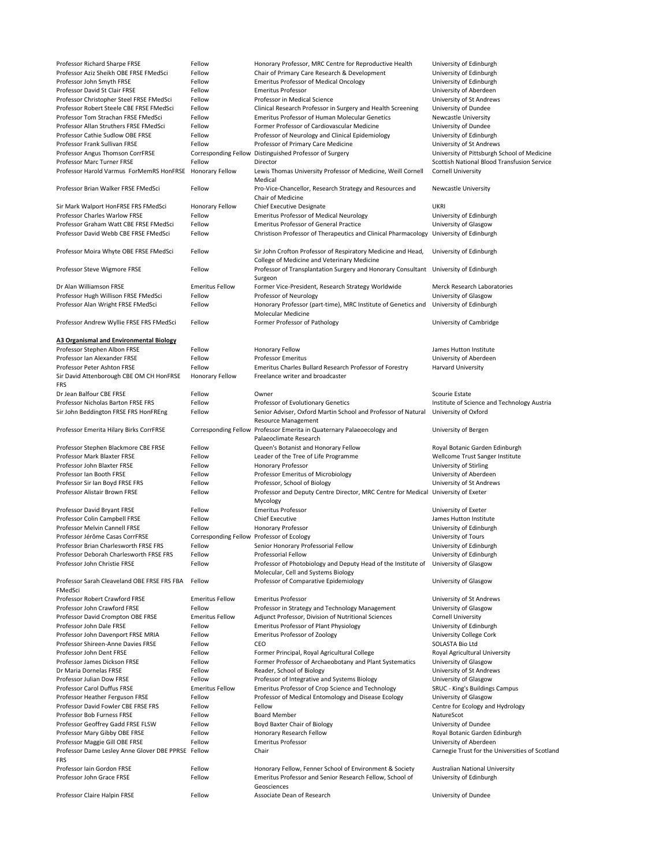| Professor Richard Sharpe FRSE                          | Fellow                      | Honorary Professor, MRC Centre for Reproductive Health                                                      | University of Edinburgh                     |
|--------------------------------------------------------|-----------------------------|-------------------------------------------------------------------------------------------------------------|---------------------------------------------|
| Professor Aziz Sheikh OBE FRSE FMedSci                 | Fellow                      | Chair of Primary Care Research & Development                                                                | University of Edinburgh                     |
| Professor John Smyth FRSE                              | Fellow                      | <b>Emeritus Professor of Medical Oncology</b>                                                               | University of Edinburgh                     |
| Professor David St Clair FRSE                          | Fellow                      | <b>Emeritus Professor</b>                                                                                   | University of Aberdeen                      |
| Professor Christopher Steel FRSE FMedSci               | Fellow                      | Professor in Medical Science                                                                                | University of St Andrews                    |
| Professor Robert Steele CBE FRSE FMedSci               | Fellow                      | Clinical Research Professor in Surgery and Health Screening                                                 | University of Dundee                        |
| Professor Tom Strachan FRSE FMedSci                    | Fellow                      | <b>Emeritus Professor of Human Molecular Genetics</b>                                                       | <b>Newcastle University</b>                 |
| Professor Allan Struthers FRSE FMedSci                 | Fellow                      | Former Professor of Cardiovascular Medicine                                                                 | University of Dundee                        |
| Professor Cathie Sudlow OBE FRSE                       | Fellow                      | Professor of Neurology and Clinical Epidemiology                                                            | University of Edinburgh                     |
| Professor Frank Sullivan FRSE                          | Fellow                      | Professor of Primary Care Medicine                                                                          | University of St Andrews                    |
| Professor Angus Thomson CorrFRSE                       | <b>Corresponding Fellow</b> | Distinguished Professor of Surgery                                                                          | University of Pittsburgh School of Medicine |
| <b>Professor Marc Turner FRSE</b>                      | Fellow                      | Director                                                                                                    | Scottish National Blood Transfusion Service |
| Professor Harold Varmus ForMemRS HonFRSE               | <b>Honorary Fellow</b>      | Lewis Thomas University Professor of Medicine, Weill Cornell<br>Medical                                     | <b>Cornell University</b>                   |
| Professor Brian Walker FRSE FMedSci                    | Fellow                      | Pro-Vice-Chancellor, Research Strategy and Resources and<br>Chair of Medicine                               | <b>Newcastle University</b>                 |
| Sir Mark Walport HonFRSE FRS FMedSci                   | <b>Honorary Fellow</b>      | Chief Executive Designate                                                                                   | <b>UKRI</b>                                 |
| <b>Professor Charles Warlow FRSE</b>                   | Fellow                      | <b>Emeritus Professor of Medical Neurology</b>                                                              | University of Edinburgh                     |
| Professor Graham Watt CBE FRSE FMedSci                 | Fellow                      | <b>Emeritus Professor of General Practice</b>                                                               | University of Glasgow                       |
| Professor David Webb CBE FRSE FMedSci                  | Fellow                      | Christison Professor of Therapeutics and Clinical Pharmacology                                              | University of Edinburgh                     |
| Professor Moira Whyte OBE FRSE FMedSci                 | Fellow                      | Sir John Crofton Professor of Respiratory Medicine and Head,<br>College of Medicine and Veterinary Medicine | University of Edinburgh                     |
| Professor Steve Wigmore FRSE                           | Fellow                      | Professor of Transplantation Surgery and Honorary Consultant University of Edinburgh<br>Surgeon             |                                             |
| Dr Alan Williamson FRSE                                | <b>Emeritus Fellow</b>      | Former Vice-President, Research Strategy Worldwide                                                          | <b>Merck Research Laboratories</b>          |
| Professor Hugh Willison FRSE FMedSci                   | Fellow                      | Professor of Neurology                                                                                      | University of Glasgow                       |
| Professor Alan Wright FRSE FMedSci                     | Fellow                      | Honorary Professor (part-time), MRC Institute of Genetics and<br>Molecular Medicine                         | University of Edinburgh                     |
| Professor Andrew Wyllie FRSE FRS FMedSci               | Fellow                      | Former Professor of Pathology                                                                               | University of Cambridge                     |
| <b>A3 Organismal and Environmental Biology</b>         |                             |                                                                                                             |                                             |
| Professor Stephen Albon FRSE                           | Fellow                      | <b>Honorary Fellow</b>                                                                                      | James Hutton Institute                      |
| Professor Ian Alexander FRSE                           | Fellow                      | <b>Professor Emeritus</b>                                                                                   | University of Aberdeen                      |
| Professor Peter Ashton FRSE                            | Fellow                      | Emeritus Charles Bullard Research Professor of Forestry                                                     | <b>Harvard University</b>                   |
| Sir David Attenborough CBE OM CH HonFRSE<br><b>FRS</b> | <b>Honorary Fellow</b>      | Freelance writer and broadcaster                                                                            |                                             |
| Dr Jean Balfour CBE FRSE                               | Fellow                      | Owner                                                                                                       | <b>Scourie Estate</b>                       |
| <b>Professor Nicholas Barton FRSE FRS</b>              | Fellow                      | Professor of Evolutionary Genetics                                                                          | Institute of Science and Technology Austria |
| Sir John Beddington FRSE FRS HonFREng                  | Fellow                      | Senior Adviser, Oxford Martin School and Professor of Natural<br><b>Resource Management</b>                 | University of Oxford                        |
| Professor Emerita Hilary Birks CorrFRSE                |                             | Corresponding Fellow Professor Emerita in Quaternary Palaeoecology and<br>Palaeoclimate Research            | University of Bergen                        |
| Professor Stephen Blackmore CBE FRSE                   | Fellow                      | Queen's Botanist and Honorary Fellow                                                                        | Royal Botanic Garden Edinburgh              |
| Professor Mark Blaxter FRSE                            | Fellow                      | Leader of the Tree of Life Programme                                                                        | Wellcome Trust Sanger Institute             |
| Professor John Blaxter FRSE                            | Fellow                      | <b>Honorary Professor</b>                                                                                   | University of Stirling                      |
| Professor Ian Booth FRSE                               | Fellow                      | Professor Emeritus of Microbiology                                                                          | University of Aberdeen                      |
| Professor Sir Ian Boyd FRSE FRS                        | Fellow                      | Professor, School of Biology                                                                                | University of St Andrews                    |
| Professor Alistair Brown FRSE                          | Fellow                      | Professor and Deputy Centre Director, MRC Centre for Medical University of Exeter<br>Mycology               |                                             |
| <b>Professor David Bryant FRSE</b>                     | Fellow                      | <b>Emeritus Professor</b>                                                                                   | University of Exeter                        |

| Professor Colin Campbell FRSE                                    | Fellow                                    | <b>Chief Executive</b>                                                                               | James Hutton Institute                          |
|------------------------------------------------------------------|-------------------------------------------|------------------------------------------------------------------------------------------------------|-------------------------------------------------|
| <b>Professor Melvin Cannell FRSE</b>                             | Fellow                                    | <b>Honorary Professor</b>                                                                            | University of Edinburgh                         |
| Professor Jérôme Casas CorrFRSE                                  | Corresponding Fellow Professor of Ecology |                                                                                                      | <b>University of Tours</b>                      |
| Professor Brian Charlesworth FRSE FRS                            | Fellow                                    | Senior Honorary Professorial Fellow                                                                  | University of Edinburgh                         |
| Professor Deborah Charlesworth FRSE FRS                          | Fellow                                    | <b>Professorial Fellow</b>                                                                           | University of Edinburgh                         |
| Professor John Christie FRSE                                     | Fellow                                    | Professor of Photobiology and Deputy Head of the Institute of<br>Molecular, Cell and Systems Biology | University of Glasgow                           |
| Professor Sarah Cleaveland OBE FRSE FRS FBA                      | Fellow                                    | Professor of Comparative Epidemiology                                                                | University of Glasgow                           |
| FMedSci                                                          |                                           |                                                                                                      |                                                 |
| <b>Professor Robert Crawford FRSE</b>                            | <b>Emeritus Fellow</b>                    | <b>Emeritus Professor</b>                                                                            | University of St Andrews                        |
| Professor John Crawford FRSE                                     | Fellow                                    | Professor in Strategy and Technology Management                                                      | University of Glasgow                           |
| Professor David Crompton OBE FRSE                                | <b>Emeritus Fellow</b>                    | Adjunct Professor, Division of Nutritional Sciences                                                  | <b>Cornell University</b>                       |
| Professor John Dale FRSE                                         | Fellow                                    | <b>Emeritus Professor of Plant Physiology</b>                                                        | University of Edinburgh                         |
| Professor John Davenport FRSE MRIA                               | Fellow                                    | <b>Emeritus Professor of Zoology</b>                                                                 | <b>University College Cork</b>                  |
| Professor Shireen-Anne Davies FRSE                               | Fellow                                    | <b>CEO</b>                                                                                           | <b>SOLASTA Bio Ltd</b>                          |
| Professor John Dent FRSE                                         | Fellow                                    | Former Principal, Royal Agricultural College                                                         | Royal Agricultural University                   |
| Professor James Dickson FRSE                                     | Fellow                                    | Former Professor of Archaeobotany and Plant Systematics                                              | University of Glasgow                           |
| Dr Maria Dornelas FRSE                                           | Fellow                                    | Reader, School of Biology                                                                            | University of St Andrews                        |
| <b>Professor Julian Dow FRSE</b>                                 | Fellow                                    | Professor of Integrative and Systems Biology                                                         | University of Glasgow                           |
| <b>Professor Carol Duffus FRSE</b>                               | <b>Emeritus Fellow</b>                    | Emeritus Professor of Crop Science and Technology                                                    | <b>SRUC - King's Buildings Campus</b>           |
| Professor Heather Ferguson FRSE                                  | Fellow                                    | Professor of Medical Entomology and Disease Ecology                                                  | University of Glasgow                           |
| Professor David Fowler CBE FRSE FRS                              | Fellow                                    | Fellow                                                                                               | Centre for Ecology and Hydrology                |
| Professor Bob Furness FRSE                                       | Fellow                                    | <b>Board Member</b>                                                                                  | NatureScot                                      |
| Professor Geoffrey Gadd FRSE FLSW                                | Fellow                                    | <b>Boyd Baxter Chair of Biology</b>                                                                  | University of Dundee                            |
| Professor Mary Gibby OBE FRSE                                    | Fellow                                    | Honorary Research Fellow                                                                             | Royal Botanic Garden Edinburgh                  |
| Professor Maggie Gill OBE FRSE                                   | Fellow                                    | <b>Emeritus Professor</b>                                                                            | University of Aberdeen                          |
| Professor Dame Lesley Anne Glover DBE PPRSE Fellow<br><b>FRS</b> |                                           | Chair                                                                                                | Carnegie Trust for the Universities of Scotland |
| Professor Iain Gordon FRSE                                       | Fellow                                    | Honorary Fellow, Fenner School of Environment & Society                                              | <b>Australian National University</b>           |
| Professor John Grace FRSE                                        | Fellow                                    | Emeritus Professor and Senior Research Fellow, School of<br>Geosciences                              | University of Edinburgh                         |
| Professor Claire Halpin FRSE                                     | Fellow                                    | Associate Dean of Research                                                                           | University of Dundee                            |
|                                                                  |                                           |                                                                                                      |                                                 |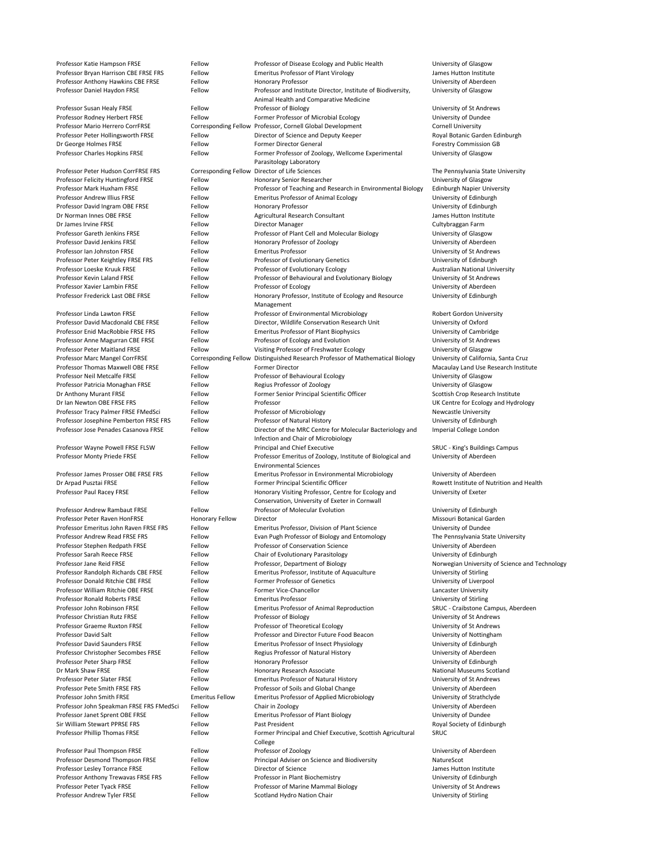| Professor Katie Hampson FRSE             | Fellow                 | Professor of Disease Ecology and Public Health                                | University of Glasgow                          |
|------------------------------------------|------------------------|-------------------------------------------------------------------------------|------------------------------------------------|
|                                          |                        |                                                                               |                                                |
| Professor Bryan Harrison CBE FRSE FRS    | Fellow                 | <b>Emeritus Professor of Plant Virology</b>                                   | James Hutton Institute                         |
| Professor Anthony Hawkins CBE FRSE       | Fellow                 | <b>Honorary Professor</b>                                                     | University of Aberdeen                         |
| Professor Daniel Haydon FRSE             | Fellow                 | Professor and Institute Director, Institute of Biodiversity,                  | University of Glasgow                          |
|                                          |                        | Animal Health and Comparative Medicine                                        |                                                |
| Professor Susan Healy FRSE               | Fellow                 | Professor of Biology                                                          | University of St Andrews                       |
| Professor Rodney Herbert FRSE            | Fellow                 | Former Professor of Microbial Ecology                                         | University of Dundee                           |
| <b>Professor Mario Herrero CorrFRSE</b>  |                        | Corresponding Fellow Professor, Cornell Global Development                    | <b>Cornell University</b>                      |
| Professor Peter Hollingsworth FRSE       | Fellow                 | Director of Science and Deputy Keeper                                         | Royal Botanic Garden Edinburgh                 |
|                                          |                        |                                                                               |                                                |
| Dr George Holmes FRSE                    | Fellow                 | <b>Former Director General</b>                                                | <b>Forestry Commission GB</b>                  |
| Professor Charles Hopkins FRSE           | Fellow                 | Former Professor of Zoology, Wellcome Experimental<br>Parasitology Laboratory | University of Glasgow                          |
|                                          |                        |                                                                               |                                                |
| Professor Peter Hudson CorrFRSE FRS      |                        | Corresponding Fellow Director of Life Sciences                                | The Pennsylvania State University              |
| Professor Felicity Huntingford FRSE      | Fellow                 | <b>Honorary Senior Researcher</b>                                             | University of Glasgow                          |
| Professor Mark Huxham FRSE               | Fellow                 | Professor of Teaching and Research in Environmental Biology                   | <b>Edinburgh Napier University</b>             |
| <b>Professor Andrew Illius FRSE</b>      | Fellow                 | <b>Emeritus Professor of Animal Ecology</b>                                   | University of Edinburgh                        |
| Professor David Ingram OBE FRSE          | Fellow                 | <b>Honorary Professor</b>                                                     | University of Edinburgh                        |
| Dr Norman Innes OBE FRSE                 | Fellow                 | Agricultural Research Consultant                                              | James Hutton Institute                         |
|                                          |                        |                                                                               |                                                |
| Dr James Irvine FRSE                     | Fellow                 | Director Manager                                                              | Cultybraggan Farm                              |
| <b>Professor Gareth Jenkins FRSE</b>     | Fellow                 | Professor of Plant Cell and Molecular Biology                                 | University of Glasgow                          |
| <b>Professor David Jenkins FRSE</b>      | Fellow                 | Honorary Professor of Zoology                                                 | University of Aberdeen                         |
| Professor Ian Johnston FRSE              | Fellow                 | <b>Emeritus Professor</b>                                                     | University of St Andrews                       |
| Professor Peter Keightley FRSE FRS       | Fellow                 | Professor of Evolutionary Genetics                                            | University of Edinburgh                        |
| Professor Loeske Kruuk FRSE              | Fellow                 | Professor of Evolutionary Ecology                                             | <b>Australian National University</b>          |
|                                          |                        |                                                                               |                                                |
| Professor Kevin Laland FRSE              | Fellow                 | Professor of Behavioural and Evolutionary Biology                             | University of St Andrews                       |
| Professor Xavier Lambin FRSE             | Fellow                 | Professor of Ecology                                                          | University of Aberdeen                         |
| Professor Frederick Last OBE FRSE        | Fellow                 | Honorary Professor, Institute of Ecology and Resource                         | University of Edinburgh                        |
|                                          |                        | Management                                                                    |                                                |
| Professor Linda Lawton FRSE              | Fellow                 | Professor of Environmental Microbiology                                       | <b>Robert Gordon University</b>                |
| Professor David Macdonald CBE FRSE       | Fellow                 | Director, Wildlife Conservation Research Unit                                 | University of Oxford                           |
| Professor Enid MacRobbie FRSE FRS        | Fellow                 | <b>Emeritus Professor of Plant Biophysics</b>                                 | University of Cambridge                        |
| Professor Anne Magurran CBE FRSE         | Fellow                 | Professor of Ecology and Evolution                                            | University of St Andrews                       |
|                                          |                        |                                                                               |                                                |
| <b>Professor Peter Maitland FRSE</b>     | Fellow                 | Visiting Professor of Freshwater Ecology                                      | University of Glasgow                          |
| Professor Marc Mangel CorrFRSE           |                        | Corresponding Fellow Distinguished Research Professor of Mathematical Biology | University of California, Santa Cruz           |
| <b>Professor Thomas Maxwell OBE FRSE</b> | Fellow                 | <b>Former Director</b>                                                        | Macaulay Land Use Research Institute           |
| Professor Neil Metcalfe FRSE             | Fellow                 | Professor of Behavioural Ecology                                              | University of Glasgow                          |
| Professor Patricia Monaghan FRSE         | Fellow                 | Regius Professor of Zoology                                                   | University of Glasgow                          |
|                                          | Fellow                 |                                                                               | Scottish Crop Research Institute               |
| Dr Anthony Murant FRSE                   |                        | Former Senior Principal Scientific Officer                                    |                                                |
| Dr Ian Newton OBE FRSE FRS               | Fellow                 | Professor                                                                     | UK Centre for Ecology and Hydrology            |
| Professor Tracy Palmer FRSE FMedSci      | Fellow                 | Professor of Microbiology                                                     | <b>Newcastle University</b>                    |
| Professor Josephine Pemberton FRSE FRS   | Fellow                 | Professor of Natural History                                                  | University of Edinburgh                        |
| Professor Jose Penades Casanova FRSE     | Fellow                 | Director of the MRC Centre for Molecular Bacteriology and                     | Imperial College London                        |
|                                          |                        | Infection and Chair of Microbiology                                           |                                                |
| Professor Wayne Powell FRSE FLSW         | Fellow                 | Principal and Chief Executive                                                 | <b>SRUC - King's Buildings Campus</b>          |
| Professor Monty Priede FRSE              | Fellow                 | Professor Emeritus of Zoology, Institute of Biological and                    | University of Aberdeen                         |
|                                          |                        | <b>Environmental Sciences</b>                                                 |                                                |
| Professor James Prosser OBE FRSE FRS     | Fellow                 | <b>Emeritus Professor in Environmental Microbiology</b>                       | University of Aberdeen                         |
|                                          |                        |                                                                               |                                                |
| Dr Arpad Pusztai FRSE                    | Fellow                 | Former Principal Scientific Officer                                           | Rowett Institute of Nutrition and Health       |
| Professor Paul Racey FRSE                | Fellow                 | Honorary Visiting Professor, Centre for Ecology and                           | University of Exeter                           |
|                                          |                        | Conservation, University of Exeter in Cornwall                                |                                                |
| <b>Professor Andrew Rambaut FRSE</b>     | Fellow                 | <b>Professor of Molecular Evolution</b>                                       | University of Edinburgh                        |
| Professor Peter Raven HonFRSE            | <b>Honorary Fellow</b> | Director                                                                      | Missouri Botanical Garden                      |
| Professor Emeritus John Raven FRSE FRS   | Fellow                 | <b>Emeritus Professor, Division of Plant Science</b>                          | University of Dundee                           |
| Professor Andrew Read FRSE FRS           | Fellow                 | Evan Pugh Professor of Biology and Entomology                                 | The Pennsylvania State University              |
| Professor Stephen Redpath FRSE           | Fellow                 | Professor of Conservation Science                                             | University of Aberdeen                         |
|                                          |                        |                                                                               |                                                |
| Professor Sarah Reece FRSE               | Fellow                 | Chair of Evolutionary Parasitology                                            | University of Edinburgh                        |
| Professor Jane Reid FRSE                 | Fellow                 | Professor, Department of Biology                                              | Norwegian University of Science and Technology |
| Professor Randolph Richards CBE FRSE     | Fellow                 | Emeritus Professor, Institute of Aquaculture                                  | University of Stirling                         |
| Professor Donald Ritchie CBE FRSE        | Fellow                 | <b>Former Professor of Genetics</b>                                           | University of Liverpool                        |
| Professor William Ritchie OBE FRSE       | Fellow                 | Former Vice-Chancellor                                                        | Lancaster University                           |
| <b>Professor Ronald Roberts FRSE</b>     | Fellow                 | <b>Emeritus Professor</b>                                                     | University of Stirling                         |
| Professor John Robinson FRSE             | Fellow                 | <b>Emeritus Professor of Animal Reproduction</b>                              | SRUC - Craibstone Campus, Aberdeen             |
|                                          |                        |                                                                               |                                                |
| <b>Professor Christian Rutz FRSE</b>     | Fellow                 | Professor of Biology                                                          | University of St Andrews                       |
| <b>Professor Graeme Ruxton FRSE</b>      | Fellow                 | Professor of Theoretical Ecology                                              | University of St Andrews                       |
| <b>Professor David Salt</b>              | Fellow                 | Professor and Director Future Food Beacon                                     | University of Nottingham                       |
| <b>Professor David Saunders FRSE</b>     | Fellow                 | <b>Emeritus Professor of Insect Physiology</b>                                | University of Edinburgh                        |
| Professor Christopher Secombes FRSE      | Fellow                 | Regius Professor of Natural History                                           | University of Aberdeen                         |
|                                          |                        |                                                                               |                                                |
| Professor Peter Sharp FRSE               | Fellow                 | <b>Honorary Professor</b>                                                     | University of Edinburgh                        |
| Dr Mark Shaw FRSE                        | Fellow                 | Honorary Research Associate                                                   | <b>National Museums Scotland</b>               |
| Professor Peter Slater FRSE              | Fellow                 | <b>Emeritus Professor of Natural History</b>                                  | University of St Andrews                       |
| Professor Pete Smith FRSE FRS            | Fellow                 | Professor of Soils and Global Change                                          | University of Aberdeen                         |
| Professor John Smith FRSE                | <b>Emeritus Fellow</b> | <b>Emeritus Professor of Applied Microbiology</b>                             | University of Strathclyde                      |
| Professor John Speakman FRSE FRS FMedSci | Fellow                 | Chair in Zoology                                                              | University of Aberdeen                         |
|                                          | Fellow                 |                                                                               |                                                |
| Professor Janet Sprent OBE FRSE          |                        | <b>Emeritus Professor of Plant Biology</b>                                    | University of Dundee                           |
| Sir William Stewart PPRSE FRS            | Fellow                 | Past President                                                                | Royal Society of Edinburgh                     |
| Professor Phillip Thomas FRSE            | Fellow                 | Former Principal and Chief Executive, Scottish Agricultural                   | <b>SRUC</b>                                    |
|                                          |                        | College                                                                       |                                                |
| Professor Paul Thompson FRSE             | Fellow                 | Professor of Zoology                                                          | University of Aberdeen                         |
| Professor Desmond Thompson FRSE          | Fellow                 | Principal Adviser on Science and Biodiversity                                 | NatureScot                                     |
|                                          |                        |                                                                               |                                                |
| Professor Lesley Torrance FRSE           | Fellow                 | Director of Science                                                           | James Hutton Institute                         |
| Professor Anthony Trewavas FRSE FRS      | Fellow                 | Professor in Plant Biochemistry                                               | University of Edinburgh                        |
| Professor Peter Tyack FRSE               | Fellow                 | Professor of Marine Mammal Biology                                            | University of St Andrews                       |
| Professor Andrew Tyler FRSE              | Fellow                 | Scotland Hydro Nation Chair                                                   | University of Stirling                         |

| Professor Peter Raven HonFRSE              | H              |
|--------------------------------------------|----------------|
| Professor Emeritus John Raven FRSE FRS     | F <sub>0</sub> |
| <b>Professor Andrew Read FRSE FRS</b>      | F <sub>0</sub> |
| Professor Stephen Redpath FRSE             | F <sub>0</sub> |
| <b>Professor Sarah Reece FRSE</b>          | F <sub>0</sub> |
| Professor Jane Reid FRSE                   | F <sub>0</sub> |
| Professor Randolph Richards CBE FRSE       | F <sub>0</sub> |
| <b>Professor Donald Ritchie CBE FRSE</b>   | F <sub>0</sub> |
| Professor William Ritchie OBE FRSE         | F <sub>0</sub> |
| <b>Professor Ronald Roberts FRSE</b>       | F <sub>0</sub> |
| Professor John Robinson FRSE               | F <sub>0</sub> |
| <b>Professor Christian Rutz FRSE</b>       | F <sub>0</sub> |
| <b>Professor Graeme Ruxton FRSE</b>        | F <sub>0</sub> |
| <b>Professor David Salt</b>                | F <sub>0</sub> |
| <b>Professor David Saunders FRSE</b>       | F <sub>0</sub> |
| Professor Christopher Secombes FRSE        | F <sub>0</sub> |
| Professor Peter Sharp FRSE                 | F <sub>0</sub> |
| Dr Mark Shaw FRSE                          | F <sub>0</sub> |
| <b>Professor Peter Slater FRSE</b>         | F <sub>0</sub> |
| Professor Pete Smith FRSE FRS              | F <sub>0</sub> |
| Professor John Smith FRSE                  | E              |
| Professor John Speakman FRSE FRS FMedSci   | F <sub>0</sub> |
| Professor Janet Sprent OBE FRSE            | F <sub>0</sub> |
| Sir William Stewart PPRSE FRS              | F <sub>0</sub> |
| Professor Phillip Thomas FRSE              | F <sub>0</sub> |
| Professor Paul Thompson FRSE               | F <sub>0</sub> |
| Professor Desmond Thompson FRSE            | F <sub>0</sub> |
| Professor Lesley Torrance FRSE             | F <sub>0</sub> |
| <b>Professor Anthony Trewavas FRSE FRS</b> | F <sub>0</sub> |
| Professor Peter Tyack FRSE                 | F١             |
|                                            |                |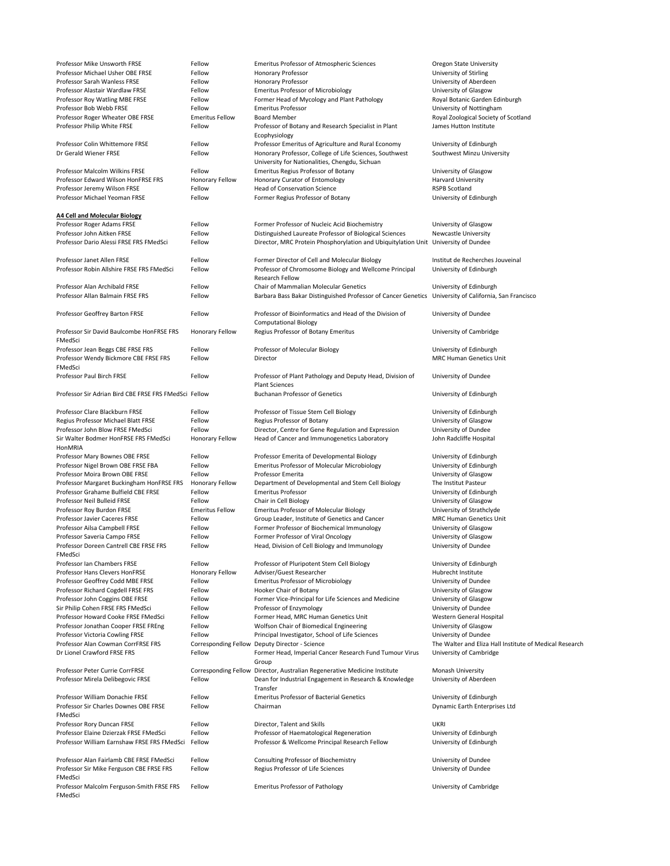| Professor Mike Unsworth FRSE                          | Fellow                 | <b>Emeritus Professor of Atmospheric Sciences</b>                                  | <b>Oregon State University</b>                          |
|-------------------------------------------------------|------------------------|------------------------------------------------------------------------------------|---------------------------------------------------------|
| Professor Michael Usher OBE FRSE                      | Fellow                 | <b>Honorary Professor</b>                                                          | University of Stirling                                  |
| Professor Sarah Wanless FRSE                          | Fellow                 | <b>Honorary Professor</b>                                                          | University of Aberdeen                                  |
| Professor Alastair Wardlaw FRSE                       | Fellow                 | <b>Emeritus Professor of Microbiology</b>                                          | University of Glasgow                                   |
|                                                       |                        |                                                                                    |                                                         |
| Professor Roy Watling MBE FRSE                        | Fellow                 | Former Head of Mycology and Plant Pathology                                        | Royal Botanic Garden Edinburgh                          |
| Professor Bob Webb FRSE                               | Fellow                 | <b>Emeritus Professor</b>                                                          | University of Nottingham                                |
| Professor Roger Wheater OBE FRSE                      | <b>Emeritus Fellow</b> | <b>Board Member</b>                                                                | Royal Zoological Society of Scotland                    |
| Professor Philip White FRSE                           | Fellow                 | Professor of Botany and Research Specialist in Plant                               | James Hutton Institute                                  |
|                                                       |                        |                                                                                    |                                                         |
|                                                       |                        | Ecophysiology                                                                      |                                                         |
| Professor Colin Whittemore FRSE                       | Fellow                 | Professor Emeritus of Agriculture and Rural Economy                                | University of Edinburgh                                 |
| Dr Gerald Wiener FRSE                                 | Fellow                 | Honorary Professor, College of Life Sciences, Southwest                            | Southwest Minzu University                              |
|                                                       |                        | University for Nationalities, Chengdu, Sichuan                                     |                                                         |
| <b>Professor Malcolm Wilkins FRSE</b>                 | Fellow                 | <b>Emeritus Regius Professor of Botany</b>                                         | University of Glasgow                                   |
|                                                       |                        |                                                                                    |                                                         |
| Professor Edward Wilson HonFRSE FRS                   | <b>Honorary Fellow</b> | <b>Honorary Curator of Entomology</b>                                              | <b>Harvard University</b>                               |
| Professor Jeremy Wilson FRSE                          | Fellow                 | <b>Head of Conservation Science</b>                                                | <b>RSPB Scotland</b>                                    |
| Professor Michael Yeoman FRSE                         | Fellow                 | Former Regius Professor of Botany                                                  | University of Edinburgh                                 |
|                                                       |                        |                                                                                    |                                                         |
|                                                       |                        |                                                                                    |                                                         |
| <b>A4 Cell and Molecular Biology</b>                  |                        |                                                                                    |                                                         |
| Professor Roger Adams FRSE                            | Fellow                 | Former Professor of Nucleic Acid Biochemistry                                      | University of Glasgow                                   |
| Professor John Aitken FRSE                            | Fellow                 | Distinguished Laureate Professor of Biological Sciences                            | <b>Newcastle University</b>                             |
| Professor Dario Alessi FRSE FRS FMedSci               | Fellow                 | Director, MRC Protein Phosphorylation and Ubiquitylation Unit University of Dundee |                                                         |
|                                                       |                        |                                                                                    |                                                         |
|                                                       |                        |                                                                                    |                                                         |
| Professor Janet Allen FRSE                            | Fellow                 | Former Director of Cell and Molecular Biology                                      | Institut de Recherches Jouveinal                        |
| Professor Robin Allshire FRSE FRS FMedSci             | Fellow                 | Professor of Chromosome Biology and Wellcome Principal                             | University of Edinburgh                                 |
|                                                       |                        | <b>Research Fellow</b>                                                             |                                                         |
| Professor Alan Archibald FRSE                         | Fellow                 | <b>Chair of Mammalian Molecular Genetics</b>                                       | University of Edinburgh                                 |
|                                                       |                        |                                                                                    |                                                         |
| Professor Allan Balmain FRSE FRS                      | Fellow                 | Barbara Bass Bakar Distinguished Professor of Cancer Genetics                      | University of California, San Francisco                 |
|                                                       |                        |                                                                                    |                                                         |
| <b>Professor Geoffrey Barton FRSE</b>                 | Fellow                 | Professor of Bioinformatics and Head of the Division of                            | University of Dundee                                    |
|                                                       |                        | <b>Computational Biology</b>                                                       |                                                         |
|                                                       |                        |                                                                                    |                                                         |
| Professor Sir David Baulcombe HonFRSE FRS             | <b>Honorary Fellow</b> | Regius Professor of Botany Emeritus                                                | University of Cambridge                                 |
| FMedSci                                               |                        |                                                                                    |                                                         |
| Professor Jean Beggs CBE FRSE FRS                     | Fellow                 | Professor of Molecular Biology                                                     | University of Edinburgh                                 |
| Professor Wendy Bickmore CBE FRSE FRS                 | Fellow                 | Director                                                                           | <b>MRC Human Genetics Unit</b>                          |
|                                                       |                        |                                                                                    |                                                         |
| FMedSci                                               |                        |                                                                                    |                                                         |
| <b>Professor Paul Birch FRSE</b>                      | Fellow                 | Professor of Plant Pathology and Deputy Head, Division of                          | University of Dundee                                    |
|                                                       |                        | <b>Plant Sciences</b>                                                              |                                                         |
| Professor Sir Adrian Bird CBE FRSE FRS FMedSci Fellow |                        | <b>Buchanan Professor of Genetics</b>                                              | University of Edinburgh                                 |
|                                                       |                        |                                                                                    |                                                         |
|                                                       |                        |                                                                                    |                                                         |
| Professor Clare Blackburn FRSE                        | Fellow                 | Professor of Tissue Stem Cell Biology                                              | University of Edinburgh                                 |
| Regius Professor Michael Blatt FRSE                   | Fellow                 | Regius Professor of Botany                                                         | University of Glasgow                                   |
| Professor John Blow FRSE FMedSci                      | Fellow                 | Director, Centre for Gene Regulation and Expression                                | University of Dundee                                    |
| Sir Walter Bodmer HonFRSE FRS FMedSci                 |                        |                                                                                    |                                                         |
|                                                       | <b>Honorary Fellow</b> | Head of Cancer and Immunogenetics Laboratory                                       | John Radcliffe Hospital                                 |
| HonMRIA                                               |                        |                                                                                    |                                                         |
| Professor Mary Bownes OBE FRSE                        | Fellow                 | Professor Emerita of Developmental Biology                                         | University of Edinburgh                                 |
| Professor Nigel Brown OBE FRSE FBA                    | Fellow                 | <b>Emeritus Professor of Molecular Microbiology</b>                                | University of Edinburgh                                 |
| Professor Moira Brown OBE FRSE                        | Fellow                 | Professor Emerita                                                                  | University of Glasgow                                   |
|                                                       |                        |                                                                                    |                                                         |
| Professor Margaret Buckingham HonFRSE FRS             | Honorary Fellow        | Department of Developmental and Stem Cell Biology                                  | The Institut Pasteur                                    |
| Professor Grahame Bulfield CBE FRSE                   | Fellow                 | <b>Emeritus Professor</b>                                                          | University of Edinburgh                                 |
| Professor Neil Bulleid FRSE                           | Fellow                 | Chair in Cell Biology                                                              | University of Glasgow                                   |
| Professor Roy Burdon FRSE                             | <b>Emeritus Fellow</b> | <b>Emeritus Professor of Molecular Biology</b>                                     | University of Strathclyde                               |
|                                                       |                        |                                                                                    | <b>MRC Human Genetics Unit</b>                          |
| <b>Professor Javier Caceres FRSE</b>                  | Fellow                 | Group Leader, Institute of Genetics and Cancer                                     |                                                         |
| Professor Ailsa Campbell FRSE                         | Fellow                 | Former Professor of Biochemical Immunology                                         | University of Glasgow                                   |
| Professor Saveria Campo FRSE                          | Fellow                 | Former Professor of Viral Oncology                                                 | University of Glasgow                                   |
| Professor Doreen Cantrell CBE FRSE FRS                | Fellow                 | Head, Division of Cell Biology and Immunology                                      | University of Dundee                                    |
| FMedSci                                               |                        |                                                                                    |                                                         |
|                                                       |                        |                                                                                    |                                                         |
| Professor Ian Chambers FRSE                           | Fellow                 | Professor of Pluripotent Stem Cell Biology                                         | University of Edinburgh                                 |
| <b>Professor Hans Clevers HonFRSE</b>                 | Honorary Fellow        | Adviser/Guest Researcher                                                           | Hubrecht Institute                                      |
| Professor Geoffrey Codd MBE FRSE                      | Fellow                 | <b>Emeritus Professor of Microbiology</b>                                          | University of Dundee                                    |
| Professor Richard Cogdell FRSE FRS                    | Fellow                 | Hooker Chair of Botany                                                             | University of Glasgow                                   |
|                                                       |                        |                                                                                    |                                                         |
| Professor John Coggins OBE FRSE                       | Fellow                 | Former Vice-Principal for Life Sciences and Medicine                               | University of Glasgow                                   |
| Sir Philip Cohen FRSE FRS FMedSci                     | Fellow                 | Professor of Enzymology                                                            | University of Dundee                                    |
| Professor Howard Cooke FRSE FMedSci                   | Fellow                 | Former Head, MRC Human Genetics Unit                                               | Western General Hospital                                |
| Professor Jonathan Cooper FRSE FREng                  | Fellow                 | Wolfson Chair of Biomedical Engineering                                            | University of Glasgow                                   |
|                                                       |                        |                                                                                    |                                                         |
| <b>Professor Victoria Cowling FRSE</b>                | Fellow                 | Principal Investigator, School of Life Sciences                                    | University of Dundee                                    |
| Professor Alan Cowman CorrFRSE FRS                    |                        | Corresponding Fellow Deputy Director - Science                                     | The Walter and Eliza Hall Institute of Medical Research |
| Dr Lionel Crawford FRSE FRS                           | Fellow                 | Former Head, Imperial Cancer Research Fund Tumour Virus                            | University of Cambridge                                 |
|                                                       |                        | Group                                                                              |                                                         |
| Professor Peter Currie CorrFRSE                       |                        | Corresponding Fellow Director, Australian Regenerative Medicine Institute          | <b>Monash University</b>                                |
|                                                       |                        |                                                                                    |                                                         |
| Professor Mirela Delibegovic FRSE                     | Fellow                 | Dean for Industrial Engagement in Research & Knowledge                             | University of Aberdeen                                  |
|                                                       |                        | Transfer                                                                           |                                                         |
| Professor William Donachie FRSE                       | Fellow                 | <b>Emeritus Professor of Bacterial Genetics</b>                                    | University of Edinburgh                                 |
| Professor Sir Charles Downes OBE FRSE                 | Fellow                 | Chairman                                                                           | Dynamic Earth Enterprises Ltd                           |
|                                                       |                        |                                                                                    |                                                         |
| FMedSci                                               |                        |                                                                                    |                                                         |
| Professor Rory Duncan FRSE                            | Fellow                 | Director, Talent and Skills                                                        | <b>UKRI</b>                                             |
| Professor Elaine Dzierzak FRSE FMedSci                | Fellow                 | Professor of Haematological Regeneration                                           | University of Edinburgh                                 |
| Professor William Earnshaw FRSE FRS FMedSci           | Fellow                 | Professor & Wellcome Principal Research Fellow                                     | University of Edinburgh                                 |
|                                                       |                        |                                                                                    |                                                         |
|                                                       |                        |                                                                                    |                                                         |
| Professor Alan Fairlamb CBE FRSE FMedSci              | Fellow                 | <b>Consulting Professor of Biochemistry</b>                                        | University of Dundee                                    |
| Professor Sir Mike Ferguson CBE FRSE FRS              | Fellow                 | Regius Professor of Life Sciences                                                  | University of Dundee                                    |
| FMedSci                                               |                        |                                                                                    |                                                         |
| Professor Malcolm Ferguson-Smith FRSE FRS             | Fellow                 | <b>Emeritus Professor of Pathology</b>                                             | University of Cambridge                                 |
| FMedSci                                               |                        |                                                                                    |                                                         |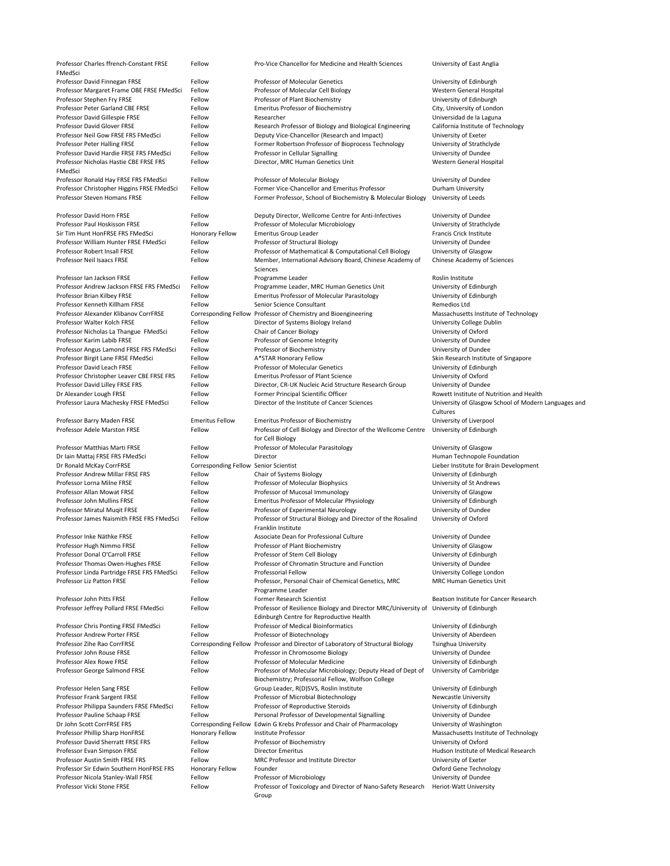| Professor Charles ffrench-Constant FRSE                                 | Fellow                                          | Pro-Vice Chancellor for Medicine and Health Sciences                                                     | University of East Anglia                                             |
|-------------------------------------------------------------------------|-------------------------------------------------|----------------------------------------------------------------------------------------------------------|-----------------------------------------------------------------------|
| FMedSci                                                                 |                                                 |                                                                                                          |                                                                       |
| Professor David Finnegan FRSE                                           | Fellow                                          | <b>Professor of Molecular Genetics</b>                                                                   | University of Edinburgh                                               |
| Professor Margaret Frame OBE FRSE FMedSci                               | Fellow                                          | Professor of Molecular Cell Biology                                                                      | Western General Hospital                                              |
| Professor Stephen Fry FRSE                                              | Fellow                                          | Professor of Plant Biochemistry                                                                          | University of Edinburgh                                               |
| Professor Peter Garland CBE FRSE                                        | Fellow                                          | <b>Emeritus Professor of Biochemistry</b>                                                                | City, University of London                                            |
| Professor David Gillespie FRSE<br><b>Professor David Glover FRSE</b>    | Fellow                                          | Researcher                                                                                               | Universidad de la Laguna                                              |
| Professor Neil Gow FRSE FRS FMedSci                                     | Fellow<br>Fellow                                | Research Professor of Biology and Biological Engineering<br>Deputy Vice-Chancellor (Research and Impact) | California Institute of Technology                                    |
|                                                                         |                                                 |                                                                                                          | University of Exeter                                                  |
| Professor Peter Halling FRSE<br>Professor David Hardie FRSE FRS FMedSci | Fellow<br>Fellow                                | Former Robertson Professor of Bioprocess Technology                                                      | University of Strathclyde                                             |
| Professor Nicholas Hastie CBE FRSE FRS                                  | Fellow                                          | Professor in Cellular Signalling<br>Director, MRC Human Genetics Unit                                    | University of Dundee<br>Western General Hospital                      |
| FMedSci                                                                 |                                                 |                                                                                                          |                                                                       |
| Professor Ronald Hay FRSE FRS FMedSci                                   | Fellow                                          | Professor of Molecular Biology                                                                           | University of Dundee                                                  |
| Professor Christopher Higgins FRSE FMedSci                              | Fellow                                          | Former Vice-Chancellor and Emeritus Professor                                                            | Durham University                                                     |
| <b>Professor Steven Homans FRSE</b>                                     | Fellow                                          | Former Professor, School of Biochemistry & Molecular Biology                                             | University of Leeds                                                   |
|                                                                         |                                                 |                                                                                                          |                                                                       |
| Professor David Horn FRSE                                               | Fellow                                          | Deputy Director, Wellcome Centre for Anti-Infectives                                                     | University of Dundee                                                  |
| Professor Paul Hoskisson FRSE                                           | Fellow                                          | Professor of Molecular Microbiology                                                                      | University of Strathclyde                                             |
| Sir Tim Hunt HonFRSE FRS FMedSci                                        | <b>Honorary Fellow</b>                          | <b>Emeritus Group Leader</b>                                                                             | <b>Francis Crick Institute</b>                                        |
| Professor William Hunter FRSE FMedSci                                   | Fellow                                          | Professor of Structural Biology                                                                          | University of Dundee                                                  |
| <b>Professor Robert Insall FRSE</b>                                     | Fellow                                          | Professor of Mathematical & Computational Cell Biology                                                   | University of Glasgow                                                 |
| Professor Neil Isaacs FRSE                                              | Fellow                                          | Member, International Advisory Board, Chinese Academy of                                                 | <b>Chinese Academy of Sciences</b>                                    |
|                                                                         |                                                 | Sciences                                                                                                 |                                                                       |
| Professor Ian Jackson FRSE                                              | Fellow                                          | Programme Leader                                                                                         | Roslin Institute                                                      |
| Professor Andrew Jackson FRSE FRS FMedSci                               | Fellow                                          | Programme Leader, MRC Human Genetics Unit                                                                | University of Edinburgh                                               |
| Professor Brian Kilbey FRSE                                             | Fellow                                          | <b>Emeritus Professor of Molecular Parasitology</b>                                                      | University of Edinburgh                                               |
| Professor Kenneth Killham FRSE                                          | Fellow                                          | Senior Science Consultant                                                                                | Remedios Ltd                                                          |
| Professor Alexander Klibanov CorrFRSE                                   |                                                 | Corresponding Fellow Professor of Chemistry and Bioengineering                                           | Massachusetts Institute of Technology                                 |
| Professor Walter Kolch FRSE                                             | Fellow                                          | Director of Systems Biology Ireland                                                                      | University College Dublin                                             |
| Professor Nicholas La Thangue FMedSci                                   | Fellow                                          | <b>Chair of Cancer Biology</b>                                                                           | University of Oxford                                                  |
| Professor Karim Labib FRSE                                              | Fellow                                          | Professor of Genome Integrity                                                                            | University of Dundee                                                  |
| Professor Angus Lamond FRSE FRS FMedSci                                 | Fellow                                          | Professor of Biochemistry                                                                                | University of Dundee                                                  |
| Professor Birgit Lane FRSE FMedSci                                      | Fellow                                          | A*STAR Honorary Fellow                                                                                   | Skin Research Institute of Singapore                                  |
| Professor David Leach FRSE                                              | Fellow                                          | <b>Professor of Molecular Genetics</b>                                                                   | University of Edinburgh                                               |
| Professor Christopher Leaver CBE FRSE FRS                               | Fellow                                          | <b>Emeritus Professor of Plant Science</b>                                                               | University of Oxford                                                  |
| Professor David Lilley FRSE FRS                                         | Fellow                                          | Director, CR-UK Nucleic Acid Structure Research Group                                                    | University of Dundee                                                  |
| Dr Alexander Lough FRSE                                                 | Fellow                                          | Former Principal Scientific Officer                                                                      | Rowett Institute of Nutrition and Health                              |
| Professor Laura Machesky FRSE FMedSci                                   | Fellow                                          | Director of the Institute of Cancer Sciences                                                             | University of Glasgow School of Modern Languages and                  |
|                                                                         |                                                 |                                                                                                          | Cultures                                                              |
| Professor Barry Maden FRSE                                              | <b>Emeritus Fellow</b>                          | <b>Emeritus Professor of Biochemistry</b>                                                                | University of Liverpool                                               |
| Professor Adele Marston FRSE                                            | Fellow                                          | Professor of Cell Biology and Director of the Wellcome Centre                                            | University of Edinburgh                                               |
|                                                                         |                                                 | for Cell Biology                                                                                         |                                                                       |
| Professor Matthias Marti FRSE                                           | Fellow                                          | Professor of Molecular Parasitology                                                                      | University of Glasgow                                                 |
| Dr Iain Mattaj FRSE FRS FMedSci                                         | Fellow                                          | Director                                                                                                 | Human Technopole Foundation<br>Lieber Institute for Brain Development |
| Dr Ronald McKay CorrFRSE<br><b>Professor Andrew Millar FRSE FRS</b>     | Corresponding Fellow Senior Scientist<br>Fellow | <b>Chair of Systems Biology</b>                                                                          | University of Edinburgh                                               |
| Professor Lorna Milne FRSE                                              | Fellow                                          | Professor of Molecular Biophysics                                                                        | University of St Andrews                                              |
| Professor Allan Mowat FRSE                                              | Fellow                                          | Professor of Mucosal Immunology                                                                          | University of Glasgow                                                 |
| Professor John Mullins FRSE                                             | Fellow                                          | <b>Emeritus Professor of Molecular Physiology</b>                                                        | University of Edinburgh                                               |
| Professor Miratul Muqit FRSE                                            | Fellow                                          | Professor of Experimental Neurology                                                                      | University of Dundee                                                  |
| Professor James Naismith FRSE FRS FMedSci                               | Fellow                                          | Professor of Structural Biology and Director of the Rosalind                                             | University of Oxford                                                  |
|                                                                         |                                                 | Franklin Institute                                                                                       |                                                                       |
| Professor Inke Näthke FRSE                                              | Fellow                                          | Associate Dean for Professional Culture                                                                  | University of Dundee                                                  |
| Professor Hugh Nimmo FRSE                                               | Fellow                                          | Professor of Plant Biochemistry                                                                          | University of Glasgow                                                 |
| Professor Donal O'Carroll FRSE                                          | Fellow                                          | Professor of Stem Cell Biology                                                                           | University of Edinburgh                                               |
| Professor Thomas Owen-Hughes FRSE                                       | Fellow                                          | Professor of Chromatin Structure and Function                                                            | University of Dundee                                                  |
| Professor Linda Partridge FRSE FRS FMedSci                              | Fellow                                          | <b>Professorial Fellow</b>                                                                               | University College London                                             |
| Professor Liz Patton FRSE                                               | Fellow                                          | Professor, Personal Chair of Chemical Genetics, MRC                                                      | <b>MRC Human Genetics Unit</b>                                        |
|                                                                         |                                                 | Programme Leader                                                                                         |                                                                       |
| Professor John Pitts FRSE                                               | Fellow                                          | <b>Former Research Scientist</b>                                                                         | Beatson Institute for Cancer Research                                 |
| Professor Jeffrey Pollard FRSE FMedSci                                  | Fellow                                          | Professor of Resilience Biology and Director MRC/University of University of Edinburgh                   |                                                                       |
|                                                                         |                                                 | Edinburgh Centre for Reproductive Health                                                                 |                                                                       |
| Professor Chris Ponting FRSE FMedSci                                    | Fellow                                          | <b>Professor of Medical Bioinformatics</b>                                                               | University of Edinburgh                                               |
| <b>Professor Andrew Porter FRSE</b>                                     | Fellow                                          | Professor of Biotechnology                                                                               | University of Aberdeen                                                |
| Professor Zihe Rao CorrFRSE                                             |                                                 | Corresponding Fellow Professor and Director of Laboratory of Structural Biology                          | <b>Tsinghua University</b>                                            |
| Professor John Rouse FRSE                                               | Fellow                                          | Professor in Chromosome Biology                                                                          | University of Dundee                                                  |
| <b>Professor Alex Rowe FRSE</b>                                         | Fellow                                          | Professor of Molecular Medicine                                                                          | University of Edinburgh                                               |
| Professor George Salmond FRSE                                           | Fellow                                          | Professor of Molecular Microbiology; Deputy Head of Dept of                                              | University of Cambridge                                               |
|                                                                         |                                                 | Biochemistry; Professorial Fellow, Wolfson College                                                       |                                                                       |
| Professor Helen Sang FRSE                                               | Fellow                                          | Group Leader, R(D)SVS, Roslin Institute                                                                  | University of Edinburgh                                               |
| <b>Professor Frank Sargent FRSE</b>                                     | Fellow                                          | Professor of Microbial Biotechnology                                                                     | <b>Newcastle University</b>                                           |
| Professor Philippa Saunders FRSE FMedSci                                | Fellow                                          | Professor of Reproductive Steroids                                                                       | University of Edinburgh                                               |
| Professor Pauline Schaap FRSE                                           | Fellow                                          | Personal Professor of Developmental Signalling                                                           | University of Dundee                                                  |
| Dr John Scott CorrFRSE FRS                                              | <b>Corresponding Fellow</b>                     | Edwin G Krebs Professor and Chair of Pharmacology                                                        | University of Washington                                              |
| Professor Phillip Sharp HonFRSE                                         | <b>Honorary Fellow</b>                          | Institute Professor                                                                                      | Massachusetts Institute of Technology                                 |
| <b>Professor David Sherratt FRSE FRS</b>                                | Fellow                                          | Professor of Biochemistry                                                                                | University of Oxford                                                  |
| Professor Evan Simpson FRSE                                             | Fellow                                          | <b>Director Emeritus</b>                                                                                 | Hudson Institute of Medical Research                                  |
| <b>Professor Austin Smith FRSE FRS</b>                                  | Fellow                                          | MRC Professor and Institute Director                                                                     | University of Exeter                                                  |
| Professor Sir Edwin Southern HonFRSE FRS                                | Honorary Fellow<br>Fellow                       | Founder<br>Professor of Microbiology                                                                     | <b>Oxford Gene Technology</b><br>University of Dundee                 |
| Professor Nicola Stanley-Wall FRSE<br>Professor Vicki Stone FRSE        | Fellow                                          | Professor of Toxicology and Director of Nano-Safety Research                                             | <b>Heriot-Watt University</b>                                         |
|                                                                         |                                                 | Group                                                                                                    |                                                                       |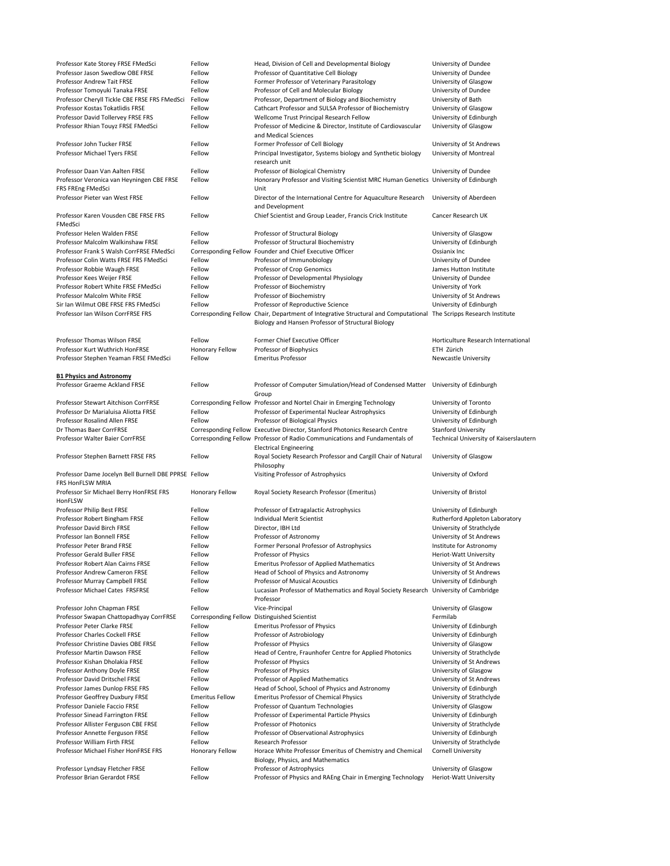| Professor Kate Storey FRSE FMedSci                                       | Fellow                 | Head, Division of Cell and Developmental Biology                                                                                                                        | University of Dundee                            |
|--------------------------------------------------------------------------|------------------------|-------------------------------------------------------------------------------------------------------------------------------------------------------------------------|-------------------------------------------------|
| Professor Jason Swedlow OBE FRSE                                         | Fellow                 | Professor of Quantitative Cell Biology                                                                                                                                  | University of Dundee                            |
| <b>Professor Andrew Tait FRSE</b>                                        | Fellow                 | Former Professor of Veterinary Parasitology                                                                                                                             | University of Glasgow                           |
| Professor Tomoyuki Tanaka FRSE                                           | Fellow                 | Professor of Cell and Molecular Biology                                                                                                                                 | University of Dundee                            |
| Professor Cheryll Tickle CBE FRSE FRS FMedSci                            | Fellow                 | Professor, Department of Biology and Biochemistry                                                                                                                       | University of Bath                              |
| Professor Kostas Tokatlidis FRSE                                         | Fellow                 | Cathcart Professor and SULSA Professor of Biochemistry                                                                                                                  | University of Glasgow                           |
| Professor David Tollervey FRSE FRS                                       | Fellow                 | Wellcome Trust Principal Research Fellow                                                                                                                                | University of Edinburgh                         |
| Professor Rhian Touyz FRSE FMedSci                                       | Fellow                 | Professor of Medicine & Director, Institute of Cardiovascular<br>and Medical Sciences                                                                                   | University of Glasgow                           |
| Professor John Tucker FRSE                                               | Fellow                 | Former Professor of Cell Biology                                                                                                                                        | University of St Andrews                        |
| Professor Michael Tyers FRSE                                             | Fellow                 | Principal Investigator, Systems biology and Synthetic biology<br>research unit                                                                                          | University of Montreal                          |
| Professor Daan Van Aalten FRSE                                           | Fellow                 | Professor of Biological Chemistry                                                                                                                                       | University of Dundee                            |
| Professor Veronica van Heyningen CBE FRSE                                | Fellow                 | Honorary Professor and Visiting Scientist MRC Human Genetics University of Edinburgh                                                                                    |                                                 |
| FRS FREng FMedSci                                                        |                        | Unit                                                                                                                                                                    |                                                 |
| Professor Pieter van West FRSE                                           | Fellow                 | Director of the International Centre for Aquaculture Research<br>and Development                                                                                        | University of Aberdeen                          |
| Professor Karen Vousden CBE FRSE FRS<br>FMedSci                          | Fellow                 | Chief Scientist and Group Leader, Francis Crick Institute                                                                                                               | Cancer Research UK                              |
| Professor Helen Walden FRSE                                              | Fellow                 | Professor of Structural Biology                                                                                                                                         | University of Glasgow                           |
| Professor Malcolm Walkinshaw FRSE                                        | Fellow                 | Professor of Structural Biochemistry                                                                                                                                    | University of Edinburgh                         |
| Professor Frank S Walsh CorrFRSE FMedSci                                 |                        | Corresponding Fellow Founder and Chief Executive Officer                                                                                                                | Ossianix Inc                                    |
| Professor Colin Watts FRSE FRS FMedSci                                   | Fellow                 | Professor of Immunobiology                                                                                                                                              | University of Dundee                            |
| Professor Robbie Waugh FRSE                                              | Fellow                 | Professor of Crop Genomics                                                                                                                                              | James Hutton Institute                          |
| Professor Kees Weijer FRSE                                               | Fellow                 | Professor of Developmental Physiology                                                                                                                                   | University of Dundee                            |
| Professor Robert White FRSE FMedSci                                      | Fellow                 | Professor of Biochemistry                                                                                                                                               | University of York                              |
| Professor Malcolm White FRSE                                             | Fellow                 | Professor of Biochemistry                                                                                                                                               | University of St Andrews                        |
|                                                                          | Fellow                 | Professor of Reproductive Science                                                                                                                                       |                                                 |
| Sir Ian Wilmut OBE FRSE FRS FMedSci                                      |                        |                                                                                                                                                                         | University of Edinburgh                         |
| Professor Ian Wilson CorrFRSE FRS                                        |                        | Corresponding Fellow Chair, Department of Integrative Structural and Computational The Scripps Research Institute<br>Biology and Hansen Professor of Structural Biology |                                                 |
| <b>Professor Thomas Wilson FRSE</b>                                      | Fellow                 | Former Chief Executive Officer                                                                                                                                          | Horticulture Research International             |
| Professor Kurt Wuthrich HonFRSE                                          | <b>Honorary Fellow</b> | Professor of Biophysics                                                                                                                                                 | ETH Zürich                                      |
| Professor Stephen Yeaman FRSE FMedSci                                    | Fellow                 | <b>Emeritus Professor</b>                                                                                                                                               | <b>Newcastle University</b>                     |
| <b>B1 Physics and Astronomy</b>                                          |                        |                                                                                                                                                                         |                                                 |
| <b>Professor Graeme Ackland FRSE</b>                                     | Fellow                 | Professor of Computer Simulation/Head of Condensed Matter                                                                                                               | University of Edinburgh                         |
|                                                                          |                        | Group                                                                                                                                                                   |                                                 |
| <b>Professor Stewart Aitchison CorrFRSE</b>                              |                        | Corresponding Fellow Professor and Nortel Chair in Emerging Technology                                                                                                  | University of Toronto                           |
| Professor Dr Marialuisa Aliotta FRSE                                     | Fellow                 | Professor of Experimental Nuclear Astrophysics                                                                                                                          | University of Edinburgh                         |
| <b>Professor Rosalind Allen FRSE</b>                                     | Fellow                 | Professor of Biological Physics                                                                                                                                         | University of Edinburgh                         |
| Dr Thomas Baer CorrFRSE                                                  |                        | Corresponding Fellow Executive Director, Stanford Photonics Research Centre                                                                                             | <b>Stanford University</b>                      |
| Professor Walter Baier CorrFRSE                                          |                        | Corresponding Fellow Professor of Radio Communications and Fundamentals of<br><b>Electrical Engineering</b>                                                             | Technical University of Kaiserslautern          |
| Professor Stephen Barnett FRSE FRS                                       | Fellow                 | Royal Society Research Professor and Cargill Chair of Natural<br>Philosophy                                                                                             | University of Glasgow                           |
| Professor Dame Jocelyn Bell Burnell DBE PPRSE Fellow<br>FRS HonFLSW MRIA |                        | Visiting Professor of Astrophysics                                                                                                                                      | University of Oxford                            |
| Professor Sir Michael Berry HonFRSE FRS                                  | <b>Honorary Fellow</b> | Royal Society Research Professor (Emeritus)                                                                                                                             | University of Bristol                           |
| HonFLSW                                                                  |                        |                                                                                                                                                                         |                                                 |
| Professor Philip Best FRSE                                               | Fellow                 | Professor of Extragalactic Astrophysics                                                                                                                                 | University of Edinburgh                         |
|                                                                          |                        | <b>Individual Merit Scientist</b>                                                                                                                                       |                                                 |
| Professor Robert Bingham FRSE<br><b>Professor David Birch FRSE</b>       | Fellow                 |                                                                                                                                                                         | Rutherford Appleton Laboratory                  |
|                                                                          | Fellow                 | Director, IBH Ltd                                                                                                                                                       | University of Strathclyde                       |
| Professor Ian Bonnell FRSE                                               | Fellow                 | Professor of Astronomy                                                                                                                                                  | University of St Andrews                        |
| Professor Peter Brand FRSE                                               | Fellow                 | Former Personal Professor of Astrophysics                                                                                                                               | Institute for Astronomy                         |
| <b>Professor Gerald Buller FRSE</b>                                      | Fellow                 | Professor of Physics                                                                                                                                                    | <b>Heriot-Watt University</b>                   |
| Professor Robert Alan Cairns FRSE                                        | Fellow                 | <b>Emeritus Professor of Applied Mathematics</b>                                                                                                                        | University of St Andrews                        |
| <b>Professor Andrew Cameron FRSE</b>                                     | Fellow                 | Head of School of Physics and Astronomy                                                                                                                                 | <b>University of St Andrews</b>                 |
| Professor Murray Campbell FRSE                                           | Fellow                 | <b>Professor of Musical Acoustics</b>                                                                                                                                   | University of Edinburgh                         |
| Professor Michael Cates FRSFRSE                                          | Fellow                 | Lucasian Professor of Mathematics and Royal Society Research University of Cambridge<br>Professor                                                                       |                                                 |
| Professor John Chapman FRSE                                              | Fellow                 | Vice-Principal                                                                                                                                                          | University of Glasgow                           |
| Professor Swapan Chattopadhyay CorrFRSE                                  |                        | Corresponding Fellow Distinguished Scientist                                                                                                                            | Fermilab                                        |
| Professor Peter Clarke FRSE                                              | Fellow                 | <b>Emeritus Professor of Physics</b>                                                                                                                                    | University of Edinburgh                         |
| <b>Professor Charles Cockell FRSE</b>                                    | Fellow                 | Professor of Astrobiology                                                                                                                                               | University of Edinburgh                         |
| Professor Christine Davies OBE FRSE                                      | Fellow                 | Professor of Physics                                                                                                                                                    | University of Glasgow                           |
| <b>Professor Martin Dawson FRSE</b>                                      | Fellow                 | Head of Centre, Fraunhofer Centre for Applied Photonics                                                                                                                 | University of Strathclyde                       |
| Professor Kishan Dholakia FRSE                                           | Fellow                 | <b>Professor of Physics</b>                                                                                                                                             | University of St Andrews                        |
| Professor Anthony Doyle FRSE                                             | Fellow                 | Professor of Physics                                                                                                                                                    | University of Glasgow                           |
| Professor David Dritschel FRSE                                           | Fellow                 | Professor of Applied Mathematics                                                                                                                                        | University of St Andrews                        |
| Professor James Dunlop FRSE FRS                                          | Fellow                 | Head of School, School of Physics and Astronomy                                                                                                                         | University of Edinburgh                         |
| Professor Geoffrey Duxbury FRSE                                          | <b>Emeritus Fellow</b> | <b>Emeritus Professor of Chemical Physics</b>                                                                                                                           | University of Strathclyde                       |
| Professor Daniele Faccio FRSE                                            | Fellow                 | Professor of Quantum Technologies                                                                                                                                       | University of Glasgow                           |
| <b>Professor Sinead Farrington FRSE</b>                                  | Fellow                 | Professor of Experimental Particle Physics                                                                                                                              | University of Edinburgh                         |
| Professor Allister Ferguson CBE FRSE                                     | Fellow                 | <b>Professor of Photonics</b>                                                                                                                                           | University of Strathclyde                       |
| Professor Annette Ferguson FRSE                                          | Fellow                 | Professor of Observational Astrophysics                                                                                                                                 | University of Edinburgh                         |
| Professor William Firth FRSE                                             | Fellow                 | <b>Research Professor</b>                                                                                                                                               | University of Strathclyde                       |
| Professor Michael Fisher HonFRSE FRS                                     | <b>Honorary Fellow</b> | Horace White Professor Emeritus of Chemistry and Chemical                                                                                                               | <b>Cornell University</b>                       |
|                                                                          |                        |                                                                                                                                                                         |                                                 |
|                                                                          |                        | Biology, Physics, and Mathematics                                                                                                                                       |                                                 |
| Professor Lyndsay Fletcher FRSE<br>Professor Brian Gerardot FRSE         | Fellow<br>Fellow       | Professor of Astrophysics<br>Professor of Physics and RAEng Chair in Emerging Technology                                                                                | University of Glasgow<br>Heriot-Watt University |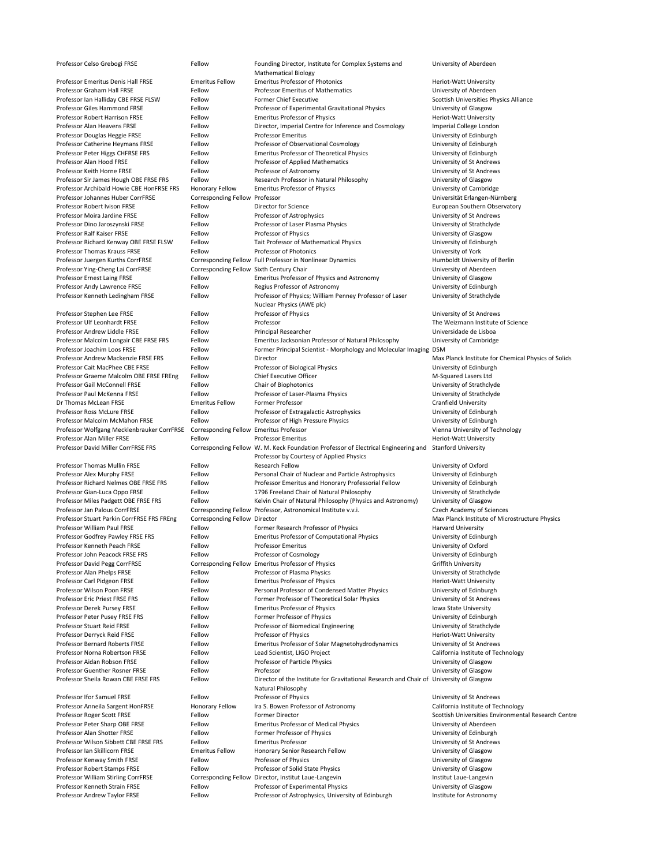| Professor Celso Grebogi FRSE               | Fellow                                   | Founding Director, Institute for Complex Systems and<br><b>Mathematical Biology</b> | University of Aberdeen                              |
|--------------------------------------------|------------------------------------------|-------------------------------------------------------------------------------------|-----------------------------------------------------|
| <b>Professor Emeritus Denis Hall FRSE</b>  | <b>Emeritus Fellow</b>                   | <b>Emeritus Professor of Photonics</b>                                              | Heriot-Watt University                              |
| Professor Graham Hall FRSE                 | Fellow                                   | <b>Professor Emeritus of Mathematics</b>                                            | University of Aberdeen                              |
| Professor Ian Halliday CBE FRSE FLSW       | Fellow                                   | <b>Former Chief Executive</b>                                                       | Scottish Universities Physics Alliance              |
| <b>Professor Giles Hammond FRSE</b>        | Fellow                                   | Professor of Experimental Gravitational Physics                                     | University of Glasgow                               |
| <b>Professor Robert Harrison FRSE</b>      | Fellow                                   | <b>Emeritus Professor of Physics</b>                                                | Heriot-Watt University                              |
| Professor Alan Heavens FRSE                | Fellow                                   | Director, Imperial Centre for Inference and Cosmology                               | Imperial College London                             |
| Professor Douglas Heggie FRSE              | Fellow                                   | <b>Professor Emeritus</b>                                                           | University of Edinburgh                             |
| Professor Catherine Heymans FRSE           | Fellow                                   | Professor of Observational Cosmology                                                | University of Edinburgh                             |
| Professor Peter Higgs CHFRSE FRS           | Fellow                                   | <b>Emeritus Professor of Theoretical Physics</b>                                    | University of Edinburgh                             |
| Professor Alan Hood FRSE                   | Fellow                                   | Professor of Applied Mathematics                                                    | University of St Andrews                            |
| Professor Keith Horne FRSE                 | Fellow                                   | Professor of Astronomy                                                              | University of St Andrews                            |
| Professor Sir James Hough OBE FRSE FRS     | Fellow                                   | Research Professor in Natural Philosophy                                            | University of Glasgow                               |
| Professor Archibald Howie CBE HonFRSE FRS  | <b>Honorary Fellow</b>                   | <b>Emeritus Professor of Physics</b>                                                | University of Cambridge                             |
| Professor Johannes Huber CorrFRSE          | Corresponding Fellow Professor           |                                                                                     | Universität Erlangen-Nürnberg                       |
| Professor Robert Ivison FRSE               | Fellow                                   | Director for Science                                                                | European Southern Observatory                       |
| Professor Moira Jardine FRSE               | Fellow                                   | Professor of Astrophysics                                                           | University of St Andrews                            |
| Professor Dino Jaroszynski FRSE            | Fellow                                   | Professor of Laser Plasma Physics                                                   | University of Strathclyde                           |
| Professor Ralf Kaiser FRSE                 | Fellow                                   | Professor of Physics                                                                | University of Glasgow                               |
| Professor Richard Kenway OBE FRSE FLSW     | Fellow                                   | Tait Professor of Mathematical Physics                                              | University of Edinburgh                             |
| Professor Thomas Krauss FRSE               | Fellow                                   | <b>Professor of Photonics</b>                                                       | University of York                                  |
| Professor Juergen Kurths CorrFRSE          |                                          | Corresponding Fellow Full Professor in Nonlinear Dynamics                           | Humboldt University of Berlin                       |
| Professor Ying-Cheng Lai CorrFRSE          | Corresponding Fellow Sixth Century Chair |                                                                                     | University of Aberdeen                              |
| Professor Ernest Laing FRSE                | Fellow                                   | <b>Emeritus Professor of Physics and Astronomy</b>                                  | University of Glasgow                               |
| Professor Andy Lawrence FRSE               | Fellow                                   | Regius Professor of Astronomy                                                       | University of Edinburgh                             |
| Professor Kenneth Ledingham FRSE           | Fellow                                   | Professor of Physics; William Penney Professor of Laser                             | University of Strathclyde                           |
|                                            |                                          | Nuclear Physics (AWE plc)                                                           |                                                     |
| Professor Stephen Lee FRSE                 | Fellow                                   | Professor of Physics                                                                | University of St Andrews                            |
| Professor Ulf Leonhardt FRSE               | Fellow                                   | Professor                                                                           | The Weizmann Institute of Science                   |
| Professor Andrew Liddle FRSE               | Fellow                                   | <b>Principal Researcher</b>                                                         | Universidade de Lisboa                              |
| Professor Malcolm Longair CBE FRSE FRS     | Fellow                                   | Emeritus Jacksonian Professor of Natural Philosophy                                 | University of Cambridge                             |
| Professor Joachim Loos FRSE                | Fellow                                   | Former Principal Scientist - Morphology and Molecular Imaging DSM                   |                                                     |
| Professor Andrew Mackenzie FRSE FRS        | Fellow                                   | Director                                                                            | Max Planck Institute for Chemical Physics of Solids |
| Professor Cait MacPhee CBE FRSE            | Fellow                                   | Professor of Biological Physics                                                     | University of Edinburgh                             |
| Professor Graeme Malcolm OBE FRSE FREng    | Fellow                                   | <b>Chief Executive Officer</b>                                                      | M-Squared Lasers Ltd                                |
| Professor Gail McConnell FRSE              | Fellow                                   | <b>Chair of Biophotonics</b>                                                        | University of Strathclyde                           |
| Professor Paul McKenna FRSE                | Fellow                                   | Professor of Laser-Plasma Physics                                                   | University of Strathclyde                           |
| Dr Thomas McLean FRSE                      | <b>Emeritus Fellow</b>                   | Former Professor                                                                    | <b>Cranfield University</b>                         |
| Professor Ross McLure FRSE                 | Fellow                                   | Professor of Extragalactic Astrophysics                                             | University of Edinburgh                             |
| Professor Malcolm McMahon FRSE             | Fellow                                   | Professor of High Pressure Physics                                                  | University of Edinburgh                             |
| Professor Wolfgang Mecklenbrauker CorrFRSE | Corresponding Fellow Emeritus Professor  |                                                                                     | Vienna University of Technology                     |
| Professor Alan Miller FRSE                 | Fellow                                   | <b>Professor Emeritus</b>                                                           | <b>Heriot-Watt University</b>                       |
| Professor David Miller CorrFRSE FRS        |                                          | Corresponding Fellow W. M. Keck Foundation Professor of Electrical Engineering and  | <b>Stanford University</b>                          |
|                                            |                                          | Professor by Courtesy of Applied Physics                                            |                                                     |
| <b>Professor Thomas Mullin FRSE</b>        | Fellow                                   | <b>Research Fellow</b>                                                              | University of Oxford                                |
| Professor Alex Murphy FRSE                 | Fellow                                   | Personal Chair of Nuclear and Particle Astrophysics                                 | University of Edinburgh                             |
| Professor Richard Nelmes OBE FRSE FRS      | Fellow                                   | Professor Emeritus and Honorary Professorial Fellow                                 | University of Edinburgh                             |
| Professor Gian-Luca Oppo FRSE              | Fellow                                   | 1796 Freeland Chair of Natural Philosophy                                           | University of Strathclyde                           |
| Professor Miles Padgett OBE FRSE FRS       | Fellow                                   | Kelvin Chair of Natural Philosophy (Physics and Astronomy)                          | University of Glasgow                               |

Professor Jan Palous CorrFRSE Corresponding Fellow Professor, Astronomical Institute v.v.i. Czech Academy of Sciences Professor Stuart Parkin CorrFRSE FRS FREng Corresponding Fellow Director Max Planck Institute of Microstructure Physics Professor William Paul FRSE Fellow Former Research Professor of Physics Former Research Professor of Physics Farvard University Professor Godfrey Pawley FRSE FRS FEllow Emeritus Professor of Computational Physics University of Edinburgh Professor Kenneth Peach FRSE Fellow Fellow Professor Emeritus Companies and Muniversity of Oxford Professor John Peacock FRSE FRS FELlow Professor of Cosmology Fellow Professor of Cosmology and Muniversity of Edinburgh Professor David Pegg CorrFRSE Corresponding Fellow Emeritus Professor of Physics Griffith University Professor Alan Phelps FRSE Fellow Fellow Professor of Plasma Physics Fellow Professor of Plasma Physics Fellow Professor Carl Pidgeon FRSE Fellow Fellow Emeritus Professor of Physics Fellow Emeritus Professor of Physics Feamer America Heriot-Watt University Professor Wilson Poon FRSE Fellow Fellow Personal Professor of Condensed Matter Physics University of Edinburgh Professor Eric Priest FRSE FRS FELLOW Fellow Former Professor of Theoretical Solar Physics University of St Andrews Professor Derek Pursey FRSE Fellow Fellow Emeritus Professor of Physics Ferofessor of Physics Inversity Professor Peter Pusey FRSE FRS FELLOW Fellow Former Professor of Physics Fermer Professor of Physics University of Edinburgh Professor Stuart Reid FRSE Fellow Fellow Professor of Biomedical Engineering Professor Stuart Reid FRSE Fellow Professor Derryck Reid FRSE Fellow Fellow Professor of Physics Ferit Art Elect-Watt University Professor Bernard Roberts FRSE FELLOW Fellow Emeritus Professor of Solar Magnetohydrodynamics University of St Andrews Professor Norna Robertson FRSE Fellow Lead Scientist, LIGO Project California Institute of Technology Professor Aidan Robson FRSE Fellow Fellow Professor of Particle Physics Fellow Professor of Particle Physics Fellow Professor Guenther Rosner FRSE Fellow Fellow Professor **Professor** Current Construction Construction Construction Professor Sheila Rowan CBE FRSE FRS FELLOW **Director of the Institute for Gravitational Research and Chair of University of Glasgow** Natural Philosophy Professor Ifor Samuel FRSE Fellow Fellow Professor of Physics Contact Contact Andrews University of St Andrews Professor Anneila Sargent HonFRSE Honorary Fellow Ira S. Bowen Professor of Astronomy California Institute of Technology Professor Roger Scott FRSE Fellow Fellow Former Director Communication Scottish Universities Environmental Research Centre Professor Peter Sharp OBE FRSE FRSE FELLOW Emeritus Professor of Medical Physics Fellow Emeritus Professor of Medical Physics Professor Alan Shotter FRSE Fellow Fellow Former Professor of Physics Former Professor of Physics University of Edinburgh Professor Wilson Sibbett CBE FRSE FRS Fellow Emeritus Professor Cases and Muniversity of St Andrews Professor Ian Skillicorn FRSE **Emeritus Fellow** Honorary Senior Research Fellow University of Glasgow Professor Kenway Smith FRSE Fellow Fellow Professor of Physics Changes and Muniversity of Glasgow Professor Robert Stamps FRSE Fellow Fellow Professor of Solid State Physics Fellow Professor of Solid State Physics Professor William Stirling CorrFRSE Corresponding Fellow Director, Institut Laue-Langevin Institut Laue-Langevin Professor Kenneth Strain FRSE Fellow Fellow Professor of Experimental Physics University of Glasgow Professor Andrew Taylor FRSE Fellow Fellow Professor of Astrophysics, University of Edinburgh Institute for Astronomy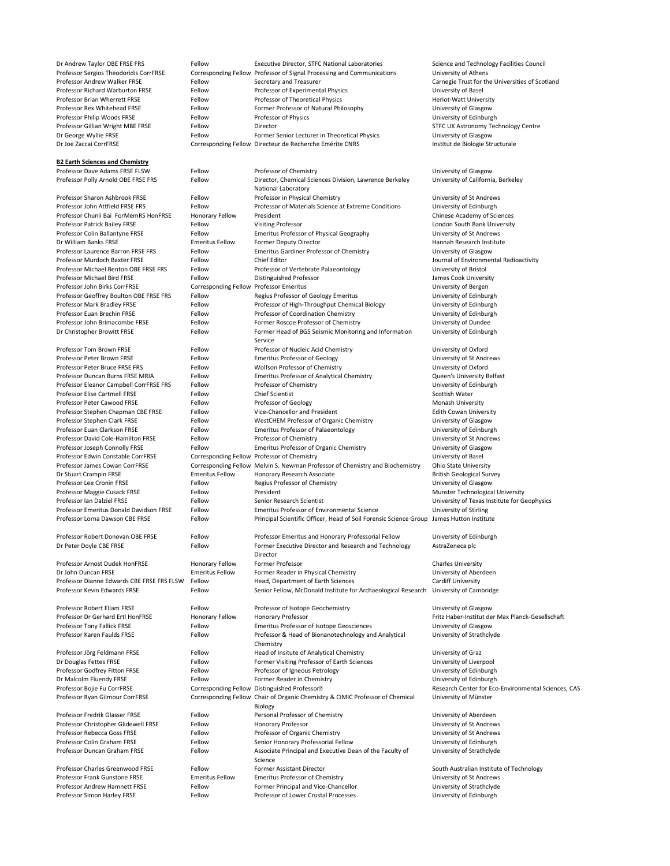**B2 Earth Sciences and Chemistry**

Dr Andrew Taylor OBE FRSE FRS FELLOW Executive Director, STFC National Laboratories Science and Technology Facilities Council Professor Sergios Theodoridis CorrFRSE Corresponding Fellow Professor of Signal Processing and Communications University of Athens Professor Andrew Walker FRSE Fellow Secretary and Treasurer Fellow Secretary and Treasurer Carnegie Trust for the Universities of Scotland Professor Richard Warburton FRSE Fellow Professor of Experimental Physics University of Basel Professor Brian Wherrett FRSE Fellow Fellow Professor of Theoretical Physics Feriot-Watt University Professor Rex Whitehead FRSE Fellow Fellow Former Professor of Natural Philosophy Chiversity of Glasgow Professor Philip Woods FRSE Fellow Fellow Professor of Physics Communications of Physics Professor of Physics Communications of Edinburgh Professor Gillian Wright MBE FRSE Fellow Director Content of Content Content Contents of Contents of Centre STFC UK Astronomy Technology Centre Dr George Wyllie FRSE Fellow Fellow Former Senior Lecturer in Theoretical Physics University of Glasgow Dr Joe Zaccai CorrFRSE Corresponding Fellow Directeur de Recherche Emérite CNRS Institut de Biologie Structurale

University of California, Berkeley

Professor Dave Adams FRSE FLSW Fellow Fellow Professor of Chemistry Chemistry Chemistry Diversity of Glasgow Professor Polly Arnold OBE FRSE FRS FELLOW Director, Chemical Sciences Division, Lawrence Berkeley National Laboratory Professor Sharon Ashbrook FRSE Fellow Professor in Physical Chemistry Fellow Professor in Physical Chemistry Chemistry Chemistry Districts of St Andrews Professor John Attfield FRSE FRS FELLOW Fellow Professor of Materials Science at Extreme Conditions University of Edinburgh Professor Chunli Bai ForMemRS HonFRSE Honorary Fellow President Chinese Academy of Sciences Professor Patrick Bailey FRSE Fellow Fellow Visiting Professor Communication Condon South Bank University Professor Colin Ballantyne FRSE Fellow Emeritus Professor of Physical Geography University of St Andrews Dr William Banks FRSE **Emeritus Fellow** Former Deputy Director **Emeritus Fellow** Former Deputy Director **Emeritus** Hannah Research Institute Professor Laurence Barron FRSE FRS Fellow Emeritus Gardiner Professor of Chemistry Fellow Emeritus Gardiner Professor of Chemistry Fellow Emeritus Gardiner Professor of Chemistry Fellow Professor Murdoch Baxter FRSE Fellow Entity Chief Editor Chief Editor And The State of Environmental Radioactivity Professor Michael Benton OBE FRSE FRS Fellow Professor of Vertebrate Palaeontology University of Bristol Professor Michael Bird FRSE Fellow Fellow Distinguished Professor and a state of the James Cook University Professor John Birks CorrFRSE Corresponding Fellow Professor Emeritus Corresponding Fellow Professor Emeritus Professor Geoffrey Boulton OBE FRSE FRS Fellow Regius Professor of Geology Emeritus Fellow Diversity of Edinburgh Professor Mark Bradley FRSE Fellow Fellow Professor of High-Throughput Chemical Biology University of Edinburgh Professor Euan Brechin FRSE Fellow Fellow Professor of Coordination Chemistry Fellow Professor of Contents of Edinburgh Professor John Brimacombe FRSE Fellow Fellow Former Roscoe Professor of Chemistry Former Roscoe Professor of Chemistry Dr Christopher Browitt FRSE Fellow Former Head of BGS Seismic Monitoring and Information Service Professor Tom Brown FRSE Fellow Fellow Professor of Nucleic Acid Chemistry Fellow Professor of Nucleic Acid Chemistry Professor Peter Brown FRSE Fellow Fellow Emeritus Professor of Geology Ferofessor of Geology University of St Andrews Professor Peter Bruce FRSE FRS FELLOW Fellow Wolfson Professor of Chemistry Fellow Thiversity of Oxford Professor Duncan Burns FRSE MRIA Fellow Emeritus Professor of Analytical Chemistry Cueen's University Belfast Professor Eleanor Campbell CorrFRSE FRS Fellow Professor of Chemistry Fellow Professor of Chemistry Professor of Chemistry Professor of Chemistry Professor of Chemistry Professor of Chemistry Professor of Chemistry Profess Professor Elise Cartmell FRSE Fellow Fellow Chief Scientist Chief Scottish Water Professor Peter Cawood FRSE Fellow Fellow Professor of Geology **Fellow** Professor of Geology Monash University Professor Stephen Chapman CBE FRSE Fellow Vice-Chancellor and President Felix Felith Cowan University Professor Stephen Clark FRSE Fellow Fellow WestCHEM Professor of Organic Chemistry Cuniversity of Glasgow Professor Euan Clarkson FRSE Fellow Fellow Emeritus Professor of Palaeontology Fellow Emeritus Professor of Palaeontology Professor David Cole-Hamilton FRSE Fellow Professor of Chemistry Fellow Professor of Chemistry Chemistry Professor of Chemistry Professor of Chemistry Professor of Chemistry Professor of Chemistry Professor of Chemistry Pr Professor Joseph Connolly FRSE Fellow Emeritus Professor of Organic Chemistry Funchistry University of Glasgow Professor Edwin Constable CorrFRSE Corresponding Fellow Professor of Chemistry Corresponding Fellow Professor of Chemistry Professor James Cowan CorrFRSE Corresponding Fellow Melvin S. Newman Professor of Chemistry and Biochemistry Ohio State University Dr Stuart Crampin FRSE **Emeritus Fellow** Honorary Research Associate **Emeritus Fellow** Honorary Research Associate Professor Lee Cronin FRSE Fellow Fellow Regius Professor of Chemistry Fellow Regius Professor of Chemistry Fellow Professor Maggie Cusack FRSE Fellow President Munster Technological University Professor Ian Dalziel FRSE Fellow Fellow Senior Research Scientist Entertainment University of Texas Institute for Geophysics Professor Emeritus Donald Davidson FRSE Fellow Emeritus Professor of Environmental Science University of Stirling

University of Edinburgh

| Professor Lorna Dawson CBE FRSE            | Fellow                 | Principal Scientific Officer, Head of Soil Forensic Science Group James Hutton Institute |                                                     |
|--------------------------------------------|------------------------|------------------------------------------------------------------------------------------|-----------------------------------------------------|
| Professor Robert Donovan OBE FRSE          | Fellow                 | Professor Emeritus and Honorary Professorial Fellow                                      | University of Edinburgh                             |
| Dr Peter Doyle CBE FRSE                    | Fellow                 | Former Executive Director and Research and Technology                                    | AstraZeneca plc                                     |
|                                            |                        | Director                                                                                 |                                                     |
| Professor Arnost Dudek HonFRSE             | <b>Honorary Fellow</b> | Former Professor                                                                         | <b>Charles University</b>                           |
| Dr John Duncan FRSE                        | <b>Emeritus Fellow</b> | Former Reader in Physical Chemistry                                                      | University of Aberdeen                              |
| Professor Dianne Edwards CBE FRSE FRS FLSW | Fellow                 | Head, Department of Earth Sciences                                                       | <b>Cardiff University</b>                           |
| Professor Kevin Edwards FRSE               | Fellow                 | Senior Fellow, McDonald Institute for Archaeological Research                            | University of Cambridge                             |
| Professor Robert Ellam FRSE                | Fellow                 | Professor of Isotope Geochemistry                                                        | University of Glasgow                               |
| Professor Dr Gerhard Ertl HonFRSE          | <b>Honorary Fellow</b> | <b>Honorary Professor</b>                                                                | Fritz Haber-Institut der Max Planck-Gesellschaft    |
| Professor Tony Fallick FRSE                | Fellow                 | Emeritus Professor of Isotope Geosciences                                                | University of Glasgow                               |
| Professor Karen Faulds FRSE                | Fellow                 | Professor & Head of Bionanotechnology and Analytical                                     | University of Strathclyde                           |
|                                            |                        | Chemistry                                                                                |                                                     |
| Professor Jörg Feldmann FRSE               | Fellow                 | Head of Insitute of Analytical Chemistry                                                 | University of Graz                                  |
| Dr Douglas Fettes FRSE                     | Fellow                 | Former Visiting Professor of Earth Sciences                                              | University of Liverpool                             |
| Professor Godfrey Fitton FRSE              | Fellow                 | Professor of Igneous Petrology                                                           | University of Edinburgh                             |
| Dr Malcolm Fluendy FRSE                    | Fellow                 | Former Reader in Chemistry                                                               | University of Edinburgh                             |
| Professor Bojie Fu CorrFRSE                |                        | Corresponding Fellow Distinguished Professor <sup>®</sup>                                | Research Center for Eco-Environmental Sciences, CAS |
| Professor Ryan Gilmour CorrFRSE            |                        | Corresponding Fellow Chair of Organic Chemistry & CiMIC Professor of Chemical            | University of Münster                               |
|                                            |                        | <b>Biology</b>                                                                           |                                                     |
| Professor Fredrik Glasser FRSE             | Fellow                 | Personal Professor of Chemistry                                                          | University of Aberdeen                              |
| Professor Christopher Glidewell FRSE       | Fellow                 | <b>Honorary Professor</b>                                                                | University of St Andrews                            |
| Professor Rebecca Goss FRSE                | Fellow                 | Professor of Organic Chemistry                                                           | University of St Andrews                            |
| Professor Colin Graham FRSE                | Fellow                 | Senior Honorary Professorial Fellow                                                      | University of Edinburgh                             |
| Professor Duncan Graham FRSE               | Fellow                 | Associate Principal and Executive Dean of the Faculty of                                 | University of Strathclyde                           |
|                                            |                        | Science                                                                                  |                                                     |
| <b>Professor Charles Greenwood FRSE</b>    | Fellow                 | <b>Former Assistant Director</b>                                                         | South Australian Institute of Technology            |
| Professor Frank Gunstone FRSE              | <b>Emeritus Fellow</b> | <b>Emeritus Professor of Chemistry</b>                                                   | University of St Andrews                            |
| <b>Professor Andrew Hamnett FRSE</b>       | Fellow                 | Former Principal and Vice-Chancellor                                                     | University of Strathclyde                           |
| Professor Simon Harley FRSE                | Fellow                 | Professor of Lower Crustal Processes                                                     | University of Edinburgh                             |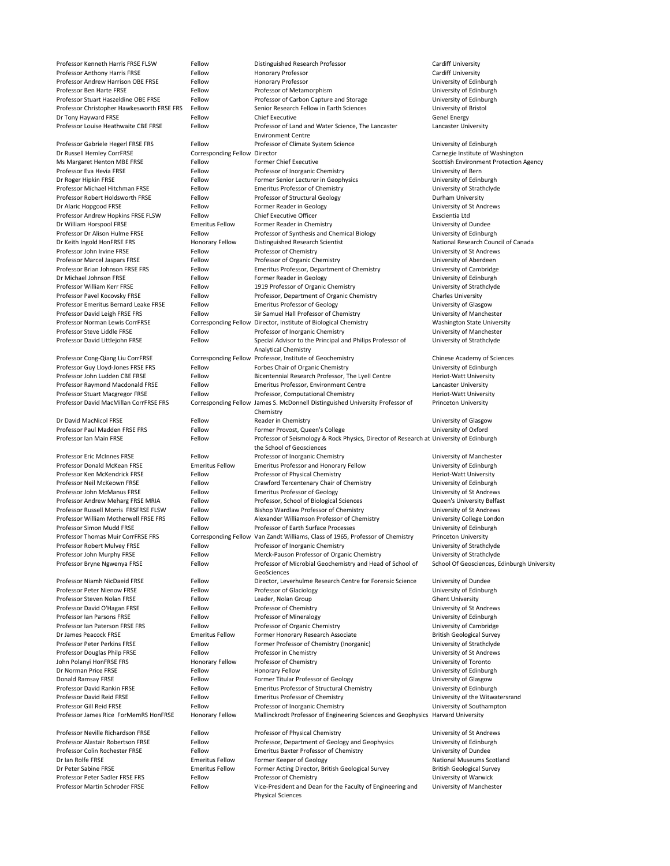Professor Kenneth Harris FRSE FLSW Fellow Distinguished Research Professor Cardiff University Professor Anthony Harris FRSE Fellow Fellow Honorary Professor Cardiff University Professor Andrew Harrison OBE FRSE FERSE FELLOW Fellow Honorary Professor Fermion Communication of Edinburgh Professor Ben Harte FRSE Fellow Fellow Professor of Metamorphism Communication Christophersity of Edinburgh Professor Stuart Haszeldine OBE FRSE Fellow Fellow Professor of Carbon Capture and Storage University of Edinburgh Professor Christopher Hawkesworth FRSE FRS Fellow Senior Research Fellow in Earth Sciences University of Bristol Dr Tony Hayward FRSE Fellow Fellow Chief Executive Chief Executive Chief Executive Genel Energy Professor Louise Heathwaite CBE FRSE FELLOW Fellow Professor of Land and Water Science, The Lancaster Environment Centre Lancaster University Professor Gabriele Hegerl FRSE FRS FEllow Fellow Professor of Climate System Science University of Edinburgh Dr Russell Hemley CorrFRSE Corresponding Fellow Director Carnegie Institute of Washington Ms Margaret Henton MBE FRSE FRSE Fellow Former Chief Executive Former Chief Executive Scottish Environment Protection Agency Professor Eva Hevia FRSE Fellow Fellow Professor of Inorganic Chemistry Fellow Professor of Inorganic Chemistry Dr Roger Hipkin FRSE **Fellow** Fellow Former Senior Lecturer in Geophysics and the University of Edinburgh Professor Michael Hitchman FRSE Fellow Emeritus Professor of Chemistry Fellow Emeritus Professor of Chemistry Strathclyde Professor Robert Holdsworth FRSE Fellow Professor of Structural Geology Fellow Professor of Structural Geology Dr Alaric Hopgood FRSE Fellow Fellow Former Reader in Geology Former Reader in Geology University of St Andrews Professor Andrew Hopkins FRSE FLSW Fellow Chief Executive Officer Chief Executive Chief Executive Officer Exscientia Ltd Dr William Horspool FRSE Emeritus Fellow Former Reader in Chemistry Emeritus Fellow Former Reader in Chemistry Professor Dr Alison Hulme FRSE Fellow Fellow Professor of Synthesis and Chemical Biology University of Edinburgh Dr Keith Ingold HonFRSE FRS **Honorary Fellow** Distinguished Research Scientist National Research Council of Canada Professor John Irvine FRSE Fellow Fellow Professor of Chemistry Fellow Professor of Chemistry Professor of Chemistry Professor Marcel Jaspars FRSE Fellow Fellow Professor of Organic Chemistry Fellow Professor of Organic Chemistry Professor Brian Johnson FRSE FRS FELLOW Emeritus Professor, Department of Chemistry University of Cambridge Dr Michael Johnson FRSE Fellow Fellow Former Reader in Geology Former Reader in Geology University of Edinburgh Professor William Kerr FRSE Fellow Fellow 1919 Professor of Organic Chemistry Fellow Thiversity of Strathclyde Professor Pavel Kocovsky FRSE Fellow Fellow Professor, Department of Organic Chemistry Charles University Professor Emeritus Bernard Leake FRSE Fellow Emeritus Professor of Geology Ferofessor Communicative of Glasgow Professor David Leigh FRSE FRS FELLOW Fellow Sir Samuel Hall Professor of Chemistry Fellow Sir Samuel Hall Professor of Chemistry Fellow Sir Samuel Hall Professor of Chemistry Fellow Business and Manchester Professor Norman Lewis CorrFRSE Corresponding Fellow Director, Institute of Biological Chemistry Washington State University Professor Steve Liddle FRSE Fellow Fellow Professor of Inorganic Chemistry Fellow Professor Steve Liddle FRSE Professor David Littlejohn FRSE Fellow Special Advisor to the Principal and Philips Professor of Analytical Chemistry University of Strathclyde Professor Cong-Qiang Liu CorrFRSE Corresponding Fellow Professor, Institute of Geochemistry Chinese Academy of Sciences Professor Guy Lloyd-Jones FRSE FRS FERS FERS FERIOW Forbes Chair of Organic Chemistry Fellow Forbes Chair of Organic Chemistry Fellow Forbes Chair of Organic Chemistry Fermi and Muniversity of Edinburgh Professor John Ludden CBE FRSE FRSE FELLOW Bicentennial Research Professor, The Lyell Centre Heriot-Watt University Professor Raymond Macdonald FRSE Fellow Emeritus Professor, Environment Centre Lancaster University Professor Stuart Macgregor FRSE Fellow Professor, Computational Chemistry Feriot-Watt University Professor David MacMillan CorrFRSE FRS Corresponding Fellow James S. McDonnell Distinguished University Professor of Chemistry Princeton University Dr David MacNicol FRSE Fellow Fellow Reader in Chemistry **Example 2018** University of Glasgow Professor Paul Madden FRSE FRS FELLOW Former Provost, Queen's College Fellow Former Provost, Queen's College Communication of Oxford Professor Ian Main FRSE **Fellow** Fellow Professor of Seismology & Rock Physics, Director of Research at University of Edinburgh the School of Geosciences Professor Eric McInnes FRSE Fellow Fellow Professor of Inorganic Chemistry Fellow Professor of Inorganic Chemistry Professor Donald McKean FRSE **Emeritus Fellow** Emeritus Professor and Honorary Fellow University of Edinburgh Professor Ken McKendrick FRSE Fellow Fellow Professor of Physical Chemistry Ferict Matt University Professor Neil McKeown FRSE Fellow Fellow Crawford Tercentenary Chair of Chemistry Chair of Loniversity of Edinburgh Professor John McManus FRSE Fellow Emeritus Professor of Geology Fellow Emeritus Professor of Geology and Muniversity of St Andrews Professor Andrew Meharg FRSE MRIA Fellow Professor, School of Biological Sciences Queen's University Belfast

| Professor Russell Morris FRSFRSE FLSW     | Fellow                 | Bishop Wardlaw Professor of Chemistry                                            | University of St Andrews                    |
|-------------------------------------------|------------------------|----------------------------------------------------------------------------------|---------------------------------------------|
| Professor William Motherwell FRSE FRS     | Fellow                 | Alexander Williamson Professor of Chemistry                                      | University College London                   |
| <b>Professor Simon Mudd FRSE</b>          | Fellow                 | Professor of Earth Surface Processes                                             | University of Edinburgh                     |
| <b>Professor Thomas Muir CorrFRSE FRS</b> |                        | Corresponding Fellow Van Zandt Williams, Class of 1965, Professor of Chemistry   | <b>Princeton University</b>                 |
| Professor Robert Mulvey FRSE              | Fellow                 | Professor of Inorganic Chemistry                                                 | University of Strathclyde                   |
| Professor John Murphy FRSE                | Fellow                 | Merck-Pauson Professor of Organic Chemistry                                      | University of Strathclyde                   |
| Professor Bryne Ngwenya FRSE              | Fellow                 | Professor of Microbial Geochemistry and Head of School of                        | School Of Geosciences, Edinburgh University |
|                                           |                        | GeoSciences                                                                      |                                             |
| Professor Niamh NicDaeid FRSE             | Fellow                 | Director, Leverhulme Research Centre for Forensic Science                        | University of Dundee                        |
| <b>Professor Peter Nienow FRSE</b>        | Fellow                 | Professor of Glaciology                                                          | University of Edinburgh                     |
| Professor Steven Nolan FRSE               | Fellow                 | Leader, Nolan Group                                                              | <b>Ghent University</b>                     |
| Professor David O'Hagan FRSE              | Fellow                 | Professor of Chemistry                                                           | University of St Andrews                    |
| <b>Professor Ian Parsons FRSE</b>         | Fellow                 | Professor of Mineralogy                                                          | University of Edinburgh                     |
| Professor Ian Paterson FRSE FRS           | Fellow                 | Professor of Organic Chemistry                                                   | University of Cambridge                     |
| Dr James Peacock FRSE                     | <b>Emeritus Fellow</b> | Former Honorary Research Associate                                               | <b>British Geological Survey</b>            |
| <b>Professor Peter Perkins FRSE</b>       | Fellow                 | Former Professor of Chemistry (Inorganic)                                        | University of Strathclyde                   |
| <b>Professor Douglas Philp FRSE</b>       | Fellow                 | Professor in Chemistry                                                           | University of St Andrews                    |
| John Polanyi HonFRSE FRS                  | <b>Honorary Fellow</b> | Professor of Chemistry                                                           | University of Toronto                       |
| Dr Norman Price FRSE                      | Fellow                 | <b>Honorary Fellow</b>                                                           | University of Edinburgh                     |
| <b>Donald Ramsay FRSE</b>                 | Fellow                 | Former Titular Professor of Geology                                              | University of Glasgow                       |
| <b>Professor David Rankin FRSE</b>        | Fellow                 | <b>Emeritus Professor of Structural Chemistry</b>                                | University of Edinburgh                     |
| <b>Professor David Reid FRSE</b>          | Fellow                 | <b>Emeritus Professor of Chemistry</b>                                           | University of the Witwatersrand             |
| Professor Gill Reid FRSE                  | Fellow                 | Professor of Inorganic Chemistry                                                 | University of Southampton                   |
| Professor James Rice ForMemRS HonFRSE     | <b>Honorary Fellow</b> | Mallinckrodt Professor of Engineering Sciences and Geophysics Harvard University |                                             |
| Professor Neville Richardson FRSE         | Fellow                 | Professor of Physical Chemistry                                                  | University of St Andrews                    |
| Professor Alastair Robertson FRSE         | Fellow                 | Professor, Department of Geology and Geophysics                                  | University of Edinburgh                     |
| Professor Colin Rochester FRSE            | Fellow                 | <b>Emeritus Baxter Professor of Chemistry</b>                                    | University of Dundee                        |
| Dr Ian Rolfe FRSE                         | <b>Emeritus Fellow</b> | Former Keeper of Geology                                                         | <b>National Museums Scotland</b>            |
| Dr Peter Sabine FRSE                      | <b>Emeritus Fellow</b> | Former Acting Director, British Geological Survey                                | <b>British Geological Survey</b>            |
| Professor Peter Sadler FRSE FRS           | Fellow                 | Professor of Chemistry                                                           | University of Warwick                       |
| Professor Martin Schroder FRSE            | Fellow                 | Vice-President and Dean for the Faculty of Engineering and                       | University of Manchester                    |
|                                           |                        |                                                                                  |                                             |

Physical Sciences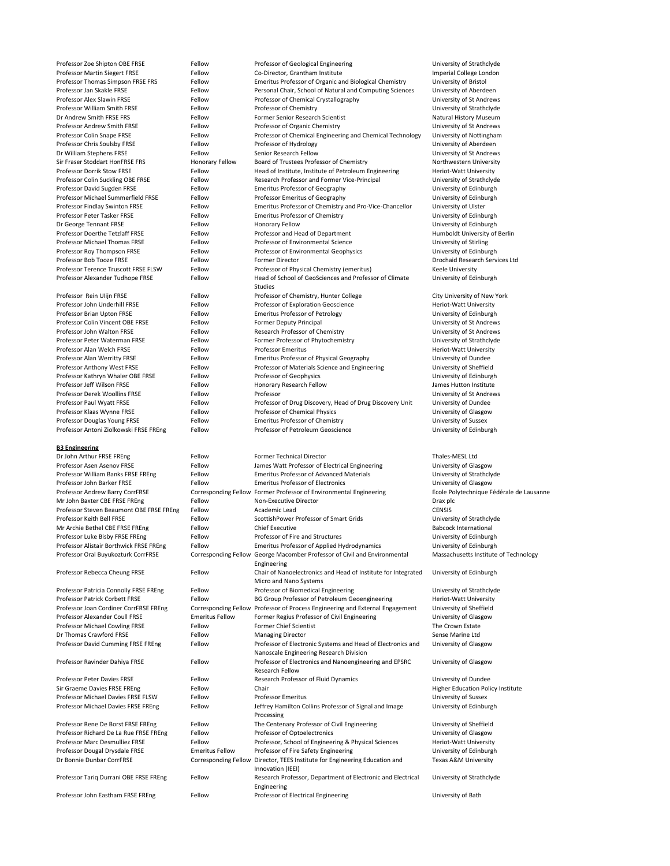University of Edinburgh

Professor Zoe Shipton OBE FRSE FRSE FELLOW Professor of Geological Engineering Fellow Professor of Geological Engineering

### **B3 Engineering**

Professor Martin Siegert FRSE Fellow Fellow Co-Director, Grantham Institute Imperial College London Professor Thomas Simpson FRSE FRS Fellow Emeritus Professor of Organic and Biological Chemistry University of Bristol Professor Jan Skakle FRSE Fellow Fellow Personal Chair, School of Natural and Computing Sciences University of Aberdeen Professor Alex Slawin FRSE Fellow Fellow Professor of Chemical Crystallography University of St Andrews Professor William Smith FRSE Fellow Fellow Professor of Chemistry **Fellow** Professor of Chemistry **Professor** Chemistry **Professor** Chemistry **Professor Milliam Smith FRSE** Dr Andrew Smith FRSE FRS FELLOW Fellow Former Senior Research Scientist The State Natural History Museum Professor Andrew Smith FRSE Fellow Fellow Professor of Organic Chemistry Fellow Professor of Organic Chemistry Professor Colin Snape FRSE Fellow Fellow Professor of Chemical Engineering and Chemical Technology University of Nottingham Professor Chris Soulsby FRSE Fellow Fellow Professor of Hydrology Fellow Professor of Hydrology Dhiversity of Aberdeen Dr William Stephens FRSE Fellow Fellow Senior Research Fellow Senior Research Fellow University of St Andrews Sir Fraser Stoddart HonFRSE FRS Honorary Fellow Board of Trustees Professor of Chemistry Northwestern University Professor Dorrik Stow FRSE Fellow Fellow Head of Institute, Institute of Petroleum Engineering Heriot-Watt University Professor Colin Suckling OBE FRSE FRSE FELLOW Research Professor and Former Vice-Principal University of Strathclyde Professor David Sugden FRSE Fellow Emeritus Professor of Geography Fellow Emeritus Professor of Geography Professor Michael Summerfield FRSE Fellow Professor Emeritus of Geography Professor Emeritus of Geography Professor Findlay Swinton FRSE Fellow Emeritus Professor of Chemistry and Pro-Vice-Chancellor University of Ulster Professor Peter Tasker FRSE Fellow Fellow Emeritus Professor of Chemistry Fellow Emeritus Professor of Chemistry Dr George Tennant FRSE Fellow Fellow Honorary Fellow Honorary Fellow The Second University of Edinburgh Professor Doerthe Tetzlaff FRSE Fellow Fellow Professor and Head of Department Fernand Humboldt University of Berlin Professor Michael Thomas FRSE Fellow Fellow Professor of Environmental Science University of Stirling Professor Roy Thompson FRSE Fellow Fellow Professor of Environmental Geophysics University of Edinburgh Professor Bob Tooze FRSE FRSE Fellow Fellow Former Director Communication Controller Drochaid Research Services Ltd Professor Terence Truscott FRSE FLSW Fellow Professor of Physical Chemistry (emeritus) Keele University Professor Alexander Tudhope FRSE Fellow Head of School of GeoSciences and Professor of Climate Studies Professor Rein Ulijn FRSE Fellow Fellow Professor of Chemistry, Hunter College City University of New York Professor John Underhill FRSE Fellow Fellow Professor of Exploration Geoscience Heriot-Watt University Professor Brian Upton FRSE Fellow Fellow Emeritus Professor of Petrology Fetrology and Muniversity of Edinburgh Professor Colin Vincent OBE FRSE FERSE FERSE Fellow Former Deputy Principal Former Deputy Principal University of St Andrews Professor John Walton FRSE Fellow Fellow Research Professor of Chemistry Fellow Research Professor of Chemistry Professor Peter Waterman FRSE Fellow Fellow Former Professor of Phytochemistry Fermether and Muniversity of Strathclyde Professor Alan Welch FRSE Fellow Fellow Professor Emeritus And The Heriot-Watt University Professor Alan Werritty FRSE Fellow Fellow Emeritus Professor of Physical Geography University of Dundee Professor Anthony West FRSE FRSE FELLOW Fellow Professor of Materials Science and Engineering University of Sheffield Professor Kathryn Whaler OBE FRSE FERSE FERSE FELLOW Professor of Geophysics Felix Controller and Muniversity of Edinburgh Professor Jeff Wilson FRSE Fellow Fellow Honorary Research Fellow James Hutton Institute Professor Derek Woollins FRSE Fellow Professor University of St Andrews Professor Paul Wyatt FRSE Fellow Fellow Professor of Drug Discovery, Head of Drug Discovery Unit University of Dundee Professor Klaas Wynne FRSE Fellow Fellow Professor of Chemical Physics Fellow Professor of Chemical Physics Fellow Professor Douglas Young FRSE Fellow Emeritus Professor of Chemistry Fellow Emeritus Professor of Chemistry Emerity Chemistry Chemistry Chemistry of Sussex Professor Antoni Ziolkowski FRSE FREng Fellow Professor of Petroleum Geoscience Ferroleum Geoscience University of Edinburgh

Dr John Arthur FRSE FREng Fellow Fellow Former Technical Director Thales-MESL Ltd Professor Asen Asenov FRSE Fellow Fellow James Watt Professor of Electrical Engineering University of Glasgow Professor William Banks FRSE FREng Fellow Emeritus Professor of Advanced Materials University of Strathclyde Professor John Barker FRSE Fellow Fellow Emeritus Professor of Electronics Fellow Emeritus Professor of Electronics Professor Andrew Barry CorrFRSE Corresponding Fellow Former Professor of Environmental Engineering Ecole Polytechnique Fédérale de Lausanne Mr John Baxter CBE FRSE FREng Fellow Non-Executive Director Fermi Prax plc Professor Steven Beaumont OBE FRSE FREng Fellow Academic Lead CENSIS

| Professor Keith Bell FRSE               | Fellow                 | ScottishPower Professor of Smart Grids                                                                 | University of Strathclyde                |
|-----------------------------------------|------------------------|--------------------------------------------------------------------------------------------------------|------------------------------------------|
| Mr Archie Bethel CBE FRSE FREng         | Fellow                 | <b>Chief Executive</b>                                                                                 | <b>Babcock International</b>             |
| Professor Luke Bisby FRSE FREng         | Fellow                 | Professor of Fire and Structures                                                                       | University of Edinburgh                  |
| Professor Alistair Borthwick FRSE FREng | Fellow                 | <b>Emeritus Professor of Applied Hydrodynamics</b>                                                     | University of Edinburgh                  |
| Professor Oral Buyukozturk CorrFRSE     |                        | Corresponding Fellow George Macomber Professor of Civil and Environmental<br>Engineering               | Massachusetts Institute of Technology    |
| Professor Rebecca Cheung FRSE           | Fellow                 | Chair of Nanoelectronics and Head of Institute for Integrated<br>Micro and Nano Systems                | University of Edinburgh                  |
| Professor Patricia Connolly FRSE FREng  | Fellow                 | Professor of Biomedical Engineering                                                                    | University of Strathclyde                |
| <b>Professor Patrick Corbett FRSE</b>   | Fellow                 | BG Group Professor of Petroleum Geoengineering                                                         | Heriot-Watt University                   |
| Professor Joan Cordiner CorrFRSE FREng  |                        | Corresponding Fellow Professor of Process Engineering and External Engagement                          | University of Sheffield                  |
| Professor Alexander Coull FRSE          | <b>Emeritus Fellow</b> | Former Regius Professor of Civil Engineering                                                           | University of Glasgow                    |
| <b>Professor Michael Cowling FRSE</b>   | Fellow                 | <b>Former Chief Scientist</b>                                                                          | The Crown Estate                         |
| Dr Thomas Crawford FRSE                 | Fellow                 | <b>Managing Director</b>                                                                               | Sense Marine Ltd                         |
| Professor David Cumming FRSE FREng      | Fellow                 | Professor of Electronic Systems and Head of Electronics and<br>Nanoscale Engineering Research Division | University of Glasgow                    |
| Professor Ravinder Dahiya FRSE          | Fellow                 | Professor of Electronics and Nanoengineering and EPSRC<br><b>Research Fellow</b>                       | University of Glasgow                    |
| <b>Professor Peter Davies FRSE</b>      | Fellow                 | Research Professor of Fluid Dynamics                                                                   | University of Dundee                     |
| Sir Graeme Davies FRSE FREng            | Fellow                 | Chair                                                                                                  | <b>Higher Education Policy Institute</b> |
| Professor Michael Davies FRSE FLSW      | Fellow                 | <b>Professor Emeritus</b>                                                                              | University of Sussex                     |
| Professor Michael Davies FRSE FREng     | Fellow                 | Jeffrey Hamilton Collins Professor of Signal and Image<br>Processing                                   | University of Edinburgh                  |
| Professor Rene De Borst FRSE FREng      | Fellow                 | The Centenary Professor of Civil Engineering                                                           | University of Sheffield                  |
| Professor Richard De La Rue FRSE FREng  | Fellow                 | Professor of Optoelectronics                                                                           | University of Glasgow                    |
| <b>Professor Marc Desmulliez FRSE</b>   | Fellow                 | Professor, School of Engineering & Physical Sciences                                                   | Heriot-Watt University                   |
| Professor Dougal Drysdale FRSE          | <b>Emeritus Fellow</b> | Professor of Fire Safety Engineering                                                                   | University of Edinburgh                  |
| Dr Bonnie Dunbar CorrFRSE               |                        | Corresponding Fellow Director, TEES Institute for Engineering Education and<br>Innovation (IEEI)       | <b>Texas A&amp;M University</b>          |
| Professor Tariq Durrani OBE FRSE FREng  | Fellow                 | Research Professor, Department of Electronic and Electrical<br>Engineering                             | University of Strathclyde                |
| Professor John Eastham FRSE FREng       | Fellow                 | Professor of Electrical Engineering                                                                    | University of Bath                       |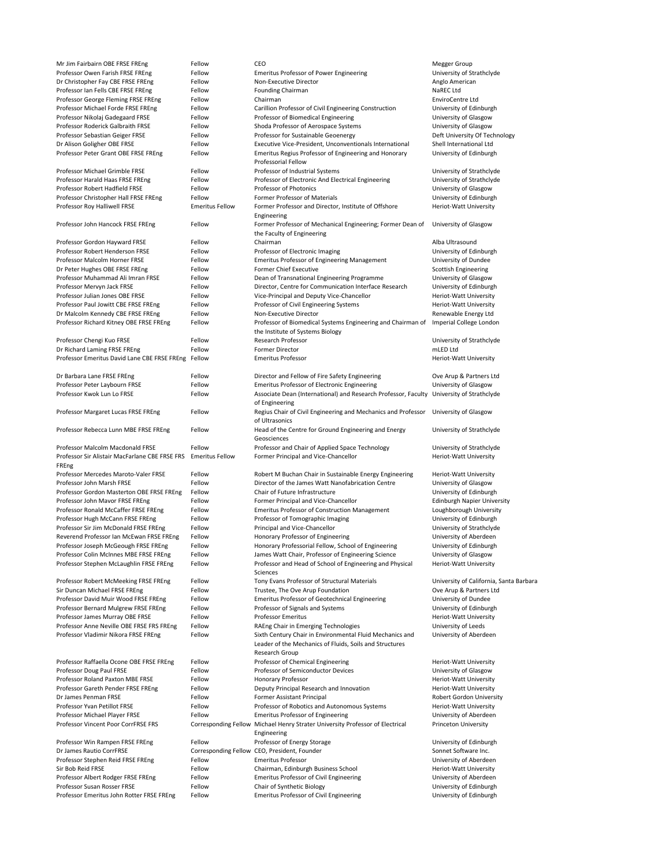| Mr Jim Fairbairn OBE FRSE FREng                                     | Fellow                      | CEO                                                                                                                 | Megger Group                                             |
|---------------------------------------------------------------------|-----------------------------|---------------------------------------------------------------------------------------------------------------------|----------------------------------------------------------|
| Professor Owen Farish FRSE FREng                                    | Fellow                      | <b>Emeritus Professor of Power Engineering</b>                                                                      | University of Strathclyde                                |
| Dr Christopher Fay CBE FRSE FREng                                   | Fellow                      | Non-Executive Director                                                                                              | Anglo American                                           |
| Professor Ian Fells CBE FRSE FREng                                  | Fellow                      | <b>Founding Chairman</b>                                                                                            | NaREC Ltd                                                |
| Professor George Fleming FRSE FREng                                 | Fellow                      | Chairman                                                                                                            | <b>EnviroCentre Ltd</b>                                  |
| Professor Michael Forde FRSE FREng                                  | Fellow                      | Carillion Professor of Civil Engineering Construction                                                               | University of Edinburgh                                  |
| Professor Nikolaj Gadegaard FRSE                                    | Fellow                      | Professor of Biomedical Engineering                                                                                 | University of Glasgow                                    |
| Professor Roderick Galbraith FRSE                                   | Fellow                      | Shoda Professor of Aerospace Systems                                                                                | University of Glasgow                                    |
| Professor Sebastian Geiger FRSE<br>Dr Alison Goligher OBE FRSE      | Fellow<br>Fellow            | Professor for Sustainable Geoenergy<br>Executive Vice-President, Unconventionals International                      | Deft University Of Technology<br>Shell International Ltd |
| Professor Peter Grant OBE FRSE FREng                                | Fellow                      | Emeritus Regius Professor of Engineering and Honorary<br><b>Professorial Fellow</b>                                 | University of Edinburgh                                  |
| Professor Michael Grimble FRSE                                      | Fellow                      | Professor of Industrial Systems                                                                                     | University of Strathclyde                                |
| Professor Harald Haas FRSE FREng                                    | Fellow                      | Professor of Electronic And Electrical Engineering                                                                  | University of Strathclyde                                |
| Professor Robert Hadfield FRSE                                      | Fellow                      | <b>Professor of Photonics</b>                                                                                       | University of Glasgow                                    |
| Professor Christopher Hall FRSE FREng                               | Fellow                      | Former Professor of Materials                                                                                       | University of Edinburgh                                  |
| Professor Roy Halliwell FRSE                                        | <b>Emeritus Fellow</b>      | Former Professor and Director, Institute of Offshore<br>Engineering                                                 | <b>Heriot-Watt University</b>                            |
| Professor John Hancock FRSE FREng                                   | Fellow                      | Former Professor of Mechanical Engineering; Former Dean of<br>the Faculty of Engineering                            | University of Glasgow                                    |
| Professor Gordon Hayward FRSE                                       | Fellow                      | Chairman                                                                                                            | Alba Ultrasound                                          |
| Professor Robert Henderson FRSE                                     | Fellow                      | Professor of Electronic Imaging                                                                                     | University of Edinburgh                                  |
| Professor Malcolm Horner FRSE                                       | Fellow                      | <b>Emeritus Professor of Engineering Management</b>                                                                 | University of Dundee                                     |
| Dr Peter Hughes OBE FRSE FREng                                      | Fellow                      | <b>Former Chief Executive</b>                                                                                       | <b>Scottish Engineering</b>                              |
| Professor Muhammad Ali Imran FRSE                                   | Fellow                      | Dean of Transnational Engineering Programme                                                                         | University of Glasgow                                    |
| Professor Mervyn Jack FRSE                                          | Fellow                      | Director, Centre for Communication Interface Research                                                               | University of Edinburgh                                  |
| Professor Julian Jones OBE FRSE                                     | Fellow                      | Vice-Principal and Deputy Vice-Chancellor                                                                           | <b>Heriot-Watt University</b>                            |
| Professor Paul Jowitt CBE FRSE FREng                                | Fellow                      | Professor of Civil Engineering Systems                                                                              | <b>Heriot-Watt University</b>                            |
| Dr Malcolm Kennedy CBE FRSE FREng                                   | Fellow                      | Non-Executive Director                                                                                              | Renewable Energy Ltd                                     |
| Professor Richard Kitney OBE FRSE FREng                             | Fellow                      | Professor of Biomedical Systems Engineering and Chairman of<br>the Institute of Systems Biology                     | Imperial College London                                  |
| Professor Chengi Kuo FRSE                                           | Fellow                      | <b>Research Professor</b>                                                                                           | University of Strathclyde                                |
| Dr Richard Laming FRSE FREng                                        | Fellow                      | <b>Former Director</b>                                                                                              | mLED Ltd                                                 |
| Professor Emeritus David Lane CBE FRSE FREng Fellow                 |                             | <b>Emeritus Professor</b>                                                                                           | Heriot-Watt University                                   |
| Dr Barbara Lane FRSE FREng                                          | Fellow                      | Director and Fellow of Fire Safety Engineering                                                                      | Ove Arup & Partners Ltd                                  |
| Professor Peter Laybourn FRSE                                       | Fellow                      | <b>Emeritus Professor of Electronic Engineering</b>                                                                 | University of Glasgow                                    |
| Professor Kwok Lun Lo FRSE                                          | Fellow                      | Associate Dean (International) and Research Professor, Faculty University of Strathclyde<br>of Engineering          |                                                          |
| Professor Margaret Lucas FRSE FREng                                 | Fellow                      | Regius Chair of Civil Engineering and Mechanics and Professor<br>of Ultrasonics                                     | University of Glasgow                                    |
| Professor Rebecca Lunn MBE FRSE FREng                               | Fellow                      | Head of the Centre for Ground Engineering and Energy<br>Geosciences                                                 | University of Strathclyde                                |
| Professor Malcolm Macdonald FRSE                                    | Fellow                      | Professor and Chair of Applied Space Technology                                                                     | University of Strathclyde                                |
| Professor Sir Alistair MacFarlane CBE FRSE FRS                      | <b>Emeritus Fellow</b>      | Former Principal and Vice-Chancellor                                                                                | <b>Heriot-Watt University</b>                            |
| FREng                                                               |                             |                                                                                                                     |                                                          |
| Professor Mercedes Maroto-Valer FRSE<br>Professor John Marsh FRSE   | Fellow<br>Fellow            | Robert M Buchan Chair in Sustainable Energy Engineering<br>Director of the James Watt Nanofabrication Centre        | Heriot-Watt University                                   |
| Professor Gordon Masterton OBE FRSE FREng                           | Fellow                      | Chair of Future Infrastructure                                                                                      | University of Glasgow<br>University of Edinburgh         |
| Professor John Mavor FRSE FREng                                     | Fellow                      | Former Principal and Vice-Chancellor                                                                                | <b>Edinburgh Napier University</b>                       |
| Professor Ronald McCaffer FRSE FREng                                | Fellow                      | <b>Emeritus Professor of Construction Management</b>                                                                | Loughborough University                                  |
| Professor Hugh McCann FRSE FREng                                    | Fellow                      | Professor of Tomographic Imaging                                                                                    | University of Edinburgh                                  |
| Professor Sir Jim McDonald FRSE FREng                               | Fellow                      | Principal and Vice-Chancellor                                                                                       | University of Strathclyde                                |
| Reverend Professor Ian McEwan FRSE FREng                            | Fellow                      | Honorary Professor of Engineering                                                                                   | University of Aberdeen                                   |
| Professor Joseph McGeough FRSE FREng                                | Fellow                      | Honorary Professorial Fellow, School of Engineering                                                                 | University of Edinburgh                                  |
| Professor Colin McInnes MBE FRSE FREng                              | Fellow                      | James Watt Chair, Professor of Engineering Science                                                                  | University of Glasgow                                    |
| Professor Stephen McLaughlin FRSE FREng                             | Fellow                      | Professor and Head of School of Engineering and Physical<br>Sciences                                                | <b>Heriot-Watt University</b>                            |
| Professor Robert McMeeking FRSE FREng                               | Fellow                      | Tony Evans Professor of Structural Materials                                                                        | University of California, Santa Barbara                  |
| Sir Duncan Michael FRSE FREng                                       | Fellow                      | Trustee, The Ove Arup Foundation                                                                                    | Ove Arup & Partners Ltd                                  |
| Professor David Muir Wood FRSE FREng                                | Fellow                      | <b>Emeritus Professor of Geotechnical Engineering</b>                                                               | University of Dundee                                     |
| Professor Bernard Mulgrew FRSE FREng                                | Fellow                      | Professor of Signals and Systems                                                                                    | University of Edinburgh                                  |
| Professor James Murray OBE FRSE                                     | Fellow                      | <b>Professor Emeritus</b>                                                                                           | <b>Heriot-Watt University</b>                            |
| Professor Anne Neville OBE FRSE FRS FREng                           | Fellow                      | RAEng Chair in Emerging Technologies                                                                                | University of Leeds                                      |
| Professor Vladimir Nikora FRSE FREng                                | Fellow                      | Sixth Century Chair in Environmental Fluid Mechanics and<br>Leader of the Mechanics of Fluids, Soils and Structures | University of Aberdeen                                   |
|                                                                     |                             | Research Group                                                                                                      |                                                          |
| Professor Raffaella Ocone OBE FRSE FREng                            | Fellow<br>Fellow            | Professor of Chemical Engineering<br><b>Professor of Semiconductor Devices</b>                                      | Heriot-Watt University                                   |
| Professor Doug Paul FRSE<br><b>Professor Roland Paxton MBE FRSE</b> | Fellow                      | <b>Honorary Professor</b>                                                                                           | University of Glasgow<br>Heriot-Watt University          |
| Professor Gareth Pender FRSE FREng                                  | Fellow                      | Deputy Principal Research and Innovation                                                                            | <b>Heriot-Watt University</b>                            |
| Dr James Penman FRSE                                                | Fellow                      | <b>Former Assistant Principal</b>                                                                                   | <b>Robert Gordon University</b>                          |
| Professor Yvan Petillot FRSE                                        | Fellow                      | Professor of Robotics and Autonomous Systems                                                                        | <b>Heriot-Watt University</b>                            |
| Professor Michael Player FRSE                                       | Fellow                      | <b>Emeritus Professor of Engineering</b>                                                                            | University of Aberdeen                                   |
| <b>Professor Vincent Poor CorrFRSE FRS</b>                          | <b>Corresponding Fellow</b> | Michael Henry Strater University Professor of Electrical<br>Engineering                                             | <b>Princeton University</b>                              |
| Professor Win Rampen FRSE FREng                                     | Fellow                      | Professor of Energy Storage                                                                                         | University of Edinburgh                                  |
| Dr James Rautio CorrFRSE                                            |                             | Corresponding Fellow CEO, President, Founder                                                                        | Sonnet Software Inc.                                     |
| Professor Stephen Reid FRSE FREng                                   | Fellow                      | <b>Emeritus Professor</b>                                                                                           | University of Aberdeen                                   |
| Sir Bob Reid FRSE                                                   | Fellow                      | Chairman, Edinburgh Business School                                                                                 | Heriot-Watt University                                   |
| Professor Albert Rodger FRSE FREng                                  | Fellow                      | <b>Emeritus Professor of Civil Engineering</b>                                                                      | University of Aberdeen                                   |
| Professor Susan Rosser FRSE                                         | Fellow                      | <b>Chair of Synthetic Biology</b>                                                                                   | University of Edinburgh                                  |
| Professor Emeritus John Rotter FRSE FREng                           | Fellow                      | <b>Emeritus Professor of Civil Engineering</b>                                                                      | University of Edinburgh                                  |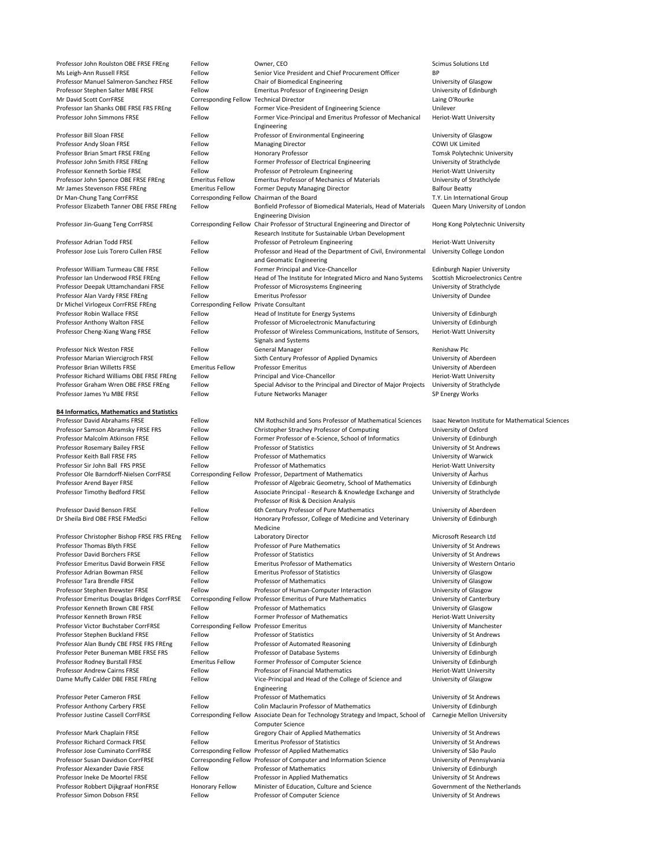| Professor John Roulston OBE FRSE FREng            | Fellow                                  | Owner, CEO                                                                        | <b>Scimus Solutions Ltd</b>                             |
|---------------------------------------------------|-----------------------------------------|-----------------------------------------------------------------------------------|---------------------------------------------------------|
|                                                   |                                         |                                                                                   |                                                         |
| Ms Leigh-Ann Russell FRSE                         | Fellow                                  | Senior Vice President and Chief Procurement Officer                               | <b>BP</b>                                               |
| Professor Manuel Salmeron-Sanchez FRSE            | Fellow                                  | Chair of Biomedical Engineering                                                   | University of Glasgow                                   |
| Professor Stephen Salter MBE FRSE                 | Fellow                                  | <b>Emeritus Professor of Engineering Design</b>                                   | University of Edinburgh                                 |
| Mr David Scott CorrFRSE                           | Corresponding Fellow Technical Director |                                                                                   | Laing O'Rourke                                          |
| Professor Ian Shanks OBE FRSE FRS FREng           | Fellow                                  | Former Vice-President of Engineering Science                                      | Unilever                                                |
|                                                   |                                         |                                                                                   |                                                         |
| Professor John Simmons FRSE                       | Fellow                                  | Former Vice-Principal and Emeritus Professor of Mechanical                        | <b>Heriot-Watt University</b>                           |
|                                                   |                                         | Engineering                                                                       |                                                         |
| Professor Bill Sloan FRSE                         | Fellow                                  | Professor of Environmental Engineering                                            | University of Glasgow                                   |
| Professor Andy Sloan FRSE                         | Fellow                                  | <b>Managing Director</b>                                                          | <b>COWI UK Limited</b>                                  |
|                                                   |                                         |                                                                                   |                                                         |
| Professor Brian Smart FRSE FREng                  | Fellow                                  | <b>Honorary Professor</b>                                                         | <b>Tomsk Polytechnic University</b>                     |
| Professor John Smith FRSE FREng                   | Fellow                                  | Former Professor of Electrical Engineering                                        | University of Strathclyde                               |
| Professor Kenneth Sorbie FRSE                     | Fellow                                  | Professor of Petroleum Engineering                                                | <b>Heriot-Watt University</b>                           |
| Professor John Spence OBE FRSE FREng              | <b>Emeritus Fellow</b>                  | <b>Emeritus Professor of Mechanics of Materials</b>                               | University of Strathclyde                               |
| Mr James Stevenson FRSE FREng                     | <b>Emeritus Fellow</b>                  | <b>Former Deputy Managing Director</b>                                            | <b>Balfour Beatty</b>                                   |
|                                                   |                                         |                                                                                   |                                                         |
| Dr Man-Chung Tang CorrFRSE                        |                                         | Corresponding Fellow Chairman of the Board                                        | T.Y. Lin International Group                            |
| Professor Elizabeth Tanner OBE FRSE FREng         | Fellow                                  | Bonfield Professor of Biomedical Materials, Head of Materials                     | Queen Mary University of London                         |
|                                                   |                                         | <b>Engineering Division</b>                                                       |                                                         |
| Professor Jin-Guang Teng CorrFRSE                 |                                         | Corresponding Fellow Chair Professor of Structural Engineering and Director of    | Hong Kong Polytechnic University                        |
|                                                   |                                         | Research Institute for Sustainable Urban Development                              |                                                         |
|                                                   |                                         |                                                                                   |                                                         |
| Professor Adrian Todd FRSE                        | Fellow                                  | Professor of Petroleum Engineering                                                | Heriot-Watt University                                  |
| Professor Jose Luis Torero Cullen FRSE            | Fellow                                  | Professor and Head of the Department of Civil, Environmental                      | University College London                               |
|                                                   |                                         | and Geomatic Engineering                                                          |                                                         |
| Professor William Turmeau CBE FRSE                | Fellow                                  | Former Principal and Vice-Chancellor                                              | <b>Edinburgh Napier University</b>                      |
|                                                   |                                         |                                                                                   |                                                         |
| Professor Ian Underwood FRSE FREng                | Fellow                                  | Head of The Institute for Integrated Micro and Nano Systems                       | <b>Scottish Microelectronics Centre</b>                 |
| Professor Deepak Uttamchandani FRSE               | Fellow                                  | Professor of Microsystems Engineering                                             | University of Strathclyde                               |
| Professor Alan Vardy FRSE FREng                   | Fellow                                  | <b>Emeritus Professor</b>                                                         | University of Dundee                                    |
| Dr Michel Virlogeux CorrFRSE FREng                | Corresponding Fellow Private Consultant |                                                                                   |                                                         |
| Professor Robin Wallace FRSE                      | Fellow                                  | Head of Institute for Energy Systems                                              | University of Edinburgh                                 |
|                                                   |                                         |                                                                                   |                                                         |
| Professor Anthony Walton FRSE                     | Fellow                                  | Professor of Microelectronic Manufacturing                                        | University of Edinburgh                                 |
| Professor Cheng-Xiang Wang FRSE                   | Fellow                                  | Professor of Wireless Communications, Institute of Sensors,                       | <b>Heriot-Watt University</b>                           |
|                                                   |                                         | Signals and Systems                                                               |                                                         |
| <b>Professor Nick Weston FRSE</b>                 | Fellow                                  | <b>General Manager</b>                                                            | Renishaw Plc                                            |
|                                                   |                                         |                                                                                   |                                                         |
| Professor Marian Wiercigroch FRSE                 | Fellow                                  | Sixth Century Professor of Applied Dynamics                                       | University of Aberdeen                                  |
| <b>Professor Brian Willetts FRSE</b>              | <b>Emeritus Fellow</b>                  | <b>Professor Emeritus</b>                                                         | University of Aberdeen                                  |
| Professor Richard Williams OBE FRSE FREng         | Fellow                                  | Principal and Vice-Chancellor                                                     | <b>Heriot-Watt University</b>                           |
| Professor Graham Wren OBE FRSE FREng              | Fellow                                  | Special Advisor to the Principal and Director of Major Projects                   | University of Strathclyde                               |
|                                                   |                                         |                                                                                   |                                                         |
| Professor James Yu MBE FRSE                       | Fellow                                  | <b>Future Networks Manager</b>                                                    | SP Energy Works                                         |
|                                                   |                                         |                                                                                   |                                                         |
| <b>B4 Informatics, Mathematics and Statistics</b> |                                         |                                                                                   |                                                         |
| <b>Professor David Abrahams FRSE</b>              | Fellow                                  | NM Rothschild and Sons Professor of Mathematical Sciences                         | <b>Isaac Newton Institute for Mathematical Sciences</b> |
|                                                   |                                         |                                                                                   |                                                         |
| Professor Samson Abramsky FRSE FRS                | Fellow                                  | Christopher Strachey Professor of Computing                                       | University of Oxford                                    |
| Professor Malcolm Atkinson FRSE                   | Fellow                                  | Former Professor of e-Science, School of Informatics                              | University of Edinburgh                                 |
| Professor Rosemary Bailey FRSE                    | Fellow                                  | <b>Professor of Statistics</b>                                                    | University of St Andrews                                |
| Professor Keith Ball FRSE FRS                     | Fellow                                  | <b>Professor of Mathematics</b>                                                   | University of Warwick                                   |
| Professor Sir John Ball FRS PRSE                  | Fellow                                  | <b>Professor of Mathematics</b>                                                   | <b>Heriot-Watt University</b>                           |
|                                                   |                                         |                                                                                   |                                                         |
| Professor Ole Barndorff-Nielsen CorrFRSE          |                                         | Corresponding Fellow Professor, Department of Mathematics                         | University of Åarhus                                    |
| Professor Arend Bayer FRSE                        | Fellow                                  | Professor of Algebraic Geometry, School of Mathematics                            | University of Edinburgh                                 |
| Professor Timothy Bedford FRSE                    | Fellow                                  | Associate Principal - Research & Knowledge Exchange and                           | University of Strathclyde                               |
|                                                   |                                         | Professor of Risk & Decision Analysis                                             |                                                         |
|                                                   |                                         |                                                                                   |                                                         |
| Professor David Benson FRSE                       | Fellow                                  | 6th Century Professor of Pure Mathematics                                         | University of Aberdeen                                  |
| Dr Sheila Bird OBE FRSE FMedSci                   | Fellow                                  | Honorary Professor, College of Medicine and Veterinary                            | University of Edinburgh                                 |
|                                                   |                                         | Medicine                                                                          |                                                         |
| Professor Christopher Bishop FRSE FRS FREng       | Fellow                                  | Laboratory Director                                                               | Microsoft Research Ltd                                  |
|                                                   |                                         |                                                                                   |                                                         |
| Professor Thomas Blyth FRSE                       | Fellow                                  | Professor of Pure Mathematics                                                     | University of St Andrews                                |
| <b>Professor David Borchers FRSE</b>              | Fellow                                  | <b>Professor of Statistics</b>                                                    | University of St Andrews                                |
| Professor Emeritus David Borwein FRSE             | Fellow                                  | <b>Emeritus Professor of Mathematics</b>                                          | University of Western Ontario                           |
| <b>Professor Adrian Bowman FRSE</b>               | Fellow                                  | <b>Emeritus Professor of Statistics</b>                                           | University of Glasgow                                   |
|                                                   |                                         |                                                                                   |                                                         |
| Professor Tara Brendle FRSE                       | Fellow                                  | <b>Professor of Mathematics</b>                                                   | University of Glasgow                                   |
| Professor Stephen Brewster FRSE                   | Fellow                                  | Professor of Human-Computer Interaction                                           | University of Glasgow                                   |
| Professor Emeritus Douglas Bridges CorrFRSE       |                                         | Corresponding Fellow Professor Emeritus of Pure Mathematics                       | University of Canterbury                                |
| Professor Kenneth Brown CBE FRSE                  | Fellow                                  | <b>Professor of Mathematics</b>                                                   | University of Glasgow                                   |
| Professor Kenneth Brown FRSE                      | Fellow                                  | <b>Former Professor of Mathematics</b>                                            | Heriot-Watt University                                  |
|                                                   |                                         |                                                                                   |                                                         |
| Professor Victor Buchstaber CorrFRSE              | <b>Corresponding Fellow</b>             | <b>Professor Emeritus</b>                                                         | University of Manchester                                |
| Professor Stephen Buckland FRSE                   | Fellow                                  | <b>Professor of Statistics</b>                                                    | University of St Andrews                                |
| Professor Alan Bundy CBE FRSE FRS FREng           | Fellow                                  | Professor of Automated Reasoning                                                  | University of Edinburgh                                 |
| Professor Peter Buneman MBE FRSE FRS              | Fellow                                  | Professor of Database Systems                                                     | University of Edinburgh                                 |
|                                                   | <b>Emeritus Fellow</b>                  |                                                                                   |                                                         |
| Professor Rodney Burstall FRSE                    |                                         | Former Professor of Computer Science                                              | University of Edinburgh                                 |
| <b>Professor Andrew Cairns FRSE</b>               | Fellow                                  | <b>Professor of Financial Mathematics</b>                                         | Heriot-Watt University                                  |
| Dame Muffy Calder DBE FRSE FREng                  | Fellow                                  | Vice-Principal and Head of the College of Science and                             | University of Glasgow                                   |
|                                                   |                                         | Engineering                                                                       |                                                         |
|                                                   |                                         | <b>Professor of Mathematics</b>                                                   |                                                         |
| Professor Peter Cameron FRSE                      | Fellow                                  |                                                                                   | University of St Andrews                                |
| Professor Anthony Carbery FRSE                    | Fellow                                  | <b>Colin Maclaurin Professor of Mathematics</b>                                   | University of Edinburgh                                 |
| Professor Justine Cassell CorrFRSE                |                                         | Corresponding Fellow Associate Dean for Technology Strategy and Impact, School of | <b>Carnegie Mellon University</b>                       |
|                                                   |                                         | <b>Computer Science</b>                                                           |                                                         |
| Professor Mark Chaplain FRSE                      | Fellow                                  | <b>Gregory Chair of Applied Mathematics</b>                                       | University of St Andrews                                |
|                                                   |                                         |                                                                                   |                                                         |
| <b>Professor Richard Cormack FRSE</b>             | Fellow                                  | <b>Emeritus Professor of Statistics</b>                                           | University of St Andrews                                |
| <b>Professor Jose Cuminato CorrFRSE</b>           |                                         | Corresponding Fellow Professor of Applied Mathematics                             | University of São Paulo                                 |
| Professor Susan Davidson CorrFRSE                 |                                         | Corresponding Fellow Professor of Computer and Information Science                | University of Pennsylvania                              |
| Professor Alexander Davie FRSE                    | Fellow                                  | <b>Professor of Mathematics</b>                                                   | University of Edinburgh                                 |
|                                                   |                                         |                                                                                   |                                                         |
| Professor Ineke De Moortel FRSE                   | Fellow                                  | Professor in Applied Mathematics                                                  | University of St Andrews                                |
| Professor Robbert Dijkgraaf HonFRSE               | Honorary Fellow                         | Minister of Education, Culture and Science                                        | Government of the Netherlands                           |
| Professor Simon Dobson FRSE                       | Fellow                                  | Professor of Computer Science                                                     | University of St Andrews                                |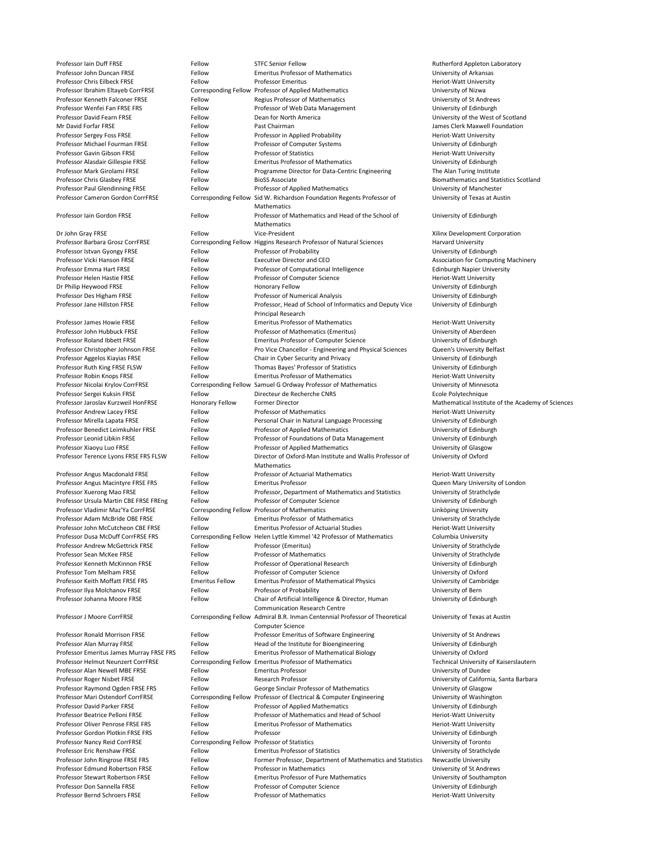Professor Iain Duff FRSE Fellow Fellow STFC Senior Fellow STEC Senior Fellow Rutherford Appleton Laboratory Professor John Duncan FRSE Fellow Fellow Emeritus Professor of Mathematics University of Arkansas Professor Chris Eilbeck FRSE Fellow Fellow Professor Emeritus Feritor And Heriot-Watt University Professor Ibrahim Eltayeb CorrFRSE Corresponding Fellow Professor of Applied Mathematics University of Nizwa Professor Kenneth Falconer FRSE Fellow Fellow Regius Professor of Mathematics Fermi Diversity of St Andrews Professor Wenfei Fan FRSE FRS FELLOW Fellow Professor of Web Data Management Professor Of University of Edinburgh Professor David Fearn FRSE Fellow Fellow Dean for North America Changes and Dean for North America Mr David Forfar FRSE The Rellow Fellow Past Chairman The Clerk Maxwell Foundation Area and Tames Clerk Maxwell Foundation Professor Sergey Foss FRSE Fellow Fellow Professor in Applied Probability Ferict-Watt University Professor Michael Fourman FRSE Fellow Fellow Professor of Computer Systems Fellow Professor of Computer Systems Professor Gavin Gibson FRSE Fellow Fellow Professor of Statistics Fellow Professor of Statistics Heriot-Watt University Professor Alasdair Gillespie FRSE Fellow Emeritus Professor of Mathematics Fernandics Diviversity of Edinburgh Professor Mark Girolami FRSE Fellow Fellow Programme Director for Data-Centric Engineering The Alan Turing Institute Professor Chris Glasbey FRSE Fellow BioSS Associate **BioSS** Associate Biomathematics and Statistics Scotland Professor Paul Glendinning FRSE Fellow Fellow Professor of Applied Mathematics Changes and Mathematics Changes E Professor Cameron Gordon CorrFRSE Corresponding Fellow Sid W. Richardson Foundation Regents Professor of Mathematics Professor Iain Gordon FRSE Fellow Fellow Professor of Mathematics and Head of the School of Mathematics Dr John Gray FRSE Fellow Fellow Vice-President Corporation And Milinx Development Corporation Professor Barbara Grosz CorrFRSE Corresponding Fellow Higgins Research Professor of Natural Sciences Harvard University Professor Istvan Gyongy FRSE Fellow Fellow Professor of Probability Professor of Probability Professor Strumps and Translation Professor of Probability Professor of Probability Professor of Probability Professor of Probabi Professor Vicki Hanson FRSE Fellow Fellow Executive Director and CEO Association for Computing Machinery Professor Emma Hart FRSE Fellow Fellow Professor of Computational Intelligence Edinburgh Napier University Professor Helen Hastie FRSE Fellow Fellow Professor of Computer Science Ferrot Professor Heriot-Watt University Dr Philip Heywood FRSE Fellow Fellow Honorary Fellow Honorary Fellow The Supervisor Christophersity of Edinburgh Professor Des Higham FRSE Fellow Fellow Professor of Numerical Analysis Professor Of Numerical Analysis University of Edinburgh Professor Jane Hillston FRSE Fellow Fellow Professor, Head of School of Informatics and Deputy Vice Principal Research Professor James Howie FRSE Fellow Fellow Emeritus Professor of Mathematics Feriot-Watt University Professor John Hubbuck FRSE Fellow Fellow Professor of Mathematics (Emeritus) University of Aberdeen Professor Roland Ibbett FRSE Fellow Fellow Emeritus Professor of Computer Science University of Edinburgh Professor Christopher Johnson FRSE Fellow Pro Vice Chancellor - Engineering and Physical Sciences Queen's University Belfast Professor Aggelos Kiayias FRSE Fellow Fellow Chair in Cyber Security and Privacy Fellow University of Edinburgh Professor Ruth King FRSE FLSW Fellow Fellow Thomas Bayes' Professor of Statistics University of Edinburgh Professor Robin Knops FRSE Fellow Fellow Emeritus Professor of Mathematics Frofessor of Mathematics Heriot-Watt University Professor Nicolai Krylov CorrFRSE Corresponding Fellow Samuel G Ordway Professor of Mathematics University of Minnesota Professor Sergei Kuksin FRSE Fellow Fellow Directeur de Recherche CNRS Fellow Books and Ecole Polytechnique Professor Jaroslav Kurzweil HonFRSE Honorary Fellow Former Director Mathematical Institute of the Academy of Sciences Professor Andrew Lacey FRSE Fellow Fellow Professor of Mathematics Ferror Andrew Lacey FRSE Fellow Fellow Professor of Mathematics Professor Mirella Lapata FRSE Fellow Personal Chair in Natural Language Processing University of Edinburgh Professor Mirella Lapata FRSE Professor Benedict Leimkuhler FRSE Fellow Professor of Applied Mathematics Fellom Professor of Applied Mathematics Professor Leonid Libkin FRSE Fellow Fellow Professor of Foundations of Data Management University of Edinburgh Professor Xiaoyu Luo FRSE Fellow Fellow Professor of Applied Mathematics Ferofessor States University of Glasgow Professor Terence Lyons FRSE FRS FLSW Fellow Director of Oxford-Man Institute and Wallis Professor of Mathematics Professor Angus Macdonald FRSE Fellow Fellow Professor of Actuarial Mathematics Feriot-Watt University Professor Angus Macintyre FRSE FRS Fellow Emeritus Professor **Fellow Emeritus Professor** Cueen Mary University of London Professor Xuerong Mao FRSE Fellow Fellow Professor, Department of Mathematics and Statistics University of Strathclyde Professor Ursula Martin CBE FRSE FREng Fellow Professor of Computer Science Felix Changes and Muniversity of Edinburgh Professor Vladimir Maz'Ya CorrFRSE Corresponding Fellow Professor of Mathematics Linköping University Professor Adam McBride OBE FRSE FRSE Fellow Emeritus Professor of Mathematics Frofessor Of Mathematics University of Strathclyde Professor John McCutcheon CBE FRSE Fellow Emeritus Professor of Actuarial Studies Feriot-Watt University Professor Dusa McDuff CorrFRSE FRS Corresponding Fellow Helen Lyttle Kimmel '42 Professor of Mathematics Columbia University Professor Andrew McGettrick FRSE Fellow Professor (Emeritus) Fellow Professor (Emeritus) Professor Sean McKee FRSE Fellow Fellow Professor of Mathematics Fellow Professor of Mathematics Professor of Mathematics Fellow Professor of Mathematics Professor of Mathematics Fellow Professor of Mathematics Professor o Professor Kenneth McKinnon FRSE Fellow Professor of Operational Research University of Edinburgh Professor Tom Melham FRSE Fellow Fellow Professor of Computer Science University of Oxford Professor Keith Moffatt FRSE FRS Emeritus Fellow Emeritus Professor of Mathematical Physics University of Cambridge Professor Ilya Molchanov FRSE Fellow Fellow Professor of Probability Professor of Probact Communisty of Bern Professor Johanna Moore FRSE Fellow Fellow Chair of Artificial Intelligence & Director, Human Communication Research Centre Professor J Moore CorrFRSE Corresponding Fellow Admiral B.R. Inman Centennial Professor of Theoretical Computer Science Professor Ronald Morrison FRSE Fellow Fellow Professor Emeritus of Software Engineering University of St Andrews Professor Alan Murray FRSE Fellow Fellow Head of the Institute for Bioengineering University of Edinburgh Professor Emeritus James Murray FRSE FRS Fellow Emeritus Professor of Mathematical Biology University of Oxford Professor Helmut Neunzert CorrFRSE Corresponding Fellow Emeritus Professor of Mathematics Technical University of Kaiserslautern Professor Alan Newell MBE FRSE Fellow Emeritus Professor **Emeritus Professor** Fellow Emeritus Professor **University of Dundee** Professor Roger Nisbet FRSE Fellow Fellow Research Professor **Fellow Research Professor** Professor Barbara Barbara Professor Raymond Ogden FRSE FRS Fellow George Sinclair Professor of Mathematics University of Glasgow Professor Mari Ostendorf CorrFRSE Corresponding Fellow Professor of Electrical & Computer Engineering University of Washington Professor David Parker FRSE Fellow Fellow Professor of Applied Mathematics Fellow Professor of Applied Mathematics Professor Beatrice Pelloni FRSE Fellow Fellow Professor of Mathematics and Head of School Heriot-Watt University Professor Oliver Penrose FRSE FRS Fellow Emeritus Professor of Mathematics Frofessor of Mathematics Heriot-Watt University Professor Gordon Plotkin FRSE FRS Fellow Professor Fellow Professor Contains a professor Diviversity of Edinburgh Professor Nancy Reid CorrFRSE Corresponding Fellow Professor of Statistics University of Toronto Professor Eric Renshaw FRSE Fellow Fellow Emeritus Professor of Statistics University of Strathclyde Professor John Ringrose FRSE FRS FELLOW Fellow Former Professor, Department of Mathematics and Statistics Newcastle University Professor Edmund Robertson FRSE Fellow Professor in Mathematics The Communicular St Andrews Professor Stewart Robertson FRSE Fellow Emeritus Professor of Pure Mathematics University of Southampton Professor Don Sannella FRSE Fellow Fellow Professor of Computer Science University of Edinburgh Professor Bernd Schroers FRSE Fellow Fellow Professor of Mathematics Fellow Professor of Mathematics Heriot-Watt University

University of Texas at Austin University of Edinburgh University of Edinburgh University of Oxford

University of Edinburgh University of Texas at Austin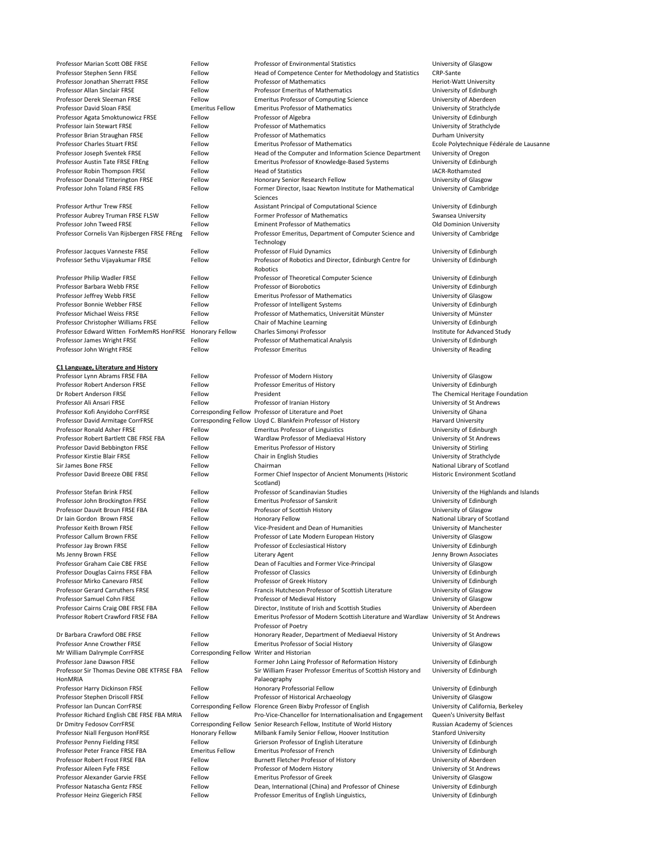University of Cambridge University of Cambridge University of Edinburgh

Professor Stefan Brink FRSE Fellow Fellow Professor of Scandinavian Studies University of the Highlands and Islands

Scotland)

Historic Environment Scotland

| Dr Iain Gordon Brown FRSE                   | Fellow                                    | <b>Honorary Fellow</b>                                                                                       | National Library of Scotland       |
|---------------------------------------------|-------------------------------------------|--------------------------------------------------------------------------------------------------------------|------------------------------------|
| Professor Keith Brown FRSE                  | Fellow                                    | Vice-President and Dean of Humanities                                                                        | University of Manchester           |
| Professor Callum Brown FRSE                 | Fellow                                    | Professor of Late Modern European History                                                                    | University of Glasgow              |
| Professor Jay Brown FRSE                    | Fellow                                    | Professor of Ecclesiastical History                                                                          | University of Edinburgh            |
| Ms Jenny Brown FRSE                         | Fellow                                    | Literary Agent                                                                                               | Jenny Brown Associates             |
| Professor Graham Caie CBE FRSE              | Fellow                                    | Dean of Faculties and Former Vice-Principal                                                                  | University of Glasgow              |
| Professor Douglas Cairns FRSE FBA           | Fellow                                    | <b>Professor of Classics</b>                                                                                 | University of Edinburgh            |
| Professor Mirko Canevaro FRSE               | Fellow                                    | Professor of Greek History                                                                                   | University of Edinburgh            |
| <b>Professor Gerard Carruthers FRSE</b>     | Fellow                                    | Francis Hutcheson Professor of Scottish Literature                                                           | University of Glasgow              |
| Professor Samuel Cohn FRSE                  | Fellow                                    | Professor of Medieval History                                                                                | University of Glasgow              |
| Professor Cairns Craig OBE FRSE FBA         | Fellow                                    | Director, Institute of Irish and Scottish Studies                                                            | University of Aberdeen             |
| Professor Robert Crawford FRSE FBA          | Fellow                                    | Emeritus Professor of Modern Scottish Literature and Wardlaw University of St Andrews<br>Professor of Poetry |                                    |
| Dr Barbara Crawford OBE FRSE                | Fellow                                    | Honorary Reader, Department of Mediaeval History                                                             | University of St Andrews           |
| <b>Professor Anne Crowther FRSE</b>         | Fellow                                    | <b>Emeritus Professor of Social History</b>                                                                  | University of Glasgow              |
| Mr William Dalrymple CorrFRSE               | Corresponding Fellow Writer and Historian |                                                                                                              |                                    |
| Professor Jane Dawson FRSE                  | Fellow                                    | Former John Laing Professor of Reformation History                                                           | University of Edinburgh            |
| Professor Sir Thomas Devine OBE KTFRSE FBA  | Fellow                                    | Sir William Fraser Professor Emeritus of Scottish History and                                                | University of Edinburgh            |
| HonMRIA                                     |                                           | Palaeography                                                                                                 |                                    |
| Professor Harry Dickinson FRSE              | Fellow                                    | Honorary Professorial Fellow                                                                                 | University of Edinburgh            |
| Professor Stephen Driscoll FRSE             | Fellow                                    | Professor of Historical Archaeology                                                                          | University of Glasgow              |
| Professor Ian Duncan CorrFRSE               |                                           | Corresponding Fellow Florence Green Bixby Professor of English                                               | University of California, Berkeley |
| Professor Richard English CBE FRSE FBA MRIA | Fellow                                    | Pro-Vice-Chancellor for Internationalisation and Engagement                                                  | Queen's University Belfast         |
| Dr Dmitry Fedosov CorrFRSE                  |                                           | Corresponding Fellow Senior Research Fellow, Institute of World History                                      | Russian Academy of Sciences        |
| Professor Niall Ferguson HonFRSE            | <b>Honorary Fellow</b>                    | Milbank Family Senior Fellow, Hoover Institution                                                             | <b>Stanford University</b>         |
| Professor Penny Fielding FRSE               | Fellow                                    | Grierson Professor of English Literature                                                                     | University of Edinburgh            |
| Professor Peter France FRSE FBA             | <b>Emeritus Fellow</b>                    | <b>Emeritus Professor of French</b>                                                                          | University of Edinburgh            |
| Professor Robert Frost FRSE FBA             | Fellow                                    | Burnett Fletcher Professor of History                                                                        | University of Aberdeen             |
| Professor Aileen Fyfe FRSE                  | Fellow                                    | Professor of Modern History                                                                                  | University of St Andrews           |
| Professor Alexander Garvie FRSE             | Fellow                                    | <b>Emeritus Professor of Greek</b>                                                                           | University of Glasgow              |
| Professor Natascha Gentz FRSE               | Fellow                                    | Dean, International (China) and Professor of Chinese                                                         | University of Edinburgh            |
| Professor Heinz Giegerich FRSE              | Fellow                                    | Professor Emeritus of English Linguistics,                                                                   | University of Edinburgh            |

### **C1 Language, Literature and History**

Professor Kofi Anyidoho CorrFRSE Corresponding Fellow Professor of Literature and Poet University of Ghana Professor David Armitage CorrFRSE Corresponding Fellow Lloyd C. Blankfein Professor of History Harvard University Professor Ronald Asher FRSE Fellow Fellow Emeritus Professor of Linguistics Fellow Emeritus Professor of Linguistics Professor Robert Bartlett CBE FRSE FBA Fellow Wardlaw Professor of Mediaeval History University of St Andrews Professor David Bebbington FRSE Fellow Emeritus Professor of History Ferofessor of History Diversity of Stirling Professor Kirstie Blair FRSE Fellow Fellow Chair in English Studies Chair in English Studies University of Strathclyde Sir James Bone FRSE **Fellow** Fellow Chairman Chairman Chairman National Library of Scotland Professor David Breeze OBE FRSE FERSE FERSE Fellow Former Chief Inspector of Ancient Monuments (Historic

Professor John Brockington FRSE Fellow Emeritus Professor of Sanskrit Christian Emeritus Professor of Sanskrit Professor Dauvit Broun FRSE FBA Fellow Professor of Scottish History Frofessor of Scottish History Professor Of Scottish History

Professor Marian Scott OBE FRSE FRSE Fellow Professor of Environmental Statistics Ferofessor Marian Scott OBE FRSE Professor Stephen Senn FRSE Fellow Fellow Head of Competence Center for Methodology and Statistics CRP-Sante Professor Jonathan Sherratt FRSE Fellow Fellow Professor of Mathematics Feriot-Watt University Professor Allan Sinclair FRSE Fellow Fellow Professor Emeritus of Mathematics Professor Emeritus of Mathematics Professor Derek Sleeman FRSE Fellow Fellow Emeritus Professor of Computing Science University of Aberdeen Professor David Sloan FRSE **Emeritus Fellow** Emeritus Professor of Mathematics **Emeritus Professor of Mathematics** Professor Agata Smoktunowicz FRSE Fellow Professor of Algebra Professor of Angelera Professor School and Muniversity of Edinburgh Professor Iain Stewart FRSE Fellow Fellow Professor of Mathematics Professor of Mathematics University of Strathclyde Professor Brian Straughan FRSE Fellow Fellow Professor of Mathematics **Fellow** Professor of Mathematics Durham University Professor Charles Stuart FRSE Fellow Fellow Emeritus Professor of Mathematics Fellow Ecole Polytechnique Fédérale de Lausanne Professor Joseph Sventek FRSE Fellow Fellow Head of the Computer and Information Science Department University of Oregon Professor Austin Tate FRSE FREng Fellow Fellow Emeritus Professor of Knowledge-Based Systems University of Edinburgh Professor Robin Thompson FRSE Fellow Fellow Head of Statistics Fellow Head of Statistics Fernand Communication Professor Donald Titterington FRSE Fellow Fellow Honorary Senior Research Fellow Fellow University of Glasgow Professor John Toland FRSE FRS FELLOW Fellow Former Director, Isaac Newton Institute for Mathematical Sciences Professor Arthur Trew FRSE Fellow Fellow Assistant Principal of Computational Science University of Edinburgh Professor Aubrey Truman FRSE FLSW Fellow Former Professor of Mathematics Swansea University Professor John Tweed FRSE Fellow Fellow Eminent Professor of Mathematics Cold Dominion University Professor Cornelis Van Rijsbergen FRSE FREng Fellow Professor Emeritus, Department of Computer Science and Technology Professor Jacques Vanneste FRSE Fellow Fellow Professor of Fluid Dynamics Professor Summer Summersity of Edinburgh Professor Sethu Vijayakumar FRSE Fellow Professor of Robotics and Director, Edinburgh Centre for Robotics Professor Philip Wadler FRSE Fellow Fellow Professor of Theoretical Computer Science University of Edinburgh Professor Barbara Webb FRSE Fellow Fellow Professor of Biorobotics Fernando Controller and Muniversity of Edinburgh Professor Jeffrey Webb FRSE Fellow Fellow Emeritus Professor of Mathematics University of Glasgow Professor Bonnie Webber FRSE Fellow Fellow Professor of Intelligent Systems Fellow Professor of Intelligent Systems Professor Michael Weiss FRSE Fellow Fellow Professor of Mathematics, Universität Münster Fellow Professor of Mathematics, Universität Münster Professor Christopher Williams FRSE Fellow Chair of Machine Learning Ferror Chair of Machine Learning University of Edinburgh Professor Edward Witten ForMemRS HonFRSE Honorary Fellow Charles Simonyi Professor Charles Study Institute for Advanced Study Professor James Wright FRSE Fellow Fellow Professor of Mathematical Analysis Fellow Professor James Wright FRSE Professor John Wright FRSE Fellow Fellow Professor Emeritus **Professor Emeritus** University of Reading Professor Lynn Abrams FRSE FBA Fellow Professor of Modern History Ferofessor of Modern History Diversity of Glasgow Professor Robert Anderson FRSE Fellow Fellow Professor Emeritus of History Fellow Professor Emeritus of History Dr Robert Anderson FRSE Fellow Fellow President **President** The Chemical Heritage Foundation Professor Ali Ansari FRSE Fellow Fellow Professor of Iranian History Fellow Professor of Iranian History Professor of Iranian History Professor of Iranian History Professor of Iranian History Professor of Iranian History P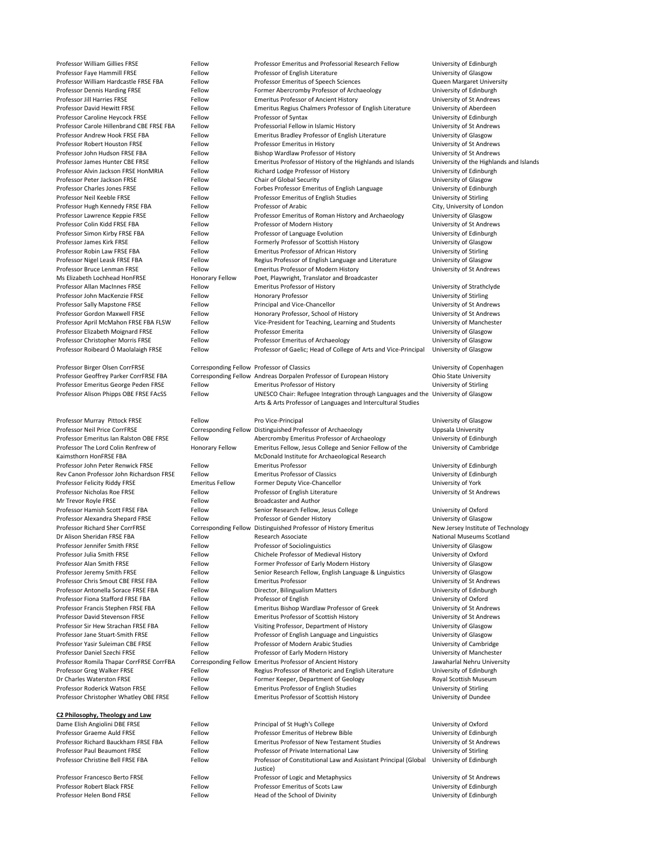Professor William Gillies FRSE Fellow Fellow Professor Emeritus and Professorial Research Fellow University of Edinburgh Professor Faye Hammill FRSE Fellow Fellow Professor of English Literature University of Glasgow

Professor William Hardcastle FRSE FBA Fellow Professor Emeritus of Speech Sciences Queen Margaret University Professor Dennis Harding FRSE Fellow Former Abercromby Professor of Archaeology University of Edinburgh Professor Jill Harries FRSE Fellow Fellow Emeritus Professor of Ancient History Fellow Emeritus Professor of Ancient History Professor David Hewitt FRSE Fellow Fellow Emeritus Regius Chalmers Professor of English Literature University of Aberdeen Professor Caroline Heycock FRSE Fellow Professor of Syntax **Fellow** Professor of Syntax Professor Caroline Heycock FRSE Professor Carole Hillenbrand CBE FRSE FBA Fellow Professorial Fellow in Islamic History University of St Andrews Professor Andrew Hook FRSE FBA Fellow Emeritus Bradley Professor of English Literature University of Glasgow Professor Robert Houston FRSE Fellow Fellow Professor Emeritus in History Fellow Professor Emeritus in History Professor John Hudson FRSE FBA Fellow Bishop Wardlaw Professor of History Fellow Bishop Wardlaw Professor of History Professor James Hunter CBE FRSE FELLOW Emeritus Professor of History of the Highlands and Islands University of the Highlands and Islands Professor Alvin Jackson FRSE HonMRIA Fellow Richard Lodge Professor of History Fellow Richard Lodge Professor of History Professor Peter Jackson FRSE Fellow Fellow Chair of Global Security Chair of Global Security Diversity of Glasgow Professor Charles Jones FRSE Fellow Fellow Forbes Professor Emeritus of English Language University of Edinburgh Professor Neil Keeble FRSE Fellow Fellow Professor Emeritus of English Studies Fellow Professor Emeritus of English Studies Professor Hugh Kennedy FRSE FBA Fellow Professor of Arabic City, University of London Professor Lawrence Keppie FRSE Fellow Fellow Professor Emeritus of Roman History and Archaeology University of Glasgow Professor Colin Kidd FRSE FBA Fellow Fellow Professor of Modern History Frofessor Colin Kidd FRSE FBA Fellow Professor of Modern History Professor Simon Kirby FRSE FBA Fellow Professor of Language Evolution Professor of Language Evolution Professor James Kirk FRSE Fellow Fellow Formerly Professor of Scottish History Formerly Professor Of Scottish History Professor Robin Law FRSE FBA Fellow Emeritus Professor of African History Fellow Emeritus Professor of African History Professor Nigel Leask FRSE FBA Fellow Fellow Regius Professor of English Language and Literature University of Glasgow Professor Bruce Lenman FRSE Fellow Fellow Emeritus Professor of Modern History University of St Andrews Ms Elizabeth Lochhead HonFRSE Honorary Fellow Poet, Playwright, Translator and Broadcaster Professor Allan MacInnes FRSE Fellow Fellow Emeritus Professor of History Ferman Controller Christophersity of Strathclyde Professor John MacKenzie FRSE Fellow Fellow Honorary Professor Fernando Channel MacKenzie FRSE Fellow Fellow Honorary Professor Professor Sally Mapstone FRSE Fellow Fellow Principal and Vice-Chancellor Fellow Professor Sally Mapstone FRSE Professor Gordon Maxwell FRSE Fellow Fellow Honorary Professor, School of History Funiversity of St Andrews Professor April McMahon FRSE FBA FLSW Fellow Vice-President for Teaching, Learning and Students University of Manchester Professor Elizabeth Moignard FRSE Fellow Professor Emerita **Professor Emerita** Professor Emerita Professor Christopher Morris FRSE Fellow Professor Emeritus of Archaeology Ferofessor Emeritus of Archaeology Professor Roibeard Ó Maolalaigh FRSE Fellow Professor of Gaelic; Head of College of Arts and Vice-Principal University of Glasgow Professor Birger Olsen CorrFRSE Corresponding Fellow Professor of Classics University of Copenhagen Professor Geoffrey Parker CorrFRSE FBA Corresponding Fellow Andreas Dorpalen Professor of European History Ohio State University Professor Emeritus George Peden FRSE Fellow Emeritus Professor of History Ferofessor of History University of Stirling Professor Alison Phipps OBE FRSE FAcSS Fellow The UNESCO Chair: Refugee Integration through Languages and the University of Glasgow Arts & Arts Professor of Languages and Intercultural Studies Professor Murray Pittock FRSE Fellow Pro Vice-Principal Pro Vice-Principal Pro Vice-Principal University of Glasgow Professor Neil Price CorrFRSE Corresponding Fellow Distinguished Professor of Archaeology Uppsala University

Honorary Fellow Emeritus Fellow, Jesus College and Senior Fellow of the

McDonald Institute for Archaeological Research

Fellow **Elish Angiolini Dame Elisabeth Anglion** Derincipal of St Hugh's College University of Oxford Professor Emeritus of Hebrew Bible **Ault Franch Fellow** University of Edinburgh Professor of New Testament Studies Fellow Emeritus Professor of New Testament Studies Communiculary University of St Andrews Fellow **Professor of Private International Law** University of Stirling Fellow **Professor of Constitutional Law and Assistant Principal (Global** Justice) Fellow **Professor of Logic and Metaphysics** Fellow Berto Berto Berto Berto Berto Berto Berto Berto Berto Berto B Professor Emeritus of Scots Law Theorem All Christense Fellow University of Edinburgh Professor Head of the School of Divinity **From Austinian Conducts** University of Edinburgh

University of Cambridge

Professor Emeritus Ian Ralston OBE FRSE Fellow Abercromby Emeritus Professor of Archaeology University of Edinburgh Professor The Lord Colin Renfrew of Kaimsthorn HonFRSE FBA Professor John Peter Renwick FRSE Fellow Emeritus Professor **Fellow** Emeritus Professor **Emeritus Professor Emeritus Professor** Rev Canon Professor John Richardson FRSE Fellow Emeritus Professor of Classics University of Edinburgh Professor Felicity Riddy FRSE Emeritus Fellow Former Deputy Vice-Chancellor Emerity of York Professor Nicholas Roe FRSE Fellow Fellow Professor of English Literature Fermi Professor of English Literature Mr Trevor Royle FRSE Fellow Broadcaster and Author

| Professor Alexandra Shepard FRSE         |
|------------------------------------------|
| <b>Professor Richard Sher CorrFRSE</b>   |
| Dr Alison Sheridan FRSE FBA              |
| Professor Jennifer Smith FRSE            |
| Professor Julia Smith FRSE               |
| <b>Professor Alan Smith FRSE</b>         |
| Professor Jeremy Smith FRSE              |
| Professor Chris Smout CBE FRSE FBA       |
| Professor Antonella Sorace FRSE FBA      |
| Professor Fiona Stafford FRSE FBA        |
| Professor Francis Stephen FRSE FBA       |
| <b>Professor David Stevenson FRSE</b>    |
| Professor Sir Hew Strachan FRSE FBA      |
| Professor Jane Stuart-Smith FRSE         |
| Professor Yasir Suleiman CBE FRSE        |
| <b>Professor Daniel Szechi FRSE</b>      |
| Professor Romila Thapar CorrFRSE CorrFBA |
| Professor Greg Walker FRSE               |
| Dr Charles Waterston FRSE                |
| <b>Professor Roderick Watson FRSE</b>    |
| Professor Christopher Whatley OBE FRSE   |

| Professor Hamish Scott FRSE FBA          | Fellow | Senior Research Fellow, Jesus College                            | University of Oxford               |
|------------------------------------------|--------|------------------------------------------------------------------|------------------------------------|
| Professor Alexandra Shepard FRSE         | Fellow | Professor of Gender History                                      | University of Glasgow              |
| <b>Professor Richard Sher CorrFRSE</b>   |        | Corresponding Fellow Distinguished Professor of History Emeritus | New Jersey Institute of Technology |
| Dr Alison Sheridan FRSE FBA              | Fellow | Research Associate                                               | <b>National Museums Scotland</b>   |
| Professor Jennifer Smith FRSE            | Fellow | Professor of Sociolinguistics                                    | University of Glasgow              |
| Professor Julia Smith FRSE               | Fellow | Chichele Professor of Medieval History                           | University of Oxford               |
| Professor Alan Smith FRSE                | Fellow | Former Professor of Early Modern History                         | University of Glasgow              |
| Professor Jeremy Smith FRSE              | Fellow | Senior Research Fellow, English Language & Linguistics           | University of Glasgow              |
| Professor Chris Smout CBE FRSE FBA       | Fellow | <b>Emeritus Professor</b>                                        | University of St Andrews           |
| Professor Antonella Sorace FRSE FBA      | Fellow | Director, Bilingualism Matters                                   | University of Edinburgh            |
| Professor Fiona Stafford FRSE FBA        | Fellow | Professor of English                                             | University of Oxford               |
| Professor Francis Stephen FRSE FBA       | Fellow | Emeritus Bishop Wardlaw Professor of Greek                       | University of St Andrews           |
| Professor David Stevenson FRSE           | Fellow | <b>Emeritus Professor of Scottish History</b>                    | University of St Andrews           |
| Professor Sir Hew Strachan FRSE FBA      | Fellow | Visiting Professor, Department of History                        | University of Glasgow              |
| Professor Jane Stuart-Smith FRSE         | Fellow | Professor of English Language and Linguistics                    | University of Glasgow              |
| Professor Yasir Suleiman CBE FRSE        | Fellow | Professor of Modern Arabic Studies                               | University of Cambridge            |
| Professor Daniel Szechi FRSE             | Fellow | Professor of Early Modern History                                | University of Manchester           |
| Professor Romila Thapar CorrFRSE CorrFBA |        | Corresponding Fellow Emeritus Professor of Ancient History       | Jawaharlal Nehru University        |
| Professor Greg Walker FRSE               | Fellow | Regius Professor of Rhetoric and English Literature              | University of Edinburgh            |
| Dr Charles Waterston FRSE                | Fellow | Former Keeper, Department of Geology                             | Royal Scottish Museum              |
| Professor Roderick Watson FRSE           | Fellow | <b>Emeritus Professor of English Studies</b>                     | University of Stirling             |
| Professor Christopher Whatley OBE FRSE   | Fellow | <b>Emeritus Professor of Scottish History</b>                    | University of Dundee               |

University of Edinburgh

### **C2 Philosophy, Theology and Law**

| Dame Elish Angiolini DBE FRSE       |
|-------------------------------------|
| Professor Graeme Auld FRSF          |
| Professor Richard Bauckham FRSF FBA |
| Professor Paul Beaumont FRSE        |
| Professor Christine Bell FRSF FBA   |
|                                     |
| Professor Francesco Berto FRSF      |
| Professor Robert Black FRSE         |
| Professor Helen Bond FRSE           |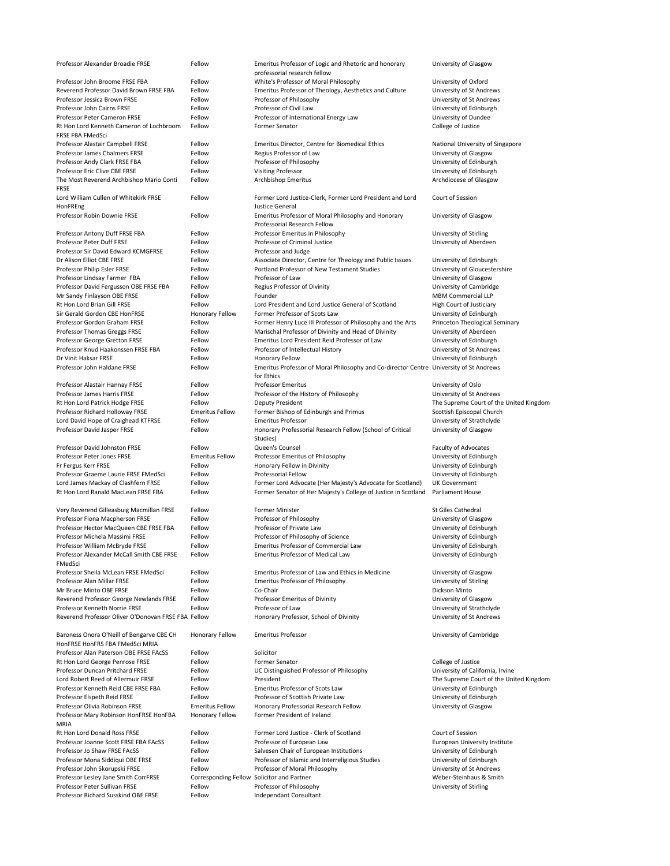| Professor Alexander Broadie FRSE               | Fellow                 | Emeritus Professor of Logic and Rhetoric and honorary<br>professorial research fellow  | University of Glasgow                   |
|------------------------------------------------|------------------------|----------------------------------------------------------------------------------------|-----------------------------------------|
| Professor John Broome FRSE FBA                 | Fellow                 | White's Professor of Moral Philosophy                                                  | University of Oxford                    |
| <b>Reverend Professor David Brown FRSE FBA</b> | Fellow                 | Emeritus Professor of Theology, Aesthetics and Culture                                 | University of St Andrews                |
| Professor Jessica Brown FRSE                   | Fellow                 | Professor of Philosophy                                                                | University of St Andrews                |
| Professor John Cairns FRSE                     | Fellow                 | Professor of Civil Law                                                                 | University of Edinburgh                 |
| <b>Professor Peter Cameron FRSE</b>            | Fellow                 | Professor of International Energy Law                                                  | University of Dundee                    |
| Rt Hon Lord Kenneth Cameron of Lochbroom       | Fellow                 | <b>Former Senator</b>                                                                  | College of Justice                      |
| <b>FRSE FBA FMedSci</b>                        |                        |                                                                                        |                                         |
| Professor Alastair Campbell FRSE               | Fellow                 | <b>Emeritus Director, Centre for Biomedical Ethics</b>                                 | National University of Singapore        |
| <b>Professor James Chalmers FRSE</b>           | Fellow                 | Regius Professor of Law                                                                | University of Glasgow                   |
| Professor Andy Clark FRSE FBA                  | Fellow                 | Professor of Philosophy                                                                | University of Edinburgh                 |
| Professor Eric Clive CBE FRSE                  | Fellow                 | <b>Visiting Professor</b>                                                              | University of Edinburgh                 |
| The Most Reverend Archbishop Mario Conti       | Fellow                 | <b>Archbishop Emeritus</b>                                                             | Archdiocese of Glasgow                  |
| <b>FRSE</b>                                    |                        |                                                                                        |                                         |
| Lord William Cullen of Whitekirk FRSE          | Fellow                 | Former Lord Justice-Clerk, Former Lord President and Lord                              | Court of Session                        |
| HonFREng                                       |                        | Justice General                                                                        |                                         |
| Professor Robin Downie FRSE                    | Fellow                 | Emeritus Professor of Moral Philosophy and Honorary                                    | University of Glasgow                   |
|                                                |                        | <b>Professorial Research Fellow</b>                                                    |                                         |
| Professor Antony Duff FRSE FBA                 | Fellow                 | Professor Emeritus in Philosophy                                                       | University of Stirling                  |
| Professor Peter Duff FRSE                      | Fellow                 | <b>Professor of Criminal Justice</b>                                                   | University of Aberdeen                  |
| Professor Sir David Edward KCMGFRSE            | Fellow                 | Professor and Judge                                                                    |                                         |
| Dr Alison Elliot CBE FRSE                      | Fellow                 | Associate Director, Centre for Theology and Public Issues                              | University of Edinburgh                 |
| Professor Philip Esler FRSE                    | Fellow                 | Portland Professor of New Testament Studies                                            | University of Gloucestershire           |
| Professor Lindsay Farmer FBA                   | Fellow                 | Professor of Law                                                                       | University of Glasgow                   |
| Professor David Fergusson OBE FRSE FBA         | Fellow                 | Regius Professor of Divinity                                                           | University of Cambridge                 |
| Mr Sandy Finlayson OBE FRSE                    | Fellow                 | Founder                                                                                | <b>MBM Commercial LLP</b>               |
| Rt Hon Lord Brian Gill FRSE                    | Fellow                 | Lord President and Lord Justice General of Scotland                                    | <b>High Court of Justiciary</b>         |
| Sir Gerald Gordon CBE HonFRSE                  | Honorary Fellow        | Former Professor of Scots Law                                                          | University of Edinburgh                 |
| Professor Gordon Graham FRSE                   | Fellow                 | Former Henry Luce III Professor of Philosophy and the Arts                             | Princeton Theological Seminary          |
| <b>Professor Thomas Greggs FRSE</b>            | Fellow                 | Marischal Professor of Divinity and Head of Divinity                                   | University of Aberdeen                  |
| Professor George Gretton FRSE                  | Fellow                 | <b>Emeritus Lord President Reid Professor of Law</b>                                   | University of Edinburgh                 |
| Professor Knud Haakonssen FRSE FBA             | Fellow                 | Professor of Intellectual History                                                      | University of St Andrews                |
| Dr Vinit Haksar FRSE                           | Fellow                 | <b>Honorary Fellow</b>                                                                 | University of Edinburgh                 |
| Professor John Haldane FRSE                    | Fellow                 | Emeritus Professor of Moral Philosophy and Co-director Centre University of St Andrews |                                         |
|                                                |                        | for Ethics                                                                             |                                         |
| Professor Alastair Hannay FRSE                 | Fellow                 | <b>Professor Emeritus</b>                                                              | University of Oslo                      |
| Professor James Harris FRSE                    | Fellow                 | Professor of the History of Philosophy                                                 | University of St Andrews                |
| Rt Hon Lord Patrick Hodge FRSE                 | Fellow                 | Deputy President                                                                       | The Supreme Court of the United Kingdom |
| Professor Richard Holloway FRSE                | <b>Emeritus Fellow</b> | Former Bishop of Edinburgh and Primus                                                  | Scottish Episcopal Church               |
| Lord David Hope of Craighead KTFRSE            | Fellow                 | <b>Emeritus Professor</b>                                                              | University of Strathclyde               |
| Professor David Jasper FRSE                    | Fellow                 | Honorary Professorial Research Fellow (School of Critical                              | University of Glasgow                   |
|                                                |                        | Studies)                                                                               |                                         |
| Professor David Johnston FRSE                  | Fellow                 | Queen's Counsel                                                                        | <b>Faculty of Advocates</b>             |
| Professor Peter Jones FRSE                     | <b>Emeritus Fellow</b> | Professor Emeritus of Philosophy                                                       | University of Edinburgh                 |
| Fr Fergus Kerr FRSE                            | Fellow                 | Honorary Fellow in Divinity                                                            | University of Edinburgh                 |
| Professor Graeme Laurie FRSE FMedSci           | Fellow                 | <b>Professorial Fellow</b>                                                             | University of Edinburgh                 |
| Lord James Mackay of Clashfern FRSE            | Fellow                 | Former Lord Advocate (Her Majesty's Advocate for Scotland)                             | <b>UK Government</b>                    |
| Rt Hon Lord Ranald MacLean FRSE FBA            | Fellow                 | Former Senator of Her Majesty's College of Justice in Scotland                         | <b>Parliament House</b>                 |
|                                                |                        |                                                                                        |                                         |

Very Reverend Gilleasbuig Macmillan FRSE Fellow Former Minister Strategies and Strategies Cathedral

| Professor Fiona Macpherson FRSE                     | Fellow | Professor of Philosophy                          | University of G  |
|-----------------------------------------------------|--------|--------------------------------------------------|------------------|
| Professor Hector MacQueen CBE FRSE FBA              | Fellow | Professor of Private Law                         | University of E  |
| Professor Michela Massimi FRSE                      | Fellow | Professor of Philosophy of Science               | University of E  |
| Professor William McBryde FRSE                      | Fellow | <b>Emeritus Professor of Commercial Law</b>      | University of E  |
| Professor Alexander McCall Smith CBE FRSE           | Fellow | <b>Emeritus Professor of Medical Law</b>         | University of E  |
| FMedSci                                             |        |                                                  |                  |
| Professor Sheila McLean FRSE FMedSci                | Fellow | Emeritus Professor of Law and Ethics in Medicine | University of G  |
| Professor Alan Millar FRSE                          | Fellow | <b>Emeritus Professor of Philosophy</b>          | University of St |
| Mr Bruce Minto OBE FRSE                             | Fellow | Co-Chair                                         | Dickson Minto    |
| Reverend Professor George Newlands FRSE             | Fellow | Professor Emeritus of Divinity                   | University of G  |
| Professor Kenneth Norrie FRSE                       | Fellow | Professor of Law                                 | University of St |
| Reverend Professor Oliver O'Donovan FRSE FBA Fellow |        | Honorary Professor, School of Divinity           | University of St |
|                                                     |        |                                                  |                  |

Baroness Onora O'Neill of Bengarve CBE CH HonFRSE HonFRS FBA FMedSci MRIA Professor Alan Paterson OBE FRSE FAcSS Fellow Solicitor Professor Mary Robinson HonFRSE HonFBA MRIA

Professor of Philosophy **FRSE FEEDING FEEDING** University of Glasgow Professor Hector MacQueen CBE FRSE FBA Fellow Professor of Private Law University of Edinburgh Professor of Philosophy of Science **FRSE FEEDING FELLOW PROFESSOR** Diversity of Edinburgh Emeritus Professor of Commercial Law **Marsh Emeritus Professor of Commercial Law** University of Edinburgh Emeritus Professor of Medical Law University of Edinburgh

Emeritus Professor of Law and Ethics in Medicine **Face Fellow Emeritus Professor of Law and Ethics in Medicine** Emeritus Professor of Philosophy **Emeritus Professor of Philosophy Emeritus Professor of Philosophy** University of Stirling Professor Emeritus of Divinity **FRSE FEEDIVERSE FEEDIVERS** FEDEL PROFESSOR EMERITY OF Glasgow Professor of Law **Professor of Law** Professor Champions Act Norrie Felix Professor of Strathclyde Honorary Professor, School of Divinity FRSE FELDONOV Honorary Professor, School of Divinity University of St Andrews

- Rt Hon Lord George Penrose FRSE Fellow Former Senator Former Senator College of Justice Professor Duncan Pritchard FRSE Fellow UC Distinguished Professor of Philosophy University of California, Irvine Lord Robert Reed of Allermuir FRSE Fellow President Fellow President Court President The Supreme Court of the United Kingdom Professor Kenneth Reid CBE FRSE FBA Fellow Emeritus Professor of Scots Law University of Edinburgh Professor Elspeth Reid FRSE Fellow Fellow Professor of Scottish Private Law University of Edinburgh Professor Olivia Robinson FRSE **Emeritus Fellow** Honorary Professorial Research Fellow University of Glasgow Honorary Fellow Former President of Ireland
- Rt Hon Lord Donald Ross FRSE Fellow Fellow Former Lord Justice Clerk of Scotland Court of Session Professor Joanne Scott FRSE FBA FAcSS Fellow Professor of European Law European Law European University Institute Professor Jo Shaw FRSE FAcSS FRAGS FELLOW Salvesen Chair of European Institutions Fellow Salvesen Chair of European Institutions FELLO BRS Entire Professor Jo Shaw FRSE FACSS FRAGS FELLOW SALVES AND SALVES FRAGS AND THE SA Professor Mona Siddiqui OBE FRSE FRSE FELLOW Professor of Islamic and Interreligious Studies University of Edinburgh Professor John Skorupski FRSE Fellow Fellow Professor of Moral Philosophy Frofessor of Moral Philosophy Professor Lesley Jane Smith CorrFRSE Corresponding Fellow Solicitor and Partner Correspond Corresponding Fellow Solicitor and Partner Corresponding Fellow Solicitor and Partner Corresponding Fellow Solicitor and Partner Co Professor Peter Sullivan FRSE Fellow Fellow Professor of Philosophy Frofessor of Philosophy Professor Richard Susskind OBE FRSE Fellow Fellow Independant Consultant

Honorary Fellow Emeritus Professor **Emeritus Professor Emeritus Professor Emeritus Professor Emeritus Professor**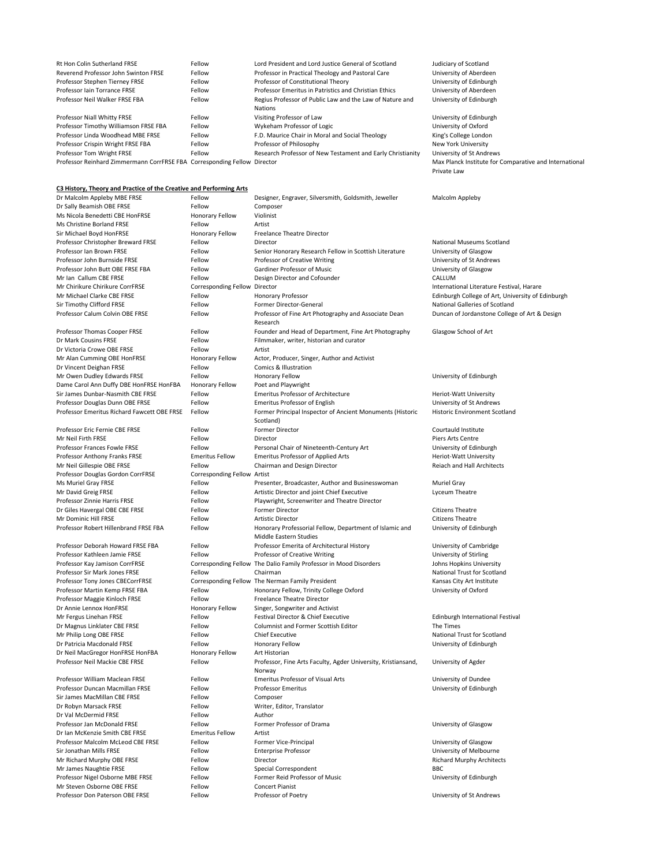| <b>Rt Hon Colin Sutherland FRSE</b>                                      | Fellow | Lord President and Lord Justice General of Scotland        | Judiciary of Scotland      |
|--------------------------------------------------------------------------|--------|------------------------------------------------------------|----------------------------|
| Reverend Professor John Swinton FRSE                                     | Fellow | Professor in Practical Theology and Pastoral Care          | University of Aberdeen     |
| Professor Stephen Tierney FRSE                                           | Fellow | Professor of Constitutional Theory                         | University of Edinburgh    |
| <b>Professor Iain Torrance FRSE</b>                                      | Fellow | Professor Emeritus in Patristics and Christian Ethics      | University of Aberdeen     |
| Professor Neil Walker FRSE FBA                                           | Fellow | Regius Professor of Public Law and the Law of Nature and   | University of Edinburgh    |
|                                                                          |        | <b>Nations</b>                                             |                            |
| Professor Niall Whitty FRSE                                              | Fellow | Visiting Professor of Law                                  | University of Edinburgh    |
| Professor Timothy Williamson FRSE FBA                                    | Fellow | Wykeham Professor of Logic                                 | University of Oxford       |
| Professor Linda Woodhead MBE FRSE                                        | Fellow | F.D. Maurice Chair in Moral and Social Theology            | King's College London      |
| Professor Crispin Wright FRSE FBA                                        | Fellow | Professor of Philosophy                                    | New York University        |
| Professor Tom Wright FRSE                                                | Fellow | Research Professor of New Testament and Early Christianity | University of St Andrews   |
| Professor Reinhard Zimmermann CorrFRSE FBA Corresponding Fellow Director |        |                                                            | Max Planck Institute for 0 |

# or Comparative and International Private Law

| Dr Malcolm Appleby MBE FRSE                 | Fellow                      | Designer, Engraver, Silversmith, Goldsmith, Jeweller                   | Malcolm Appleby                                   |
|---------------------------------------------|-----------------------------|------------------------------------------------------------------------|---------------------------------------------------|
| Dr Sally Beamish OBE FRSE                   | Fellow                      | Composer                                                               |                                                   |
| Ms Nicola Benedetti CBE HonFRSE             | <b>Honorary Fellow</b>      | Violinist                                                              |                                                   |
| Ms Christine Borland FRSE                   | Fellow                      | Artist                                                                 |                                                   |
| Sir Michael Boyd HonFRSE                    | <b>Honorary Fellow</b>      | <b>Freelance Theatre Director</b>                                      |                                                   |
| Professor Christopher Breward FRSE          | Fellow                      | Director                                                               | <b>National Museums Scotland</b>                  |
| Professor Ian Brown FRSE                    | Fellow                      | Senior Honorary Research Fellow in Scottish Literature                 | University of Glasgow                             |
| Professor John Burnside FRSE                | Fellow                      | Professor of Creative Writing                                          | University of St Andrews                          |
| Professor John Butt OBE FRSE FBA            | Fellow                      | <b>Gardiner Professor of Music</b>                                     | University of Glasgow                             |
| Mr Ian Callum CBE FRSE                      | Fellow                      | Design Director and Cofounder                                          | CALLUM                                            |
| Mr Chirikure Chirikure CorrFRSE             | <b>Corresponding Fellow</b> | Director                                                               | International Literature Festival, Harare         |
| Mr Michael Clarke CBE FRSE                  | Fellow                      | Honorary Professor                                                     | Edinburgh College of Art, University of Edinburgh |
| Sir Timothy Clifford FRSE                   | Fellow                      | Former Director-General                                                | <b>National Galleries of Scotland</b>             |
| Professor Calum Colvin OBE FRSE             | Fellow                      | Professor of Fine Art Photography and Associate Dean<br>Research       | Duncan of Jordanstone College of Art & Design     |
| Professor Thomas Cooper FRSE                | Fellow                      | Founder and Head of Department, Fine Art Photography                   | Glasgow School of Art                             |
| Dr Mark Cousins FRSE                        | Fellow                      | Filmmaker, writer, historian and curator                               |                                                   |
| Dr Victoria Crowe OBE FRSE                  | Fellow                      | Artist                                                                 |                                                   |
| Mr Alan Cumming OBE HonFRSE                 | <b>Honorary Fellow</b>      | Actor, Producer, Singer, Author and Activist                           |                                                   |
| Dr Vincent Deighan FRSE                     | Fellow                      | <b>Comics &amp; Illustration</b>                                       |                                                   |
| Mr Owen Dudley Edwards FRSE                 | Fellow                      | <b>Honorary Fellow</b>                                                 | University of Edinburgh                           |
| Dame Carol Ann Duffy DBE HonFRSE HonFBA     | <b>Honorary Fellow</b>      | Poet and Playwright                                                    |                                                   |
| Sir James Dunbar-Nasmith CBE FRSE           | Fellow                      | <b>Emeritus Professor of Architecture</b>                              | Heriot-Watt University                            |
| Professor Douglas Dunn OBE FRSE             | Fellow                      | <b>Emeritus Professor of English</b>                                   | University of St Andrews                          |
| Professor Emeritus Richard Fawcett OBE FRSE | Fellow                      | Former Principal Inspector of Ancient Monuments (Historic<br>Scotland) | <b>Historic Environment Scotland</b>              |
| Professor Eric Fernie CBE FRSE              | Fellow                      | <b>Former Director</b>                                                 | Courtauld Institute                               |
| Mr Neil Firth FRSE                          | Fellow                      | Director                                                               | Piers Arts Centre                                 |
| <b>Professor Frances Fowle FRSE</b>         | Fellow                      | Personal Chair of Nineteenth-Century Art                               | University of Edinburgh                           |
| <b>Professor Anthony Franks FRSE</b>        | <b>Emeritus Fellow</b>      | <b>Emeritus Professor of Applied Arts</b>                              | <b>Heriot-Watt University</b>                     |
| Mr Neil Gillespie OBE FRSE                  | Fellow                      | Chairman and Design Director                                           | Reiach and Hall Architects                        |
| Professor Douglas Gordon CorrFRSE           | Corresponding Fellow Artist |                                                                        |                                                   |
| Ms Muriel Gray FRSE                         | Fellow                      | Presenter, Broadcaster, Author and Businesswoman                       | <b>Muriel Gray</b>                                |
| Mr David Greig FRSE                         | Fellow                      | Artistic Director and joint Chief Executive                            | Lyceum Theatre                                    |
| Professor Zinnie Harris FRSE                | Fellow                      | Playwright, Screenwriter and Theatre Director                          |                                                   |

| Mr Dominic Hill FRSE                  |  |
|---------------------------------------|--|
| Professor Robert Hillenbrand FRSE FBA |  |

Dr Neil MacGregor HonFRSE HonFBA Honorary Fellow Art Historian

Sir James MacMillan CBE FRSE Fellow Fellow Composer Dr Val McDermid FRSE Fellow Fellow Author Dr Ian McKenzie Smith CBE FRSE Emeritus Fellow Artist Mr Steven Osborne OBE FRSE FRSE FELLOW Fellow Concert Pianist

Dr Giles Havergal OBE CBE FRSE FRSE FELLOW Former Director Citizens Theatre Citizens Theatre Fellow **Artistic Director** Citizens Theatre Fellow **Fellow** Honorary Professorial Fellow, Department of Islamic and Middle Eastern Studies Professor Deborah Howard FRSE FBA Fellow Professor Emerita of Architectural History University of Cambridge Professor Kathleen Jamie FRSE Fellow Fellow Professor of Creative Writing Fellow Professor of Creative Writing Professor Kay Jamison CorrFRSE Corresponding Fellow The Dalio Family Professor in Mood Disorders Johns Hopkins University Professor Sir Mark Jones FRSE Fellow Fellow Chairman Chairman Research Chairman National Trust for Scotland Professor Tony Jones CBECorrFRSE Corresponding Fellow The Nerman Family President Kansas City Art Institute Professor Martin Kemp FRSE FBA Fellow Fellow Honorary Fellow, Trinity College Oxford University of Oxford Professor Maggie Kinloch FRSE Fellow Freelance Theatre Director Dr Annie Lennox HonFRSE Honorary Fellow Singer, Songwriter and Activist Mr Fergus Linehan FRSE Fellow Fellow Festival Director & Chief Executive Edinburgh International Festival Dr Magnus Linklater CBE FRSE FRSE FELLOW Fellow Columnist and Former Scottish Editor Funnes The Times Mr Philip Long OBE FRSE FRSE FELLOW Chief Executive Chief Executive Relational Trust for Scotland Dr Patricia Macdonald FRSE Fellow Fellow Honorary Fellow Honorary Fellow The State of Edinburgh Professor Neil Mackie CBE FRSE FERSE FELLOW Fellow Professor, Fine Arts Faculty, Agder University, Kristiansand, Norway Professor William Maclean FRSE Fellow Emeritus Professor of Visual Arts Fellow Emeritus Professor of Visual Arts Professor Duncan Macmillan FRSE Fellow Professor Emeritus **Professor Emeritus** Professor Emeritus Professor Emeritus Dr Robyn Marsack FRSE Fellow Fellow Writer, Editor, Translator Professor Jan McDonald FRSE Fellow Fellow Former Professor of Drama Communication of Glasgow Professor Malcolm McLeod CBE FRSE Fellow Former Vice-Principal Former Vice-Principal University of Glasgow Sir Jonathan Mills FRSE Fellow Fellow Enterprise Professor and The University of Melbourne Mr Richard Murphy OBE FRSE FRSE FELLOW Director Contracts Fellow Director Richard Murphy Architects Mr James Naughtie FRSE Fellow Fellow Special Correspondent Fellow BBC Professor Nigel Osborne MBE FRSE Fellow Fellow Former Reid Professor of Music Former Reid Professor of Music Professor Don Paterson OBE FRSE FELLOW Professor of Poetry Fellow Professor of Poetry Professor COMEN POSS PORTS

University of Edinburgh

University of Agder

### **C3 History, Theory and Practice of the Creative and Performing Arts**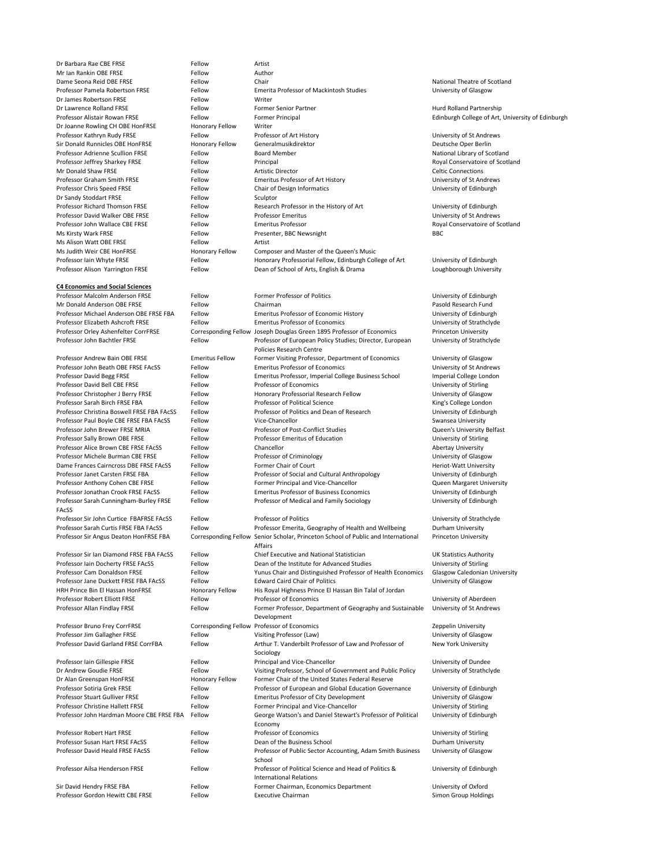University of Strathclyde

Professor Sarah Cunningham-Burley FRSE FAcSS

Dame Seona Reid DBE FRSE FROM Fellow Chair Chair Chair National Theatre of Scotland Professor Pamela Robertson FRSE Fellow Emerita Professor of Mackintosh Studies University of Glasgow Dr Lawrence Rolland FRSE Fellow Former Senior Partner Former Senior Partner Hurd Rolland Partnership Professor Alistair Rowan FRSE Fellow Fellow Former Principal Former Altamateur College of Art, University of Edinburgh College of Art, University of Edinburgh Professor Kathryn Rudy FRSE Fellow Fellow Professor of Art History Ferofessor of Art History University of St Andrews Sir Donald Runnicles OBE HonFRSE Honorary Fellow Generalmusikdirektor **Example 2018** Deutsche Oper Berlin Professor Adrienne Scullion FRSE Fellow Board Member **Fellow Board Member** National Library of Scotland Professor Jeffrey Sharkey FRSE Fellow Fellow Principal Royal Conservatoire of Scotland Mr Donald Shaw FRSE Fellow Fellow Artistic Director Celtic Connections Professor Graham Smith FRSE Fellow Fellow Emeritus Professor of Art History Ferofessor of Art History University of St Andrews Professor Chris Speed FRSE Fellow Fellow Chair of Design Informatics Fernandics University of Edinburgh Professor Richard Thomson FRSE Fellow Fellow Research Professor in the History of Art University of Edinburgh Professor David Walker OBE FRSE FRSE FELLOW Professor Emeritus Fellow Professor Emeritus Professor Emeritus Fellow Professor John Wallace CBE FRSE FERSE FELLOW Emeritus Professor **Emeritus Professor** Royal Conservatoire of Scotland Ms Kirsty Wark FRSE **Fellow** Fellow Presenter, BBC Newsnight BBC Ms Judith Weir CBE HonFRSE **Honorary Fellow** Composer and Master of the Queen's Music Professor Iain Whyte FRSE Fellow Fellow Honorary Professorial Fellow, Edinburgh College of Art University of Edinburgh Professor Alison Yarrington FRSE Fellow Dean of School of Arts, English & Drama Loughborough University

Professor Malcolm Anderson FRSE Fellow Former Professor of Politics Former Professor of Politics University of Edinburgh Mr Donald Anderson OBE FRSE FELLOW Fellow Chairman Chairman Pasold Research Fund Professor Michael Anderson OBE FRSE FBA Fellow Emeritus Professor of Economic History University of Edinburgh Professor Elizabeth Ashcroft FRSE Fellow Emeritus Professor of Economics University of Strathclyde Professor Orley Ashenfelter CorrFRSE Corresponding Fellow Joseph Douglas Green 1895 Professor of Economics Princeton University Professor John Bachtler FRSE Fellow Fellow Professor of European Policy Studies; Director, European Policies Research Centre Professor Andrew Bain OBE FRSE Emeritus Fellow Former Visiting Professor, Department of Economics University of Glasgow Professor John Beath OBE FRSE FAcSS Fellow Emeritus Professor of Economics University of St Andrews Professor David Begg FRSE Fellow Fellow Emeritus Professor, Imperial College Business School Imperial College London Professor David Bell CBE FRSE FRSE FELLOW Professor of Economics Contact Contact Contact Professor of Economics Professor Christopher J Berry FRSE Fellow Honorary Professorial Research Fellow University of Glasgow Professor Sarah Birch FRSE FBA Fellow Fellow Professor of Political Science King's College London Professor Christina Boswell FRSE FBA FAcSS Fellow Professor of Politics and Dean of Research University of Edinburgh Professor Paul Boyle CBE FRSE FBA FAcSS Fellow Vice-Chancellor Subsetted and Swansea University Professor John Brewer FRSE MRIA Fellow Fellow Professor of Post-Conflict Studies Cueen's University Belfast Professor Sally Brown OBE FRSE FRSE FELLOW Professor Emeritus of Education Fellow Professor Emeritus of Education Professor Alice Brown CBE FRSE FAcSS Fellow Chancellor Chancellor Chancellor Abertay University Professor Michele Burman CBE FRSE FRSE FELLOW Professor of Criminology **Fellow** Professor of Criminology **Professor** Michele Burman CBE FRSE Dame Frances Cairncross DBE FRSE FAcSS Fellow Former Chair of Court Former Chair Heriot-Watt University Professor Janet Carsten FRSE FBA Fellow Fellow Professor of Social and Cultural Anthropology University of Edinburgh Professor Anthony Cohen CBE FRSE FRSE FELLOW Former Principal and Vice-Chancellor Cueen Margaret University Professor Jonathan Crook FRSE FAcSS Fellow Emeritus Professor of Business Economics University of Edinburgh Fellow **Professor of Medical and Family Sociology Example 20 University of Edinburgh** 

| <b>FACSS</b>                              |                        |                                                                                   |                                      |
|-------------------------------------------|------------------------|-----------------------------------------------------------------------------------|--------------------------------------|
| Professor Sir John Curtice FBAFRSE FACSS  | Fellow                 | <b>Professor of Politics</b>                                                      | University of Strathclyde            |
| Professor Sarah Curtis FRSE FBA FACSS     | Fellow                 | Professor Emerita, Geography of Health and Wellbeing                              | Durham University                    |
| Professor Sir Angus Deaton HonFRSE FBA    |                        | Corresponding Fellow Senior Scholar, Princeton School of Public and International | <b>Princeton University</b>          |
|                                           |                        | Affairs                                                                           |                                      |
| Professor Sir Ian Diamond FRSE FBA FACSS  | Fellow                 | Chief Executive and National Statistician                                         | <b>UK Statistics Authority</b>       |
| Professor Iain Docherty FRSE FAcSS        | Fellow                 | Dean of the Institute for Advanced Studies                                        | University of Stirling               |
| Professor Cam Donaldson FRSE              | Fellow                 | Yunus Chair and Distinguished Professor of Health Economics                       | <b>Glasgow Caledonian University</b> |
| Professor Jane Duckett FRSE FBA FAcSS     | Fellow                 | <b>Edward Caird Chair of Politics</b>                                             | University of Glasgow                |
| HRH Prince Bin El Hassan HonFRSE          | <b>Honorary Fellow</b> | His Royal Highness Prince El Hassan Bin Talal of Jordan                           |                                      |
| <b>Professor Robert Elliott FRSE</b>      | Fellow                 | Professor of Economics                                                            | University of Aberdeen               |
| Professor Allan Findlay FRSE              | Fellow                 | Former Professor, Department of Geography and Sustainable                         | University of St Andrews             |
|                                           |                        | Development                                                                       |                                      |
| Professor Bruno Frey CorrFRSE             |                        | Corresponding Fellow Professor of Economics                                       | Zeppelin University                  |
| Professor Jim Gallagher FRSE              | Fellow                 | Visiting Professor (Law)                                                          | University of Glasgow                |
| Professor David Garland FRSE CorrFBA      | Fellow                 | Arthur T. Vanderbilt Professor of Law and Professor of                            | <b>New York University</b>           |
|                                           |                        | Sociology                                                                         |                                      |
| Professor Iain Gillespie FRSE             | Fellow                 | Principal and Vice-Chancellor                                                     | University of Dundee                 |
| Dr Andrew Goudie FRSE                     | Fellow                 | Visiting Professor, School of Government and Public Policy                        | University of Strathclyde            |
| Dr Alan Greenspan HonFRSE                 | <b>Honorary Fellow</b> | Former Chair of the United States Federal Reserve                                 |                                      |
| Professor Sotiria Grek FRSE               | Fellow                 | Professor of European and Global Education Governance                             | University of Edinburgh              |
| <b>Professor Stuart Gulliver FRSE</b>     | Fellow                 | <b>Emeritus Professor of City Development</b>                                     | University of Glasgow                |
| <b>Professor Christine Hallett FRSE</b>   | Fellow                 | Former Principal and Vice-Chancellor                                              | University of Stirling               |
| Professor John Hardman Moore CBE FRSE FBA | Fellow                 | George Watson's and Daniel Stewart's Professor of Political                       | University of Edinburgh              |
|                                           |                        | Economy                                                                           |                                      |
| <b>Professor Robert Hart FRSE</b>         | Fellow                 | <b>Professor of Economics</b>                                                     | University of Stirling               |
| Professor Susan Hart FRSE FAcSS           | Fellow                 | Dean of the Business School                                                       | Durham University                    |
| Professor David Heald FRSE FAcSS          | Fellow                 | Professor of Public Sector Accounting, Adam Smith Business                        | University of Glasgow                |
|                                           |                        | School                                                                            |                                      |
| Professor Ailsa Henderson FRSE            | Fellow                 | Professor of Political Science and Head of Politics &                             | University of Edinburgh              |
|                                           |                        | <b>International Relations</b>                                                    |                                      |
| Sir David Hendry FRSE FBA                 | Fellow                 | Former Chairman, Economics Department                                             | University of Oxford                 |
| Professor Gordon Hewitt CBE FRSE          | Fellow                 | <b>Executive Chairman</b>                                                         | <b>Simon Group Holdings</b>          |

Dr Barbara Rae CBE FRSE FRSE FELLOW Fellow Artist Mr Ian Rankin OBE FRSE FELLOW Fellow Author Dr James Robertson FRSE Fellow Fellow Writer Dr Joanne Rowling CH OBE HonFRSE Honorary Fellow Writer Dr Sandy Stoddart FRSE Fellow Fellow Sculptor Ms Alison Watt OBE FRSE FELLOW Fellow Artist

### **C4 Economics and Social Sciences**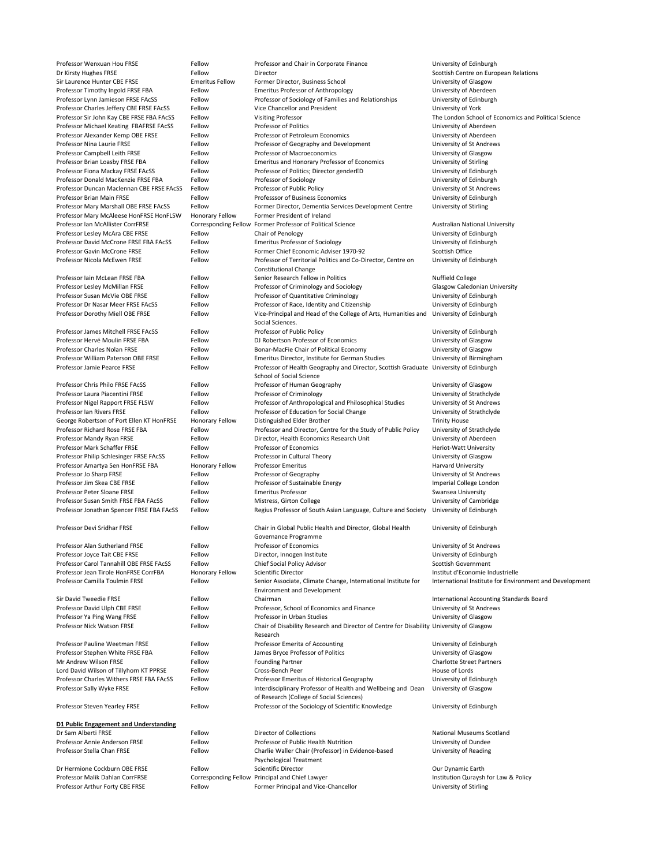| Professor Wenxuan Hou FRSE                | Fellow                 | Professor and Chair in Corporate Finance                                                 | University of Edinburgh                                 |
|-------------------------------------------|------------------------|------------------------------------------------------------------------------------------|---------------------------------------------------------|
| Dr Kirsty Hughes FRSE                     | Fellow                 | Director                                                                                 | Scottish Centre on European Relations                   |
| Sir Laurence Hunter CBE FRSE              | <b>Emeritus Fellow</b> | Former Director, Business School                                                         | University of Glasgow                                   |
| Professor Timothy Ingold FRSE FBA         | Fellow                 | <b>Emeritus Professor of Anthropology</b>                                                | University of Aberdeen                                  |
| Professor Lynn Jamieson FRSE FAcSS        | Fellow                 | Professor of Sociology of Families and Relationships                                     | University of Edinburgh                                 |
| Professor Charles Jeffery CBE FRSE FAcSS  | Fellow                 | Vice Chancellor and President                                                            | University of York                                      |
| Professor Sir John Kay CBE FRSE FBA FACSS | Fellow                 | <b>Visiting Professor</b>                                                                | The London School of Economics and Political Science    |
| Professor Michael Keating FBAFRSE FAcSS   | Fellow                 | <b>Professor of Politics</b>                                                             | University of Aberdeen                                  |
| Professor Alexander Kemp OBE FRSE         | Fellow                 | Professor of Petroleum Economics                                                         | University of Aberdeen                                  |
| <b>Professor Nina Laurie FRSE</b>         | Fellow                 | Professor of Geography and Development                                                   | University of St Andrews                                |
| Professor Campbell Leith FRSE             | Fellow                 | Professor of Macroeconomics                                                              | University of Glasgow                                   |
|                                           | Fellow                 |                                                                                          |                                                         |
| Professor Brian Loasby FRSE FBA           |                        | <b>Emeritus and Honorary Professor of Economics</b>                                      | University of Stirling                                  |
| Professor Fiona Mackay FRSE FAcSS         | Fellow                 | Professor of Politics; Director genderED                                                 | University of Edinburgh                                 |
| Professor Donald MacKenzie FRSE FBA       | Fellow                 | Professor of Sociology                                                                   | University of Edinburgh                                 |
| Professor Duncan Maclennan CBE FRSE FACSS | Fellow                 | Professor of Public Policy                                                               | University of St Andrews                                |
| Professor Brian Main FRSE                 | Fellow                 | Professsor of Business Economics                                                         | University of Edinburgh                                 |
| Professor Mary Marshall OBE FRSE FAcSS    | Fellow                 | Former Director, Dementia Services Development Centre                                    | University of Stirling                                  |
| Professor Mary McAleese HonFRSE HonFLSW   | <b>Honorary Fellow</b> | Former President of Ireland                                                              |                                                         |
| Professor Ian McAllister CorrFRSE         |                        | Corresponding Fellow Former Professor of Political Science                               | <b>Australian National University</b>                   |
| Professor Lesley McAra CBE FRSE           | Fellow                 | Chair of Penology                                                                        | University of Edinburgh                                 |
| Professor David McCrone FRSE FBA FAcSS    | Fellow                 | <b>Emeritus Professor of Sociology</b>                                                   | University of Edinburgh                                 |
| Professor Gavin McCrone FRSE              | Fellow                 | Former Chief Economic Adviser 1970-92                                                    | <b>Scottish Office</b>                                  |
| Professor Nicola McEwen FRSE              | Fellow                 | Professor of Territorial Politics and Co-Director, Centre on                             | University of Edinburgh                                 |
|                                           |                        | <b>Constitutional Change</b>                                                             |                                                         |
| Professor Iain McLean FRSE FBA            | Fellow                 | Senior Research Fellow in Politics                                                       | <b>Nuffield College</b>                                 |
| Professor Lesley McMillan FRSE            | Fellow                 | Professor of Criminology and Sociology                                                   | <b>Glasgow Caledonian University</b>                    |
|                                           |                        |                                                                                          |                                                         |
| Professor Susan McVie OBE FRSE            | Fellow                 | Professor of Quantitative Criminology                                                    | University of Edinburgh                                 |
| Professor Dr Nasar Meer FRSE FAcSS        | Fellow                 | Professor of Race, Identity and Citizenship                                              | University of Edinburgh                                 |
| Professor Dorothy Miell OBE FRSE          | Fellow                 | Vice-Principal and Head of the College of Arts, Humanities and University of Edinburgh   |                                                         |
|                                           |                        | Social Sciences.                                                                         |                                                         |
| Professor James Mitchell FRSE FACSS       | Fellow                 | Professor of Public Policy                                                               | University of Edinburgh                                 |
| Professor Hervé Moulin FRSE FBA           | Fellow                 | DJ Robertson Professor of Economics                                                      | University of Glasgow                                   |
| <b>Professor Charles Nolan FRSE</b>       | Fellow                 | Bonar-MacFie Chair of Political Economy                                                  | University of Glasgow                                   |
| Professor William Paterson OBE FRSE       | Fellow                 | Emeritus Director, Institute for German Studies                                          | University of Birmingham                                |
| Professor Jamie Pearce FRSE               | Fellow                 | Professor of Health Geography and Director, Scottish Graduate University of Edinburgh    |                                                         |
|                                           |                        | School of Social Science                                                                 |                                                         |
| Professor Chris Philo FRSE FACSS          | Fellow                 | Professor of Human Geography                                                             | University of Glasgow                                   |
| Professor Laura Piacentini FRSE           | Fellow                 |                                                                                          |                                                         |
|                                           |                        | Professor of Criminology                                                                 | University of Strathclyde                               |
| Professor Nigel Rapport FRSE FLSW         | Fellow                 | Professor of Anthropological and Philosophical Studies                                   | University of St Andrews                                |
| Professor Ian Rivers FRSE                 | Fellow                 | Professor of Education for Social Change                                                 | University of Strathclyde                               |
| George Robertson of Port Ellen KT HonFRSE | <b>Honorary Fellow</b> | Distinguished Elder Brother                                                              | <b>Trinity House</b>                                    |
| Professor Richard Rose FRSE FBA           | Fellow                 | Professor and Director, Centre for the Study of Public Policy                            | University of Strathclyde                               |
| Professor Mandy Ryan FRSE                 | Fellow                 | Director, Health Economics Research Unit                                                 | University of Aberdeen                                  |
| Professor Mark Schaffer FRSE              | Fellow                 | Professor of Economics                                                                   | <b>Heriot-Watt University</b>                           |
| Professor Philip Schlesinger FRSE FAcSS   | Fellow                 | Professor in Cultural Theory                                                             | University of Glasgow                                   |
| Professor Amartya Sen HonFRSE FBA         | <b>Honorary Fellow</b> | <b>Professor Emeritus</b>                                                                | <b>Harvard University</b>                               |
| Professor Jo Sharp FRSE                   | Fellow                 | Professor of Geography                                                                   | University of St Andrews                                |
| Professor Jim Skea CBE FRSE               | Fellow                 | Professor of Sustainable Energy                                                          | Imperial College London                                 |
| Professor Peter Sloane FRSE               | Fellow                 | <b>Emeritus Professor</b>                                                                | Swansea University                                      |
| Professor Susan Smith FRSE FBA FACSS      | Fellow                 |                                                                                          |                                                         |
|                                           |                        | Mistress, Girton College                                                                 | University of Cambridge                                 |
| Professor Jonathan Spencer FRSE FBA FAcSS | Fellow                 | Regius Professor of South Asian Language, Culture and Society                            | University of Edinburgh                                 |
|                                           |                        |                                                                                          |                                                         |
| Professor Devi Sridhar FRSE               | Fellow                 | Chair in Global Public Health and Director, Global Health                                | University of Edinburgh                                 |
|                                           |                        | Governance Programme                                                                     |                                                         |
| <b>Professor Alan Sutherland FRSE</b>     | Fellow                 | Professor of Economics                                                                   | University of St Andrews                                |
| Professor Joyce Tait CBE FRSE             | Fellow                 | Director, Innogen Institute                                                              | University of Edinburgh                                 |
| Professor Carol Tannahill OBE FRSE FACSS  | Fellow                 | <b>Chief Social Policy Advisor</b>                                                       | <b>Scottish Government</b>                              |
| Professor Jean Tirole HonFRSE CorrFBA     | Honorary Fellow        | <b>Scientific Director</b>                                                               | Institut d'Economie Industrielle                        |
| Professor Camilla Toulmin FRSE            | Fellow                 | Senior Associate, Climate Change, International Institute for                            | International Institute for Environment and Development |
|                                           |                        | <b>Environment and Development</b>                                                       |                                                         |
| Sir David Tweedie FRSE                    | Fellow                 | Chairman                                                                                 | International Accounting Standards Board                |
| Professor David Ulph CBE FRSE             | Fellow                 | Professor, School of Economics and Finance                                               | University of St Andrews                                |
| Professor Ya Ping Wang FRSE               | Fellow                 | Professor in Urban Studies                                                               | University of Glasgow                                   |
| Professor Nick Watson FRSE                | Fellow                 | Chair of Disability Research and Director of Centre for Disability University of Glasgow |                                                         |
|                                           |                        |                                                                                          |                                                         |
|                                           |                        | Research                                                                                 |                                                         |
| Professor Pauline Weetman FRSE            | Fellow                 | Professor Emerita of Accounting                                                          | University of Edinburgh                                 |
| Professor Stephen White FRSE FBA          | Fellow                 | James Bryce Professor of Politics                                                        | University of Glasgow                                   |
| Mr Andrew Wilson FRSE                     | Fellow                 | <b>Founding Partner</b>                                                                  | <b>Charlotte Street Partners</b>                        |
| Lord David Wilson of Tillyhorn KT PPRSE   | Fellow                 | Cross-Bench Peer                                                                         | House of Lords                                          |
| Professor Charles Withers FRSE FBA FACSS  | Fellow                 | Professor Emeritus of Historical Geography                                               | University of Edinburgh                                 |
| Professor Sally Wyke FRSE                 | Fellow                 | Interdisciplinary Professor of Health and Wellbeing and Dean                             | University of Glasgow                                   |
|                                           |                        | of Research (College of Social Sciences)                                                 |                                                         |
| Professor Steven Yearley FRSE             | Fellow                 | Professor of the Sociology of Scientific Knowledge                                       | University of Edinburgh                                 |
|                                           |                        |                                                                                          |                                                         |
| D1 Public Engagement and Understanding    |                        |                                                                                          |                                                         |
| Dr Sam Alberti FRSE                       | Fellow                 | <b>Director of Collections</b>                                                           | <b>National Museums Scotland</b>                        |
| Professor Annie Anderson FRSE             | Fellow                 | Professor of Public Health Nutrition                                                     | University of Dundee                                    |
| Professor Stella Chan FRSE                | Fellow                 | Charlie Waller Chair (Professor) in Evidence-based                                       | University of Reading                                   |
|                                           |                        |                                                                                          |                                                         |
|                                           |                        | <b>Psychological Treatment</b>                                                           |                                                         |
| Dr Hermione Cockburn OBE FRSE             | Fellow                 | <b>Scientific Director</b>                                                               | Our Dynamic Earth                                       |
| Professor Malik Dahlan CorrFRSE           |                        | Corresponding Fellow Principal and Chief Lawyer                                          | Institution Quraysh for Law & Policy                    |
| Professor Arthur Forty CBE FRSE           | Fellow                 | Former Principal and Vice-Chancellor                                                     | University of Stirling                                  |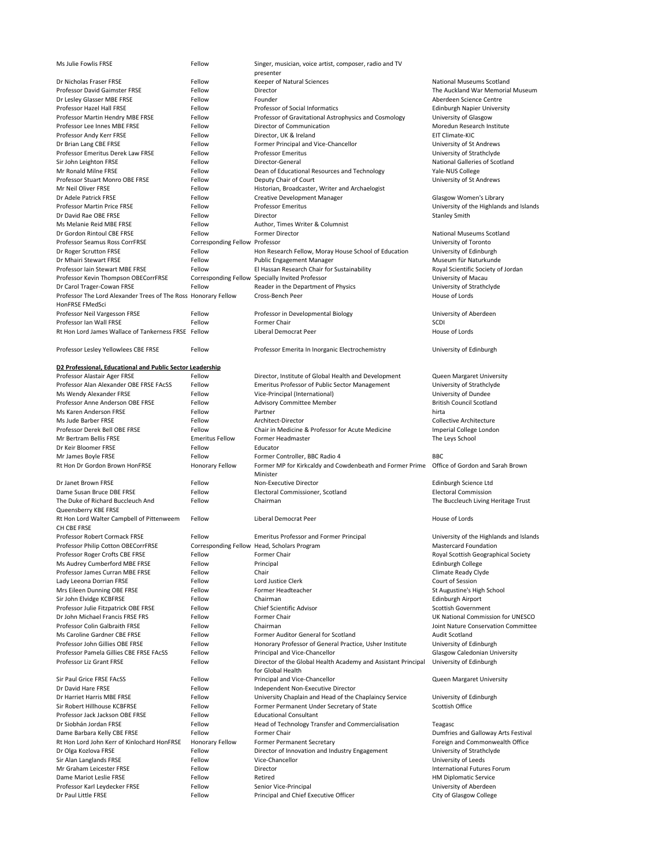| Ms Julie Fowlis FRSE                                           | Fellow                         | Singer, musician, voice artist, composer, radio and TV                                     |                                         |
|----------------------------------------------------------------|--------------------------------|--------------------------------------------------------------------------------------------|-----------------------------------------|
|                                                                |                                | presenter                                                                                  |                                         |
| Dr Nicholas Fraser FRSE                                        | Fellow                         | Keeper of Natural Sciences                                                                 | <b>National Museums Scotland</b>        |
| <b>Professor David Gaimster FRSE</b>                           | Fellow                         | Director                                                                                   | The Auckland War Memorial Museum        |
| Dr Lesley Glasser MBE FRSE                                     | Fellow                         | Founder                                                                                    | Aberdeen Science Centre                 |
| Professor Hazel Hall FRSE                                      | Fellow                         | <b>Professor of Social Informatics</b>                                                     | <b>Edinburgh Napier University</b>      |
| Professor Martin Hendry MBE FRSE                               | Fellow                         | Professor of Gravitational Astrophysics and Cosmology                                      | University of Glasgow                   |
| Professor Lee Innes MBE FRSE                                   | Fellow                         | Director of Communication                                                                  | Moredun Research Institute              |
| Professor Andy Kerr FRSE                                       | Fellow                         | Director, UK & Ireland                                                                     | EIT Climate-KIC                         |
| Dr Brian Lang CBE FRSE                                         | Fellow                         | Former Principal and Vice-Chancellor                                                       | University of St Andrews                |
| Professor Emeritus Derek Law FRSE                              | Fellow                         | <b>Professor Emeritus</b>                                                                  | University of Strathclyde               |
| Sir John Leighton FRSE                                         | Fellow                         | Director-General                                                                           | <b>National Galleries of Scotland</b>   |
| Mr Ronald Milne FRSE                                           | Fellow                         | Dean of Educational Resources and Technology                                               | Yale-NUS College                        |
| <b>Professor Stuart Monro OBE FRSE</b>                         | Fellow                         | Deputy Chair of Court                                                                      | University of St Andrews                |
| Mr Neil Oliver FRSE                                            | Fellow                         | Historian, Broadcaster, Writer and Archaelogist                                            |                                         |
| Dr Adele Patrick FRSE                                          | Fellow                         | <b>Creative Development Manager</b>                                                        | <b>Glasgow Women's Library</b>          |
| <b>Professor Martin Price FRSE</b>                             | Fellow                         | <b>Professor Emeritus</b>                                                                  | University of the Highlands and Islands |
| Dr David Rae OBE FRSE                                          | Fellow                         | Director                                                                                   | <b>Stanley Smith</b>                    |
| Ms Melanie Reid MBE FRSE                                       | Fellow                         | Author, Times Writer & Columnist                                                           |                                         |
| Dr Gordon Rintoul CBE FRSE                                     | Fellow                         | <b>Former Director</b>                                                                     | <b>National Museums Scotland</b>        |
| <b>Professor Seamus Ross CorrFRSE</b>                          | Corresponding Fellow Professor |                                                                                            | University of Toronto                   |
| Dr Roger Scrutton FRSE                                         | Fellow                         | Hon Research Fellow, Moray House School of Education                                       | University of Edinburgh                 |
| Dr Mhairi Stewart FRSE                                         | Fellow                         | <b>Public Engagement Manager</b>                                                           | Museum für Naturkunde                   |
| Professor Iain Stewart MBE FRSE                                | Fellow                         | El Hassan Research Chair for Sustainability                                                | Royal Scientific Society of Jordan      |
| Professor Kevin Thompson OBECorrFRSE                           |                                | Corresponding Fellow Specially Invited Professor                                           | University of Macau                     |
| Dr Carol Trager-Cowan FRSE                                     | Fellow                         | Reader in the Department of Physics                                                        | University of Strathclyde               |
| Professor The Lord Alexander Trees of The Ross Honorary Fellow |                                | Cross-Bench Peer                                                                           | House of Lords                          |
| HonFRSE FMedSci                                                |                                |                                                                                            |                                         |
| Professor Neil Vargesson FRSE                                  | Fellow                         | Professor in Developmental Biology                                                         | University of Aberdeen                  |
| Professor Ian Wall FRSE                                        | Fellow                         | Former Chair                                                                               | <b>SCDI</b>                             |
| Rt Hon Lord James Wallace of Tankerness FRSE Fellow            |                                | <b>Liberal Democrat Peer</b>                                                               | House of Lords                          |
|                                                                |                                |                                                                                            |                                         |
| Professor Lesley Yellowlees CBE FRSE                           | Fellow                         | Professor Emerita In Inorganic Electrochemistry                                            | University of Edinburgh                 |
|                                                                |                                |                                                                                            |                                         |
| D2 Professional, Educational and Public Sector Leadership      |                                |                                                                                            |                                         |
| Professor Alastair Ager FRSE                                   | Fellow                         | Director, Institute of Global Health and Development                                       | <b>Queen Margaret University</b>        |
| Professor Alan Alexander OBE FRSE FACSS                        | Fellow                         | <b>Emeritus Professor of Public Sector Management</b>                                      | University of Strathclyde               |
| Ms Wendy Alexander FRSE                                        | Fellow                         | Vice-Principal (International)                                                             | University of Dundee                    |
| Professor Anne Anderson OBE FRSE                               | Fellow                         | <b>Advisory Committee Member</b>                                                           | <b>British Council Scotland</b>         |
| Ms Karen Anderson FRSE                                         | Fellow                         | Partner                                                                                    | hirta                                   |
| Ms Jude Barber FRSE                                            | Fellow                         | Architect-Director                                                                         | <b>Collective Architecture</b>          |
| Professor Derek Bell OBE FRSE                                  | Fellow                         | Chair in Medicine & Professor for Acute Medicine                                           | Imperial College London                 |
| Mr Bertram Bellis FRSE                                         | <b>Emeritus Fellow</b>         | Former Headmaster                                                                          | The Leys School                         |
| Dr Keir Bloomer FRSE                                           | Fellow                         | Educator                                                                                   |                                         |
| Mr James Boyle FRSE                                            | Fellow                         | Former Controller, BBC Radio 4                                                             | <b>BBC</b>                              |
| Rt Hon Dr Gordon Brown HonFRSE                                 | <b>Honorary Fellow</b>         | Former MP for Kirkcaldy and Cowdenbeath and Former Prime  Office of Gordon and Sarah Brown |                                         |
|                                                                |                                | Minister                                                                                   |                                         |
| Dr Janet Brown FRSE                                            | Fellow                         | Non-Executive Director                                                                     | Edinburgh Science Ltd                   |
| Dame Susan Bruce DBE FRSE                                      | Fellow                         | Electoral Commissioner, Scotland                                                           | <b>Electoral Commission</b>             |
| The Duke of Richard Buccleuch And                              | Fellow                         | Chairman                                                                                   | The Buccleuch Living Heritage Trust     |
| Queensberry KBE FRSE                                           |                                |                                                                                            |                                         |
| Rt Hon Lord Walter Campbell of Pittenweem                      |                                |                                                                                            |                                         |
|                                                                |                                |                                                                                            |                                         |
|                                                                | Fellow                         | Liberal Democrat Peer                                                                      | House of Lords                          |
| CH CBE FRSE                                                    |                                |                                                                                            |                                         |
| <b>Professor Robert Cormack FRSE</b>                           | Fellow                         | <b>Emeritus Professor and Former Principal</b>                                             | University of the Highlands and Islands |
| Professor Philip Cotton OBECorrFRSE                            |                                | Corresponding Fellow Head, Scholars Program                                                | <b>Mastercard Foundation</b>            |
| Professor Roger Crofts CBE FRSE                                | Fellow                         | Former Chair                                                                               | Royal Scottish Geographical Society     |
| Ms Audrey Cumberford MBE FRSE                                  | Fellow                         | Principal                                                                                  | Edinburgh College                       |
| <b>Professor James Curran MBE FRSE</b>                         | Fellow                         | Chair                                                                                      | <b>Climate Ready Clyde</b>              |
| Lady Leeona Dorrian FRSE                                       | Fellow                         | Lord Justice Clerk                                                                         | Court of Session                        |
| Mrs Eileen Dunning OBE FRSE                                    | Fellow                         | Former Headteacher                                                                         | St Augustine's High School              |
| Sir John Elvidge KCBFRSE                                       | Fellow                         | Chairman                                                                                   | Edinburgh Airport                       |
| Professor Julie Fitzpatrick OBE FRSE                           | Fellow                         | <b>Chief Scientific Advisor</b>                                                            | <b>Scottish Government</b>              |
| Dr John Michael Francis FRSE FRS                               | Fellow                         | Former Chair                                                                               | UK National Commission for UNESCO       |
| Professor Colin Galbraith FRSE                                 | Fellow                         | Chairman                                                                                   | Joint Nature Conservation Committee     |
| Ms Caroline Gardner CBE FRSE                                   | Fellow                         | Former Auditor General for Scotland                                                        | <b>Audit Scotland</b>                   |
| Professor John Gillies OBE FRSE                                | Fellow                         | Honorary Professor of General Practice, Usher Institute                                    | University of Edinburgh                 |
| Professor Pamela Gillies CBE FRSE FACSS                        | Fellow                         | Principal and Vice-Chancellor                                                              | <b>Glasgow Caledonian University</b>    |
| Professor Liz Grant FRSE                                       | Fellow                         | Director of the Global Health Academy and Assistant Principal                              | University of Edinburgh                 |
|                                                                |                                | for Global Health                                                                          |                                         |
| <b>Sir Paul Grice FRSE FAcSS</b>                               | Fellow                         | Principal and Vice-Chancellor                                                              | <b>Queen Margaret University</b>        |
| Dr David Hare FRSE                                             | Fellow                         | Independent Non-Executive Director                                                         |                                         |
| Dr Harriet Harris MBE FRSE                                     | Fellow                         | University Chaplain and Head of the Chaplaincy Service                                     | University of Edinburgh                 |
| Sir Robert Hillhouse KCBFRSE                                   | Fellow                         | Former Permanent Under Secretary of State                                                  | <b>Scottish Office</b>                  |
| Professor Jack Jackson OBE FRSE                                | Fellow                         | <b>Educational Consultant</b>                                                              |                                         |
| Dr Siobhán Jordan FRSE                                         | Fellow                         | Head of Technology Transfer and Commercialisation                                          | Teagasc                                 |
| Dame Barbara Kelly CBE FRSE                                    | Fellow                         | Former Chair                                                                               | Dumfries and Galloway Arts Festival     |
| Rt Hon Lord John Kerr of Kinlochard HonFRSE                    | <b>Honorary Fellow</b>         | <b>Former Permanent Secretary</b>                                                          | Foreign and Commonwealth Office         |
| Dr Olga Kozlova FRSE                                           | Fellow                         | Director of Innovation and Industry Engagement                                             | University of Strathclyde               |
| Sir Alan Langlands FRSE                                        | Fellow                         | Vice-Chancellor                                                                            | University of Leeds                     |
| Mr Graham Leicester FRSE                                       | Fellow                         | Director                                                                                   | <b>International Futures Forum</b>      |
| Dame Mariot Leslie FRSE                                        | Fellow                         | Retired                                                                                    | <b>HM Diplomatic Service</b>            |
| Professor Karl Leydecker FRSE                                  | Fellow                         | Senior Vice-Principal                                                                      | University of Aberdeen                  |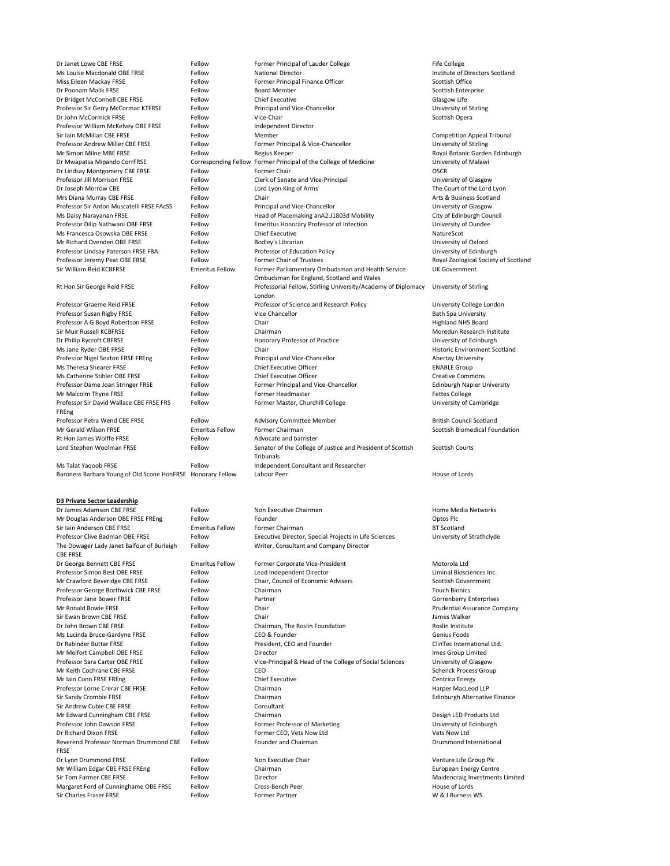Professor William McKelvey OBE FRSE FROM Fellow Fellow Independent Director Professor Sir David Wallace CBE FRSE FRS FREng Rt Hon James Wolffe FRSE Fellow Fellow Advocate and barrister Ms Talat Yaqoob FRSE **Fellow** Fellow Independent Consultant and Researcher Baroness Barbara Young of Old Scone HonFRSE Honorary Fellow Labour Peer Nouse of Lords and House of Lords

Dr Janet Lowe CBE FRSE FRSE FRSE FELLOW Former Principal of Lauder College Fife College Fife College Fife College Ms Louise Macdonald OBE FRSE FRSE FELLOW National Director Cases and American Control of Directors Scotland Miss Eileen Mackay FRSE Fellow Fellow Former Principal Finance Officer Former Principal Finance Officer Scottish Office Dr Poonam Malik FRSE Fellow Fellow Board Member Scottish Enterprise Dr Bridget McConnell CBE FRSE FERSE FELLOW Chief Executive Chasses and Chief Executive Clasgow Life Professor Sir Gerry McCormac KTFRSE Fellow Principal and Vice-Chancellor Fellow Principal and Vice-Chancellor Dr John McCormick FRSE Fellow Fellow Vice-Chair Scottish Opera Sir Iain McMillan CBE FRSE FRSE FELLOW Fellow Member Competition Appeal Tribunal Professor Andrew Miller CBE FRSE FRSE FELLOW Former Principal & Vice-Chancellor Funcipal & Vice-Chancellor Mr Simon Milne MBE FRSE FRSE Fellow Regius Keeper Regius Keeper Royal Botanic Garden Edinburgh Dr Mwapatsa Mipando CorrFRSE Corresponding Fellow Former Principal of the College of Medicine University of Malawi Dr Lindsay Montgomery CBE FRSE FERSE FELLOW Former Chair Former Chair CHAIR COSCR Professor Jill Morrison FRSE Fellow Fellow Clerk of Senate and Vice-Principal University of Glasgow Dr Joseph Morrow CBE The Lord Lyon Fellow Lord Lyon King of Arms The Court of the Lord Lyon Lord Lyon Equation Mrs Diana Murray CBE FRSE FRSE FRSE FELLOW Chair Chair Chair Arts & Business Scotland Professor Sir Anton Muscatelli FRSE FAcSS Fellow Principal and Vice-Chancellor Professor Sir Anton Muscatelli FRSE FAcSS Fellow Principal and Vice-Chancellor Ms Daisy Narayanan FRSE **Fellow** Fellow Head of Placemaking anA2:J1803d Mobility City of Edinburgh Council Professor Dilip Nathwani OBE FRSE FELLOW Emeritus Honorary Professor of Infection University of Dundee Ms Francesca Osowska OBE FRSE Fellow Chief Executive Chief Executive NatureScot Mr Richard Ovenden OBE FRSE FRSE FELLOW Bodley's Librarian Fellow Bodley's Librarian Books and Thiversity of Oxford Professor Lindsay Paterson FRSE FBA Fellow Professor of Education Policy Professor Of Edinburgh Professor Jeremy Peat OBE FRSE FRSE FELLOW Former Chair of Trustees Fellow Former Chair of Trustees Royal Zoological Society of Scotland Sir William Reid KCBFRSE Emeritus Fellow Former Parliamentary Ombudsman and Health Service Ombudsman for England, Scotland and Wales Rt Hon Sir George Reid FRSE Fellow Fellow Professorial Fellow, Stirling University/Academy of Diplomacy London Professor Graeme Reid FRSE Fellow Fellow Professor of Science and Research Policy University College London Professor Susan Rigby FRSE Fellow Fellow Vice Chancellor Chancellor Bath Spa University Professor A G Boyd Robertson FRSE Fellow Chair Chair Chair Fellow Chair Highland NHS Board Sir Muir Russell KCBFRSE Fellow Fellow Chairman Chairman Moredun Research Institute Dr Philip Rycroft CBFRSE Fellow Fellow Honorary Professor of Practice University of Edinburgh Ms Jane Ryder OBE FRSE Fellow Fellow Chair Fellow Chair Historic Environment Scotland Professor Nigel Seaton FRSE FREng Fellow Fellow Principal and Vice-Chancellor Ferricipal and Vice-Chancellor Ms Theresa Shearer FRSE Fellow Fellow Chief Executive Officer Entertainment of the ENABLE Group Ms Catherine Stihler OBE FRSE FRSE FELLOW Chief Executive Officer Commons Creative Commons Professor Dame Joan Stringer FRSE Fellow Fellow Former Principal and Vice-Chancellor Felinburgh Napier University Mr Malcolm Thyne FRSE Fellow Fellow Former Headmaster Fettes College Fettes College Fellow Former Master, Churchill College Channel Constant Controller Cambridge Professor Petra Wend CBE FRSE FRSE FELLOW Advisory Committee Member Fellow Advisory Committee Member British Council Scotland Mr Gerald Wilson FRSE The Emeritus Fellow Former Chairman Scottish Biomedical Foundation Scottish Biomedical Foundation Lord Stephen Woolman FRSE Fellow Senator of the College of Justice and President of Scottish **Tribunals** 

Mr Douglas Anderson OBE FRSE FREng Fellow Founder Founder Control optos Plc Sir Iain Anderson CBE FRSE **Emeritus Fellow** Former Chairman **Emeritus Fellow** Former Chairman **BT** Scotland Professor Clive Badman OBE FRSE FELLOW Fellow Executive Director, Special Projects in Life Sciences University of Strathclyde Fellow Writer, Consultant and Company Director

Dr George Bennett CBE FRSE External communities Fellow Former Corporate Vice-President Motorola Ltd Professor Simon Best OBE FRSE FRSE FELLOW Lead Independent Director Cases and Liminal Biosciences Inc. Mr Crawford Beveridge CBE FRSE FERSE FERSE FELLOW Chair, Council of Economic Advisers Fellow Scottish Government Professor George Borthwick CBE FRSE FELLOW Chairman Chairman Chairman Touch Bionics Professor Jane Bower FRSE Fellow Fellow Partner Fellow Partner Content of Gorrenberry Enterprises Mr Ronald Bowie FRSE Fellow Fellow Chair Chair Chair Prudential Assurance Company Sir Ewan Brown CBE FRSE The Fellow Chair Chair Chair Chair Chair Chair Chair Chair Chair Chair Chair Chair Chair Chair Chair Chair Chair Chair Chair Chair Chair Chair Chair Chair Chair Chair Chair Chair Chair Chair Chair C Dr John Brown CBE FRSE FRSE FELLOW Fellow Chairman, The Roslin Foundation Roslin Institute Ms Lucinda Bruce-Gardyne FRSE Fellow CEO & Founder Fellow CEO & Founder Genius Foods Dr Rabinder Buttar FRSE Fellow Fellow President, CEO and Founder Fellow President, CEO and Founder ClinTec International Ltd. Mr Melfort Campbell OBE FRSE FERSE FELLOW Director Campbell OBE FRSE FELLOW Fellow Director Professor Sara Carter OBE FRSE Fellow Fellow Vice-Principal & Head of the College of Social Sciences University of Glasgow Mr Keith Cochrane CBE FRSE FELLOW CEO Schenck Process Group Mr Iain Conn FRSE FREng Fellow Fellow Chief Executive Chief Executive Centrica Energy Professor Lorne Crerar CBE FRSE FRSE FELLOW Chairman Fellow Chairman Harper MacLeod LLP Sir Sandy Crombie FRSE Fellow Fellow Chairman Chairman Edinburgh Alternative Finance Mr Edward Cunningham CBE FRSE FRSE FELLOW Chairman CHE STATES CONSIDERED Products Ltd Professor John Dawson FRSE Fellow Fellow Former Professor of Marketing Former Professor of Marketing University of Edinburgh Dr Richard Dixon FRSE Fellow Former CEO, Vets Now Ltd Vets Now Ltd Fellow Founder and Chairman **Franchise State and Chairman** Brunner Brummond International

UK Government University of Stirling Scottish Courts

**D3 Private Sector Leadership**

Dr James Adamson CBE FRSE FELLOW Fellow Non Executive Chairman Fellow Records and Home Media Networks The Dowager Lady Janet Balfour of Burleigh CBE FRSE Sir Andrew Cubie CBE FRSE FRSE FELLOW Fellow Consultant Reverend Professor Norman Drummond CBE FRSE Dr Lynn Drummond FRSE Fellow Fellow Non Executive Chair Chair Venture Life Group Plc Mr William Edgar CBE FRSE FREng Fellow Chairman Chairman European European Energy Centre Sir Tom Farmer CBE FRSE FELLOW Fellow Director CHE EXAMPLE AND Maidencraig Investments Limited Margaret Ford of Cunninghame OBE FRSE Fellow Cross-Bench Peer Ferming Cross-Bench Peer Ferminghame of Lords Sir Charles Fraser FRSE FRSE Fellow Fellow Former Partner Fartner Charles Fraser FRSE W & J Burness WS